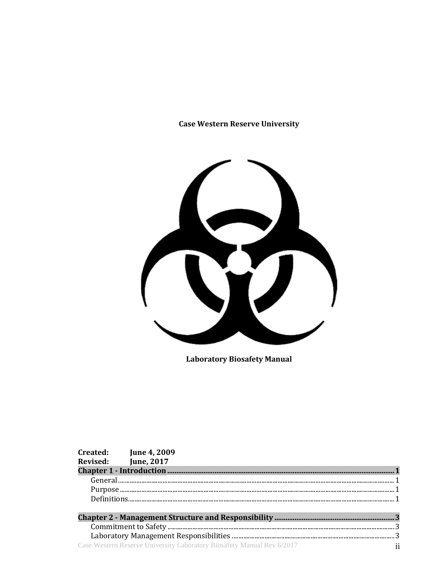**Case Western Reserve University** 



**Laboratory Biosafety Manual** 

| Created: June 4, 2009<br>Revised: June, 2017 |                                                                        |  |
|----------------------------------------------|------------------------------------------------------------------------|--|
|                                              |                                                                        |  |
|                                              |                                                                        |  |
|                                              |                                                                        |  |
|                                              |                                                                        |  |
|                                              |                                                                        |  |
|                                              |                                                                        |  |
|                                              |                                                                        |  |
|                                              |                                                                        |  |
|                                              | Case Western Reserve University Laboratory Biosafety Manual Rev 6/2017 |  |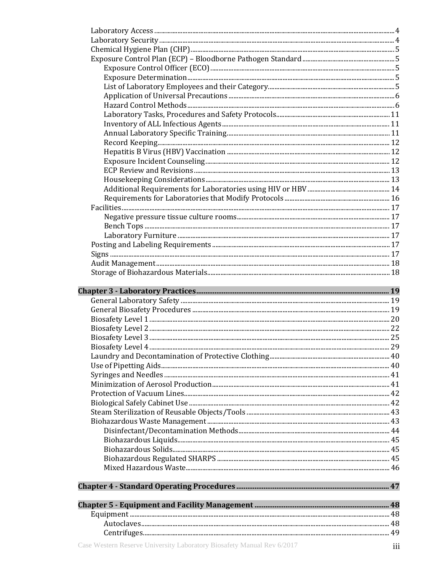Case Western Reserve University Laboratory Biosafety Manual Rev 6/2017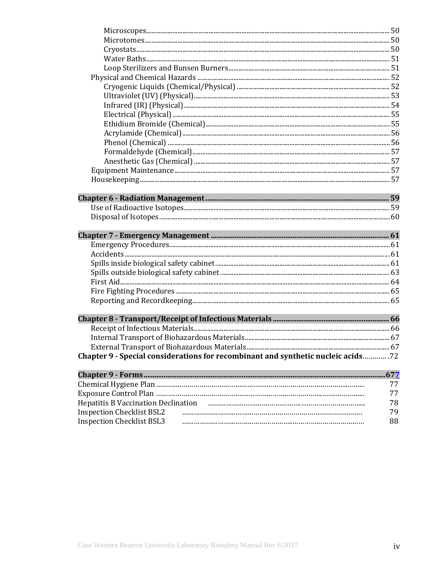| Chapter 9 - Special considerations for recombinant and synthetic nucleic acids 72 |    |
|-----------------------------------------------------------------------------------|----|
|                                                                                   |    |
|                                                                                   | 77 |
|                                                                                   | 77 |
| <b>Hepatitis B Vaccination Declination</b>                                        | 78 |
| <b>Inspection Checklist BSL2</b>                                                  | 79 |
| <b>Inspection Checklist BSL3</b>                                                  | 88 |
|                                                                                   |    |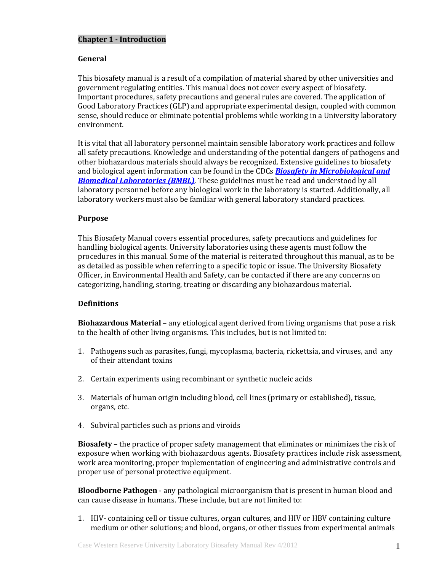### <span id="page-3-0"></span>**Chapter 1 - Introduction**

### <span id="page-3-1"></span>**General**

This biosafety manual is a result of a compilation of material shared by other universities and government regulating entities. This manual does not cover every aspect of biosafety. Important procedures, safety precautions and general rules are covered. The application of Good Laboratory Practices (GLP) and appropriate experimental design, coupled with common sense, should reduce or eliminate potential problems while working in a University laboratory environment.

It is vital that all laboratory personnel maintain sensible laboratory work practices and follow all safety precautions. Knowledge and understanding of the potential dangers of pathogens and other biohazardous materials should always be recognized. Extensive guidelines to biosafety and biological agent information can be found in the CDCs *[Biosafety in Microbiological and](http://www.cdc.gov/OD/OHS/biosfty/bmbl5/bmbl5toc.htm)  [Biomedical Laboratories](http://www.cdc.gov/OD/OHS/biosfty/bmbl5/bmbl5toc.htm) (BMBL)*. These guidelines must be read and understood by all laboratory personnel before any biological work in the laboratory is started. Additionally, all laboratory workers must also be familiar with general laboratory standard practices.

### <span id="page-3-2"></span>**Purpose**

This Biosafety Manual covers essential procedures, safety precautions and guidelines for handling biological agents. University laboratories using these agents must follow the procedures in this manual. Some of the material is reiterated throughout this manual, as to be as detailed as possible when referring to a specific topic or issue. The University Biosafety Officer, in Environmental Health and Safety, can be contacted if there are any concerns on categorizing, handling, storing, treating or discarding any biohazardous material**.**

## <span id="page-3-3"></span>**Definitions**

**Biohazardous Material** – any etiological agent derived from living organisms that pose a risk to the health of other living organisms. This includes, but is not limited to:

- 1. Pathogens such as parasites, fungi, mycoplasma, bacteria, rickettsia, and viruses, and any of their attendant toxins
- 2. Certain experiments using recombinant or synthetic nucleic acids
- 3. Materials of human origin including blood, cell lines (primary or established), tissue, organs, etc.
- 4. Subviral particles such as prions and viroids

**Biosafety** – the practice of proper safety management that eliminates or minimizes the risk of exposure when working with biohazardous agents. Biosafety practices include risk assessment, work area monitoring, proper implementation of engineering and administrative controls and proper use of personal protective equipment.

**Bloodborne Pathogen** - any pathological microorganism that is present in human blood and can cause disease in humans. These include, but are not limited to:

1. HIV- containing cell or tissue cultures, organ cultures, and HIV or HBV containing culture medium or other solutions; and blood, organs, or other tissues from experimental animals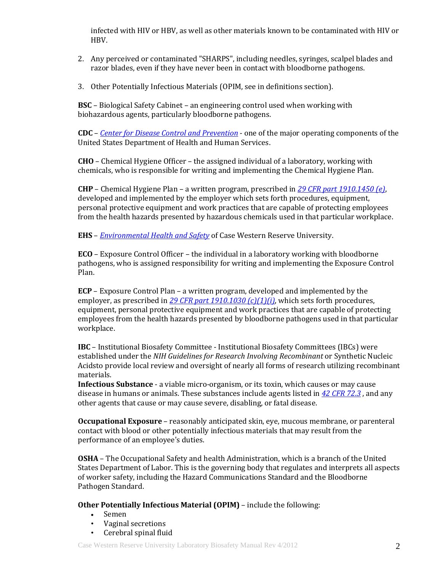infected with HIV or HBV, as well as other materials known to be contaminated with HIV or HBV.

- 2. Any perceived or contaminated "SHARPS", including needles, syringes, scalpel blades and razor blades, even if they have never been in contact with bloodborne pathogens.
- 3. Other Potentially Infectious Materials (OPIM, see in definitions section).

**BSC** – Biological Safety Cabinet – an engineering control used when working with biohazardous agents, particularly bloodborne pathogens.

**CDC** – *Center for Disease [Control and Prevention](http://www.cdc.gov/)* - one of the major operating components of the United States Department of Health and Human Services.

**CHO** – Chemical Hygiene Officer – the assigned individual of a laboratory, working with chemicals, who is responsible for writing and implementing the Chemical Hygiene Plan.

**CHP** – Chemical Hygiene Plan – a written program, prescribed in *29 [CFR part 1910.1450 \(e\)](http://www.osha.gov/pls/oshaweb/owadisp.show_document?p_table=standards&p_id=10106)*, developed and implemented by the employer which sets forth procedures, equipment, personal protective equipment and work practices that are capable of protecting employees from the health hazards presented by hazardous chemicals used in that particular workplace.

**EHS** – *[Environmental Health and Safety](http://does.case.edu/)* of Case Western Reserve University.

**ECO** – Exposure Control Officer – the individual in a laboratory working with bloodborne pathogens, who is assigned responsibility for writing and implementing the Exposure Control Plan.

**ECP** – Exposure Control Plan – a written program, developed and implemented by the employer, as prescribed in *[29 CFR part 1910.1030 \(c\)\(1\)\(i\)](http://www.osha.gov/pls/oshaweb/owadisp.show_document?p_table=STANDARDS&p_id=10051)*, which sets forth procedures, equipment, personal protective equipment and work practices that are capable of protecting employees from the health hazards presented by bloodborne pathogens used in that particular workplace.

**IBC** – Institutional Biosafety Committee - Institutional Biosafety Committees (IBCs) were established under the *NIH Guidelines for Research Involving Recombinant* or Synthetic Nucleic Acidsto provide local review and oversight of nearly all forms of research utilizing recombinant materials.

**Infectious Substance** - a viable micro-organism, or its toxin, which causes or may cause disease in humans or animals. These substances include agents listed in *[42 CFR 72.3](http://frwebgate.access.gpo.gov/cgi-bin/get-cfr.cgi?TITLE=42&PART=72&SECTION=3&TYPE=TEXT)* , and any other agents that cause or may cause severe, disabling, or fatal disease.

**Occupational Exposure** – reasonably anticipated skin, eye, mucous membrane, or parenteral contact with blood or other potentially infectious materials that may result from the performance of an employee's duties.

**OSHA** – The Occupational Safety and health Administration, which is a branch of the United States Department of Labor. This is the governing body that regulates and interprets all aspects of worker safety, including the Hazard Communications Standard and the Bloodborne Pathogen Standard.

**Other Potentially Infectious Material (OPIM)** – include the following:

- Semen
- Vaginal secretions
- Cerebral spinal fluid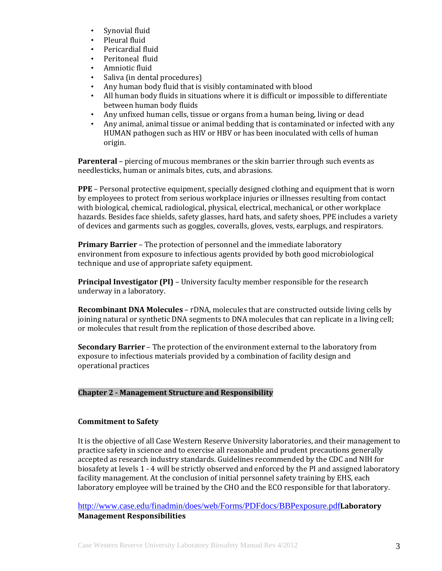- Synovial fluid<br>• Pleural fluid
- Pleural fluid<br>• Pericardial fl
- Pericardial fluid<br>• Peritoneal fluid
- Peritoneal fluid<br>• Amniotic fluid
- Amniotic fluid<br>• Saliva (in denta
- Saliva (in dental procedures)<br>• Any human hody fluid that is
- Any human body fluid that is visibly contaminated with blood<br>• All human body fluids in situations where it is difficult or impo
- All human body fluids in situations where it is difficult or impossible to differentiate between human body fluids
- Any unfixed human cells, tissue or organs from a human being, living or dead<br>• Any animal, animal tissue or animal bedding that is contaminated or infected v
- Any animal, animal tissue or animal bedding that is contaminated or infected with any HUMAN pathogen such as HIV or HBV or has been inoculated with cells of human origin.

**Parenteral** – piercing of mucous membranes or the skin barrier through such events as needlesticks, human or animals bites, cuts, and abrasions.

**PPE** – Personal protective equipment, specially designed clothing and equipment that is worn by employees to protect from serious workplace injuries or illnesses resulting from contact with biological, chemical, radiological, physical, electrical, mechanical, or other workplace hazards. Besides face shields, safety glasses, hard hats, and safety shoes, PPE includes a variety of devices and garments such as goggles, coveralls, gloves, vests, earplugs, and respirators.

**Primary Barrier** – The protection of personnel and the immediate laboratory environment from exposure to infectious agents provided by both good microbiological technique and use of appropriate safety equipment.

**Principal Investigator (PI)** – University faculty member responsible for the research underway in a laboratory.

**Recombinant DNA Molecules** – rDNA, molecules that are constructed outside living cells by joining natural or synthetic DNA segments to DNA molecules that can replicate in a living cell; or molecules that result from the replication of those described above.

**Secondary Barrier** – The protection of the environment external to the laboratory from exposure to infectious materials provided by a combination of facility design and operational practices

# <span id="page-5-0"></span>**Chapter 2 - Management Structure and Responsibility**

#### <span id="page-5-1"></span>**Commitment to Safety**

It is the objective of all Case Western Reserve University laboratories, and their management to practice safety in science and to exercise all reasonable and prudent precautions generally accepted as research industry standards. Guidelines recommended by the CDC and NIH for biosafety at levels 1 - 4 will be strictly observed and enforced by the PI and assigned laboratory facility management. At the conclusion of initial personnel safety training by EHS, each laboratory employee will be trained by the CHO and the ECO responsible for that laboratory.

<span id="page-5-2"></span><http://www.case.edu/finadmin/does/web/Forms/PDFdocs/BBPexposure.pdf>**Laboratory Management Responsibilities**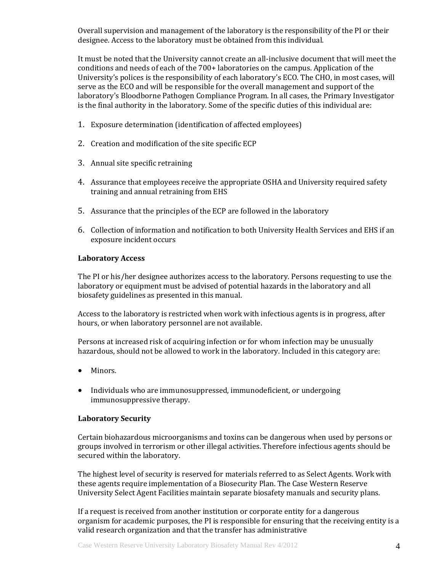Overall supervision and management of the laboratory is the responsibility of the PI or their designee. Access to the laboratory must be obtained from this individual.

It must be noted that the University cannot create an all-inclusive document that will meet the conditions and needs of each of the 700+ laboratories on the campus. Application of the University's polices is the responsibility of each laboratory's ECO. The CHO, in most cases, will serve as the ECO and will be responsible for the overall management and support of the laboratory's Bloodborne Pathogen Compliance Program. In all cases, the Primary Investigator is the final authority in the laboratory. Some of the specific duties of this individual are:

- 1. Exposure determination (identification of affected employees)
- 2. Creation and modification of the site specific ECP
- 3. Annual site specific retraining
- 4. Assurance that employees receive the appropriate OSHA and University required safety training and annual retraining from EHS
- 5. Assurance that the principles of the ECP are followed in the laboratory
- 6. Collection of information and notification to both University Health Services and EHS if an exposure incident occurs

#### <span id="page-6-0"></span>**Laboratory Access**

The PI or his/her designee authorizes access to the laboratory. Persons requesting to use the laboratory or equipment must be advised of potential hazards in the laboratory and all biosafety guidelines as presented in this manual.

Access to the laboratory is restricted when work with infectious agents is in progress, after hours, or when laboratory personnel are not available.

Persons at increased risk of acquiring infection or for whom infection may be unusually hazardous, should not be allowed to work in the laboratory. Included in this category are:

- Minors.
- Individuals who are immunosuppressed, immunodeficient, or undergoing immunosuppressive therapy.

#### <span id="page-6-1"></span>**Laboratory Security**

Certain biohazardous microorganisms and toxins can be dangerous when used by persons or groups involved in terrorism or other illegal activities. Therefore infectious agents should be secured within the laboratory.

The highest level of security is reserved for materials referred to as Select Agents. Work with these agents require implementation of a Biosecurity Plan. The Case Western Reserve University Select Agent Facilities maintain separate biosafety manuals and security plans.

If a request is received from another institution or corporate entity for a dangerous organism for academic purposes, the PI is responsible for ensuring that the receiving entity is a valid research organization and that the transfer has administrative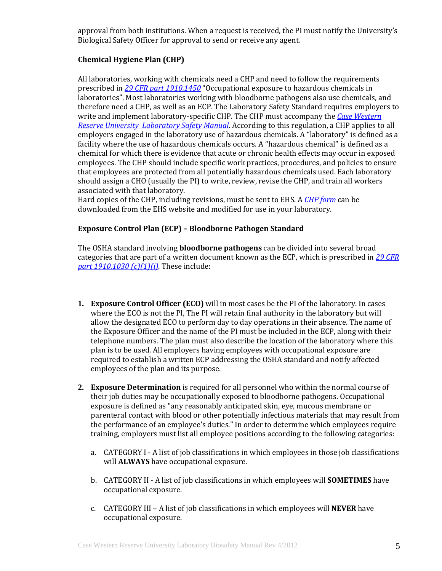approval from both institutions. When a request is received, the PI must notify the University's Biological Safety Officer for approval to send or receive any agent.

# <span id="page-7-0"></span>**Chemical Hygiene Plan (CHP)**

All laboratories, working with chemicals need a CHP and need to follow the requirements prescribed in *[29 CFR part 1910.1450](http://www.osha.gov/pls/oshaweb/owadisp.show_document?p_table=standards&p_id=10106)* "Occupational exposure to hazardous chemicals in laboratories". Most laboratories working with bloodborne pathogens also use chemicals, and therefore need a CHP, as well as an ECP. The Laboratory Safety Standard requires employers to write and implement laboratory-specific CHP. The CHP must accompany the *[Case Western](http://www.case.edu/finadmin/does/web/Forms/PDFdocs/ChemMan.PDF)  [Reserve University Laboratory Safety Manual](http://www.case.edu/finadmin/does/web/Forms/PDFdocs/ChemMan.PDF)*. According to this regulation, a CHP applies to all employers engaged in the laboratory use of hazardous chemicals. A "laboratory" is defined as a facility where the use of hazardous chemicals occurs. A "hazardous chemical" is defined as a chemical for which there is evidence that acute or chronic health effects may occur in exposed employees. The CHP should include specific work practices, procedures, and policies to ensure that employees are protected from all potentially hazardous chemicals used. Each laboratory should assign a CHO (usually the PI) to write, review, revise the CHP, and train all workers associated with that laboratory.

Hard copies of the CHP, including revisions, must be sent to EHS. A *[CHP form](http://www.case.edu/finadmin/does/web/Forms/PDFdocs/CHP_2003.pdf)* can be downloaded from the EHS website and modified for use in your laboratory.

### <span id="page-7-1"></span>**Exposure Control Plan (ECP) – Bloodborne Pathogen Standard**

The OSHA standard involving **bloodborne pathogens** can be divided into several broad categories that are part of a written document known as the ECP, which is prescribed in *[29 CFR](http://www.osha.gov/pls/oshaweb/owadisp.show_document?p_table=STANDARDS&p_id=10051)  [part 1910.1030 \(c\)\(1\)\(i\)](http://www.osha.gov/pls/oshaweb/owadisp.show_document?p_table=STANDARDS&p_id=10051)*. These include:

- <span id="page-7-2"></span>**1. Exposure Control Officer (ECO)** will in most cases be the PI of the laboratory. In cases where the ECO is not the PI, The PI will retain final authority in the laboratory but will allow the designated ECO to perform day to day operations in their absence. The name of the Exposure Officer and the name of the PI must be included in the ECP, along with their telephone numbers. The plan must also describe the location of the laboratory where this plan is to be used. All employers having employees with occupational exposure are required to establish a written ECP addressing the OSHA standard and notify affected employees of the plan and its purpose.
- <span id="page-7-3"></span>**2. Exposure Determination** is required for all personnel who within the normal course of their job duties may be occupationally exposed to bloodborne pathogens. Occupational exposure is defined as "any reasonably anticipated skin, eye, mucous membrane or parenteral contact with blood or other potentially infectious materials that may result from the performance of an employee's duties." In order to determine which employees require training, employers must list all employee positions according to the following categories:
	- a. CATEGORY I A list of job classifications in which employees in those job classifications will **ALWAYS** have occupational exposure.
	- b. CATEGORY II A list of job classifications in which employees will **SOMETIMES** have occupational exposure.
	- c. CATEGORY III A list of job classifications in which employees will **NEVER** have occupational exposure.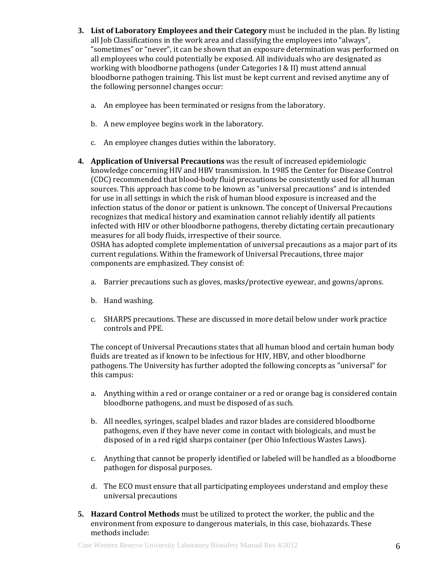- <span id="page-8-0"></span>**3. List of Laboratory Employees and their Category** must be included in the plan. By listing all Job Classifications in the work area and classifying the employees into "always", "sometimes" or "never", it can be shown that an exposure determination was performed on all employees who could potentially be exposed. All individuals who are designated as working with bloodborne pathogens (under Categories I & II) must attend annual bloodborne pathogen training. This list must be kept current and revised anytime any of the following personnel changes occur:
	- a. An employee has been terminated or resigns from the laboratory.
	- b. A new employee begins work in the laboratory.
	- c. An employee changes duties within the laboratory.
- <span id="page-8-1"></span>**4. Application of Universal Precautions** was the result of increased epidemiologic knowledge concerning HIV and HBV transmission. In 1985 the Center for Disease Control (CDC) recommended that blood-body fluid precautions be consistently used for all human sources. This approach has come to be known as "universal precautions" and is intended for use in all settings in which the risk of human blood exposure is increased and the infection status of the donor or patient is unknown. The concept of Universal Precautions recognizes that medical history and examination cannot reliably identify all patients infected with HIV or other bloodborne pathogens, thereby dictating certain precautionary measures for all body fluids, irrespective of their source.

OSHA has adopted complete implementation of universal precautions as a major part of its current regulations. Within the framework of Universal Precautions, three major components are emphasized. They consist of:

- a. Barrier precautions such as gloves, masks/protective eyewear, and gowns/aprons.
- b. Hand washing.
- c. SHARPS precautions. These are discussed in more detail below under work practice controls and PPE.

The concept of Universal Precautions states that all human blood and certain human body fluids are treated as if known to be infectious for HIV, HBV, and other bloodborne pathogens. The University has further adopted the following concepts as "universal" for this campus:

- a. Anything within a red or orange container or a red or orange bag is considered contain bloodborne pathogens, and must be disposed of as such.
- b. All needles, syringes, scalpel blades and razor blades are considered bloodborne pathogens, even if they have never come in contact with biologicals, and must be disposed of in a red rigid sharps container (per Ohio Infectious Wastes Laws).
- c. Anything that cannot be properly identified or labeled will be handled as a bloodborne pathogen for disposal purposes.
- d. The ECO must ensure that all participating employees understand and employ these universal precautions
- <span id="page-8-2"></span>**5. Hazard Control Methods** must be utilized to protect the worker, the public and the environment from exposure to dangerous materials, in this case, biohazards. These methods include: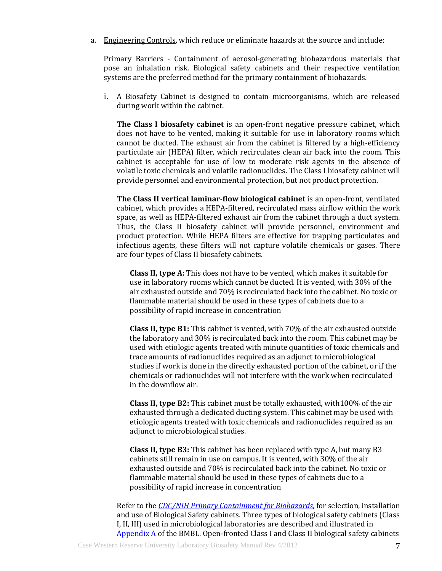a. Engineering Controls, which reduce or eliminate hazards at the source and include:

Primary Barriers - Containment of aerosol-generating biohazardous materials that pose an inhalation risk. Biological safety cabinets and their respective ventilation systems are the preferred method for the primary containment of biohazards.

i. A Biosafety Cabinet is designed to contain microorganisms, which are released during work within the cabinet.

**The Class I biosafety cabinet** is an open-front negative pressure cabinet, which does not have to be vented, making it suitable for use in laboratory rooms which cannot be ducted. The exhaust air from the cabinet is filtered by a high-efficiency particulate air (HEPA) filter, which recirculates clean air back into the room. This cabinet is acceptable for use of low to moderate risk agents in the absence of volatile toxic chemicals and volatile radionuclides. The Class I biosafety cabinet will provide personnel and environmental protection, but not product protection.

**The Class II vertical laminar-flow biological cabinet** is an open-front, ventilated cabinet, which provides a HEPA-filtered, recirculated mass airflow within the work space, as well as HEPA-filtered exhaust air from the cabinet through a duct system. Thus, the Class II biosafety cabinet will provide personnel, environment and product protection. While HEPA filters are effective for trapping particulates and infectious agents, these filters will not capture volatile chemicals or gases. There are four types of Class II biosafety cabinets.

**Class II, type A:** This does not have to be vented, which makes it suitable for use in laboratory rooms which cannot be ducted. It is vented, with 30% of the air exhausted outside and 70% is recirculated back into the cabinet. No toxic or flammable material should be used in these types of cabinets due to a possibility of rapid increase in concentration

**Class II, type B1:** This cabinet is vented, with 70% of the air exhausted outside the laboratory and 30% is recirculated back into the room. This cabinet may be used with etiologic agents treated with minute quantities of toxic chemicals and trace amounts of radionuclides required as an adjunct to microbiological studies if work is done in the directly exhausted portion of the cabinet, or if the chemicals or radionuclides will not interfere with the work when recirculated in the downflow air.

**Class II, type B2:** This cabinet must be totally exhausted, with100% of the air exhausted through a dedicated ducting system. This cabinet may be used with etiologic agents treated with toxic chemicals and radionuclides required as an adjunct to microbiological studies.

**Class II, type B3:** This cabinet has been replaced with type A, but many B3 cabinets still remain in use on campus. It is vented, with 30% of the air exhausted outside and 70% is recirculated back into the cabinet. No toxic or flammable material should be used in these types of cabinets due to a possibility of rapid increase in concentration

Refer to the *[CDC/NIH Primary Containment for Biohazards](http://www.cdc.gov/biosafety/publications/bmbl5/BMBL5_appendixA.pdf)*, for selection, installation and use of Biological Safety cabinets. Three types of biological safety cabinets (Class I, II, III) used in microbiological laboratories are described and illustrated in [Appendix A](http://www.cdc.gov/biosafety/publications/bmbl5/BMBL5_appendixA.pdf) of the BMBL. Open-fronted Class I and Class II biological safety cabinets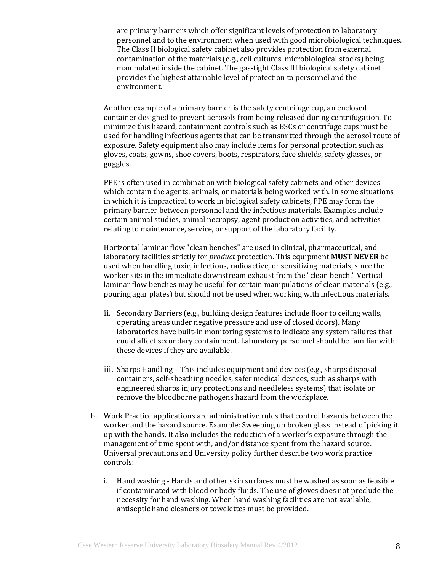are primary barriers which offer significant levels of protection to laboratory personnel and to the environment when used with good microbiological techniques. The Class II biological safety cabinet also provides protection from external contamination of the materials (e.g., cell cultures, microbiological stocks) being manipulated inside the cabinet. The gas-tight Class III biological safety cabinet provides the highest attainable level of protection to personnel and the environment.

Another example of a primary barrier is the safety centrifuge cup, an enclosed container designed to prevent aerosols from being released during centrifugation. To minimize this hazard, containment controls such as BSCs or centrifuge cups must be used for handling infectious agents that can be transmitted through the aerosol route of exposure. Safety equipment also may include items for personal protection such as gloves, coats, gowns, shoe covers, boots, respirators, face shields, safety glasses, or goggles.

PPE is often used in combination with biological safety cabinets and other devices which contain the agents, animals, or materials being worked with. In some situations in which it is impractical to work in biological safety cabinets, PPE may form the primary barrier between personnel and the infectious materials. Examples include certain animal studies, animal necropsy, agent production activities, and activities relating to maintenance, service, or support of the laboratory facility.

Horizontal laminar flow "clean benches" are used in clinical, pharmaceutical, and laboratory facilities strictly for *product* protection. This equipment **MUST NEVER** be used when handling toxic, infectious, radioactive, or sensitizing materials, since the worker sits in the immediate downstream exhaust from the "clean bench." Vertical laminar flow benches may be useful for certain manipulations of clean materials (e.g., pouring agar plates) but should not be used when working with infectious materials.

- ii. Secondary Barriers (e.g., building design features include floor to ceiling walls, operating areas under negative pressure and use of closed doors). Many laboratories have built-in monitoring systems to indicate any system failures that could affect secondary containment. Laboratory personnel should be familiar with these devices if they are available.
- iii. Sharps Handling This includes equipment and devices (e.g., sharps disposal containers, self-sheathing needles, safer medical devices, such as sharps with engineered sharps injury protections and needleless systems) that isolate or remove the bloodborne pathogens hazard from the workplace.
- b. Work Practice applications are administrative rules that control hazards between the worker and the hazard source. Example: Sweeping up broken glass instead of picking it up with the hands. It also includes the reduction of a worker's exposure through the management of time spent with, and/or distance spent from the hazard source. Universal precautions and University policy further describe two work practice controls:
	- i. Hand washing Hands and other skin surfaces must be washed as soon as feasible if contaminated with blood or body fluids. The use of gloves does not preclude the necessity for hand washing. When hand washing facilities are not available, antiseptic hand cleaners or towelettes must be provided.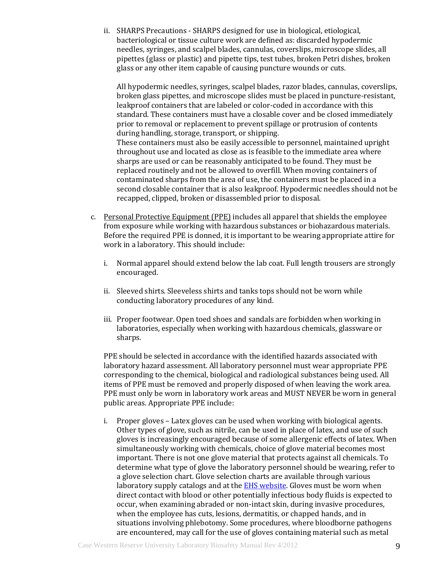ii. SHARPS Precautions - SHARPS designed for use in biological, etiological, bacteriological or tissue culture work are defined as: discarded hypodermic needles, syringes, and scalpel blades, cannulas, coverslips, microscope slides, all pipettes (glass or plastic) and pipette tips, test tubes, broken Petri dishes, broken glass or any other item capable of causing puncture wounds or cuts.

All hypodermic needles, syringes, scalpel blades, razor blades, cannulas, coverslips, broken glass pipettes, and microscope slides must be placed in puncture-resistant, leakproof containers that are labeled or color-coded in accordance with this standard. These containers must have a closable cover and be closed immediately prior to removal or replacement to prevent spillage or protrusion of contents during handling, storage, transport, or shipping. These containers must also be easily accessible to personnel, maintained upright throughout use and located as close as is feasible to the immediate area where sharps are used or can be reasonably anticipated to be found. They must be replaced routinely and not be allowed to overfill. When moving containers of contaminated sharps from the area of use, the containers must be placed in a

second closable container that is also leakproof. Hypodermic needles should not be

c. Personal Protective Equipment (PPE) includes all apparel that shields the employee from exposure while working with hazardous substances or biohazardous materials. Before the required PPE is donned, it is important to be wearing appropriate attire for work in a laboratory. This should include:

recapped, clipped, broken or disassembled prior to disposal.

- i. Normal apparel should extend below the lab coat. Full length trousers are strongly encouraged.
- ii. Sleeved shirts. Sleeveless shirts and tanks tops should not be worn while conducting laboratory procedures of any kind.
- iii. Proper footwear. Open toed shoes and sandals are forbidden when working in laboratories, especially when working with hazardous chemicals, glassware or sharps.

PPE should be selected in accordance with the identified hazards associated with laboratory hazard assessment. All laboratory personnel must wear appropriate PPE corresponding to the chemical, biological and radiological substances being used. All items of PPE must be removed and properly disposed of when leaving the work area. PPE must only be worn in laboratory work areas and MUST NEVER be worn in general public areas. Appropriate PPE include:

i. Proper gloves – Latex gloves can be used when working with biological agents. Other types of glove, such as nitrile, can be used in place of latex, and use of such gloves is increasingly encouraged because of some allergenic effects of latex. When simultaneously working with chemicals, choice of glove material becomes most important. There is not one glove material that protects against all chemicals. To determine what type of glove the laboratory personnel should be wearing, refer to a glove selection chart. Glove selection charts are available through various laboratory supply catalogs and at the EHS [website.](https://www.case.edu/finadmin/does/LabSafety/glove.html) Gloves must be worn when direct contact with blood or other potentially infectious body fluids is expected to occur, when examining abraded or non-intact skin, during invasive procedures, when the employee has cuts, lesions, dermatitis, or chapped hands, and in situations involving phlebotomy. Some procedures, where bloodborne pathogens are encountered, may call for the use of gloves containing material such as metal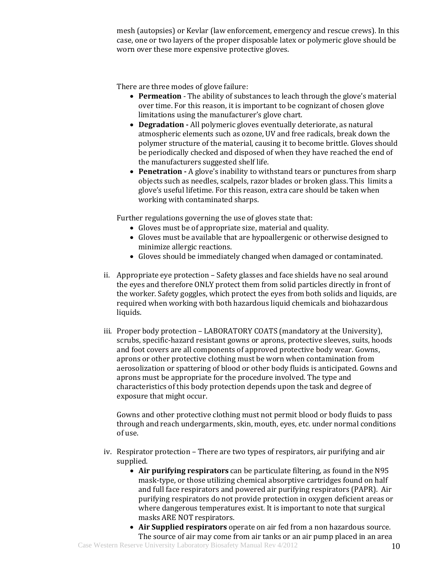mesh (autopsies) or Kevlar (law enforcement, emergency and rescue crews). In this case, one or two layers of the proper disposable latex or polymeric glove should be worn over these more expensive protective gloves.

There are three modes of glove failure:

- **Permeation** The ability of substances to leach through the glove's material over time. For this reason, it is important to be cognizant of chosen glove limitations using the manufacturer's glove chart.
- **Degradation -** All polymeric gloves eventually deteriorate, as natural atmospheric elements such as ozone, UV and free radicals, break down the polymer structure of the material, causing it to become brittle. Gloves should be periodically checked and disposed of when they have reached the end of the manufacturers suggested shelf life.
- **Penetration -** A glove's inability to withstand tears or punctures from sharp objects such as needles, scalpels, razor blades or broken glass. This limits a glove's useful lifetime. For this reason, extra care should be taken when working with contaminated sharps.

Further regulations governing the use of gloves state that:

- Gloves must be of appropriate size, material and quality.
- Gloves must be available that are hypoallergenic or otherwise designed to minimize allergic reactions.
- Gloves should be immediately changed when damaged or contaminated.
- ii. Appropriate eye protection Safety glasses and face shields have no seal around the eyes and therefore ONLY protect them from solid particles directly in front of the worker. Safety goggles, which protect the eyes from both solids and liquids, are required when working with both hazardous liquid chemicals and biohazardous liquids.
- iii. Proper body protection LABORATORY COATS (mandatory at the University), scrubs, specific-hazard resistant gowns or aprons, protective sleeves, suits, hoods and foot covers are all components of approved protective body wear. Gowns, aprons or other protective clothing must be worn when contamination from aerosolization or spattering of blood or other body fluids is anticipated. Gowns and aprons must be appropriate for the procedure involved. The type and characteristics of this body protection depends upon the task and degree of exposure that might occur.

Gowns and other protective clothing must not permit blood or body fluids to pass through and reach undergarments, skin, mouth, eyes, etc. under normal conditions of use.

- iv. Respirator protection There are two types of respirators, air purifying and air supplied.
	- **Air purifying respirators** can be particulate filtering, as found in the N95 mask-type, or those utilizing chemical absorptive cartridges found on half and full face respirators and powered air purifying respirators (PAPR). Air purifying respirators do not provide protection in oxygen deficient areas or where dangerous temperatures exist. It is important to note that surgical masks ARE NOT respirators.
	- **Air Supplied respirators** operate on air fed from a non hazardous source. The source of air may come from air tanks or an air pump placed in an area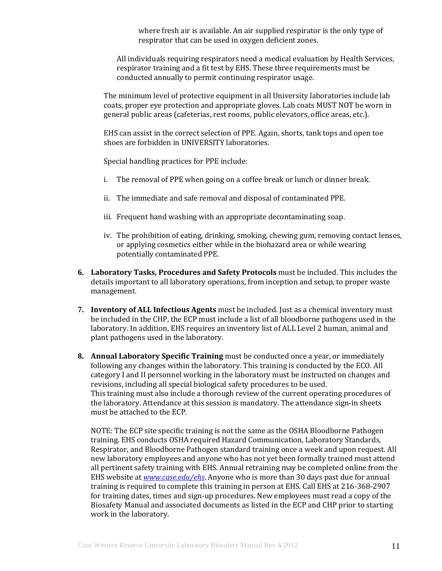where fresh air is available. An air supplied respirator is the only type of respirator that can be used in oxygen deficient zones.

All individuals requiring respirators need a medical evaluation by Health Services, respirator training and a fit test by EHS. These three requirements must be conducted annually to permit continuing respirator usage.

The minimum level of protective equipment in all University laboratories include lab coats, proper eye protection and appropriate gloves. Lab coats MUST NOT be worn in general public areas (cafeterias, rest rooms, public elevators, office areas, etc.).

EHS can assist in the correct selection of PPE. Again, shorts, tank tops and open toe shoes are forbidden in UNIVERSITY laboratories.

Special handling practices for PPE include:

- i. The removal of PPE when going on a coffee break or lunch or dinner break.
- ii. The immediate and safe removal and disposal of contaminated PPE.
- iii. Frequent hand washing with an appropriate decontaminating soap.
- iv. The prohibition of eating, drinking, smoking, chewing gum, removing contact lenses, or applying cosmetics either while in the biohazard area or while wearing potentially contaminated PPE.
- <span id="page-13-0"></span>**6. Laboratory Tasks, Procedures and Safety Protocols** must be included. This includes the details important to all laboratory operations, from inception and setup, to proper waste management.
- <span id="page-13-1"></span>**7. Inventory of ALL Infectious Agents** must be included. Just as a chemical inventory must be included in the CHP, the ECP must include a list of all bloodborne pathogens used in the laboratory. In addition, EHS requires an inventory list of ALL Level 2 human, animal and plant pathogens used in the laboratory.
- <span id="page-13-2"></span>**8. Annual Laboratory Specific Training** must be conducted once a year, or immediately following any changes within the laboratory. This training is conducted by the ECO. All category I and II personnel working in the laboratory must be instructed on changes and revisions, including all special biological safety procedures to be used. This training must also include a thorough review of the current operating procedures of the laboratory. Attendance at this session is mandatory. The attendance sign-in sheets must be attached to the ECP.

NOTE: The ECP site specific training is not the same as the OSHA Bloodborne Pathogen training. EHS conducts OSHA required Hazard Communication, Laboratory Standards, Respirator, and Bloodborne Pathogen standard training once a week and upon request. All new laboratory employees and anyone who has not yet been formally trained must attend all pertinent safety training with EHS. Annual retraining may be completed online from the EHS website at *[www.case.edu/ehs](http://www.case.edu/ehs)*. Anyone who is more than 30 days past due for annual training is required to complete this training in person at EHS. Call EHS at 216-368-2907 for training dates, times and sign-up procedures. New employees must read a copy of the Biosafety Manual and associated documents as listed in the ECP and CHP prior to starting work in the laboratory.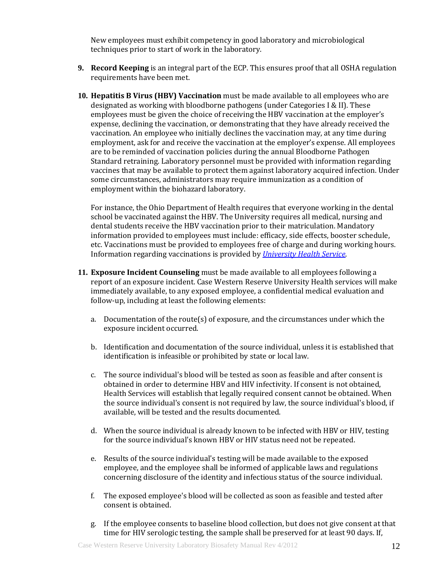New employees must exhibit competency in good laboratory and microbiological techniques prior to start of work in the laboratory.

- <span id="page-14-0"></span>**9. Record Keeping** is an integral part of the ECP. This ensures proof that all OSHA regulation requirements have been met.
- <span id="page-14-1"></span>**10. Hepatitis B Virus (HBV) Vaccination** must be made available to all employees who are designated as working with bloodborne pathogens (under Categories I & II). These employees must be given the choice of receiving the HBV vaccination at the employer's expense, declining the vaccination, or demonstrating that they have already received the vaccination. An employee who initially declines the vaccination may, at any time during employment, ask for and receive the vaccination at the employer's expense. All employees are to be reminded of vaccination policies during the annual Bloodborne Pathogen Standard retraining. Laboratory personnel must be provided with information regarding vaccines that may be available to protect them against laboratory acquired infection. Under some circumstances, administrators may require immunization as a condition of employment within the biohazard laboratory.

For instance, the Ohio Department of Health requires that everyone working in the dental school be vaccinated against the HBV. The University requires all medical, nursing and dental students receive the HBV vaccination prior to their matriculation. Mandatory information provided to employees must include: efficacy, side effects, booster schedule, etc. Vaccinations must be provided to employees free of charge and during working hours. Information regarding vaccinations is provided by *[University Health Service](http://studentaffairs.case.edu/health/)*.

- <span id="page-14-2"></span>**11. Exposure Incident Counseling** must be made available to all employees following a report of an exposure incident. Case Western Reserve University Health services will make immediately available, to any exposed employee, a confidential medical evaluation and follow-up, including at least the following elements:
	- a. Documentation of the route(s) of exposure, and the circumstances under which the exposure incident occurred.
	- b. Identification and documentation of the source individual, unless it is established that identification is infeasible or prohibited by state or local law.
	- c. The source individual's blood will be tested as soon as feasible and after consent is obtained in order to determine HBV and HIV infectivity. If consent is not obtained, Health Services will establish that legally required consent cannot be obtained. When the source individual's consent is not required by law, the source individual's blood, if available, will be tested and the results documented.
	- d. When the source individual is already known to be infected with HBV or HIV, testing for the source individual's known HBV or HIV status need not be repeated.
	- e. Results of the source individual's testing will be made available to the exposed employee, and the employee shall be informed of applicable laws and regulations concerning disclosure of the identity and infectious status of the source individual.
	- f. The exposed employee's blood will be collected as soon as feasible and tested after consent is obtained.
	- g. If the employee consents to baseline blood collection, but does not give consent at that time for HIV serologic testing, the sample shall be preserved for at least 90 days. If,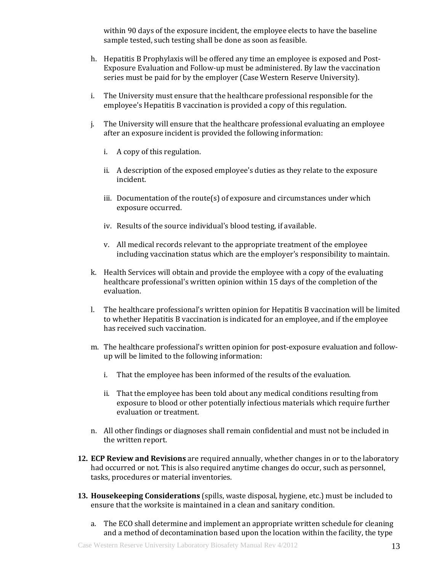within 90 days of the exposure incident, the employee elects to have the baseline sample tested, such testing shall be done as soon as feasible.

- h. Hepatitis B Prophylaxis will be offered any time an employee is exposed and Post-Exposure Evaluation and Follow-up must be administered. By law the vaccination series must be paid for by the employer (Case Western Reserve University).
- i. The University must ensure that the healthcare professional responsible for the employee's Hepatitis B vaccination is provided a copy of this regulation.
- j. The University will ensure that the healthcare professional evaluating an employee after an exposure incident is provided the following information:
	- i. A copy of this regulation.
	- ii. A description of the exposed employee's duties as they relate to the exposure incident.
	- iii. Documentation of the route(s) of exposure and circumstances under which exposure occurred.
	- iv. Results of the source individual's blood testing, if available.
	- v. All medical records relevant to the appropriate treatment of the employee including vaccination status which are the employer's responsibility to maintain.
- k. Health Services will obtain and provide the employee with a copy of the evaluating healthcare professional's written opinion within 15 days of the completion of the evaluation.
- l. The healthcare professional's written opinion for Hepatitis B vaccination will be limited to whether Hepatitis B vaccination is indicated for an employee, and if the employee has received such vaccination.
- m. The healthcare professional's written opinion for post-exposure evaluation and followup will be limited to the following information:
	- i. That the employee has been informed of the results of the evaluation.
	- ii. That the employee has been told about any medical conditions resulting from exposure to blood or other potentially infectious materials which require further evaluation or treatment.
- n. All other findings or diagnoses shall remain confidential and must not be included in the written report.
- <span id="page-15-0"></span>**12. ECP Review and Revisions** are required annually, whether changes in or to the laboratory had occurred or not. This is also required anytime changes do occur, such as personnel, tasks, procedures or material inventories.
- <span id="page-15-1"></span>**13. Housekeeping Considerations** (spills, waste disposal, hygiene, etc.) must be included to ensure that the worksite is maintained in a clean and sanitary condition.
	- a. The ECO shall determine and implement an appropriate written schedule for cleaning and a method of decontamination based upon the location within the facility, the type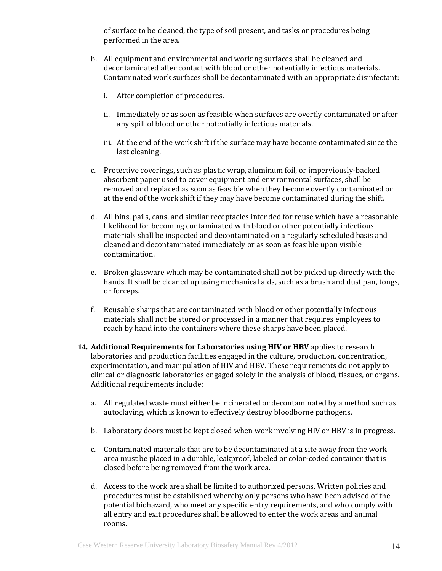of surface to be cleaned, the type of soil present, and tasks or procedures being performed in the area.

- b. All equipment and environmental and working surfaces shall be cleaned and decontaminated after contact with blood or other potentially infectious materials. Contaminated work surfaces shall be decontaminated with an appropriate disinfectant:
	- i. After completion of procedures.
	- ii. Immediately or as soon as feasible when surfaces are overtly contaminated or after any spill of blood or other potentially infectious materials.
	- iii. At the end of the work shift if the surface may have become contaminated since the last cleaning.
- c. Protective coverings, such as plastic wrap, aluminum foil, or imperviously-backed absorbent paper used to cover equipment and environmental surfaces, shall be removed and replaced as soon as feasible when they become overtly contaminated or at the end of the work shift if they may have become contaminated during the shift.
- d. All bins, pails, cans, and similar receptacles intended for reuse which have a reasonable likelihood for becoming contaminated with blood or other potentially infectious materials shall be inspected and decontaminated on a regularly scheduled basis and cleaned and decontaminated immediately or as soon as feasible upon visible contamination.
- e. Broken glassware which may be contaminated shall not be picked up directly with the hands. It shall be cleaned up using mechanical aids, such as a brush and dust pan, tongs, or forceps.
- f. Reusable sharps that are contaminated with blood or other potentially infectious materials shall not be stored or processed in a manner that requires employees to reach by hand into the containers where these sharps have been placed.
- <span id="page-16-0"></span>**14. Additional Requirements for Laboratories using HIV or HBV** applies to research laboratories and production facilities engaged in the culture, production, concentration, experimentation, and manipulation of HIV and HBV. These requirements do not apply to clinical or diagnostic laboratories engaged solely in the analysis of blood, tissues, or organs. Additional requirements include:
	- a. All regulated waste must either be incinerated or decontaminated by a method such as autoclaving, which is known to effectively destroy bloodborne pathogens.
	- b. Laboratory doors must be kept closed when work involving HIV or HBV is in progress.
	- c. Contaminated materials that are to be decontaminated at a site away from the work area must be placed in a durable, leakproof, labeled or color-coded container that is closed before being removed from the work area.
	- d. Access to the work area shall be limited to authorized persons. Written policies and procedures must be established whereby only persons who have been advised of the potential biohazard, who meet any specific entry requirements, and who comply with all entry and exit procedures shall be allowed to enter the work areas and animal rooms.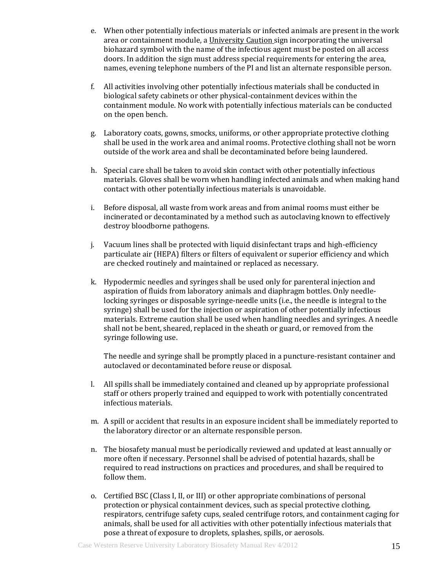- e. When other potentially infectious materials or infected animals are present in the work area or containment module, a University Caution sign incorporating the universal biohazard symbol with the name of the infectious agent must be posted on all access doors. In addition the sign must address special requirements for entering the area, names, evening telephone numbers of the PI and list an alternate responsible person.
- f. All activities involving other potentially infectious materials shall be conducted in biological safety cabinets or other physical-containment devices within the containment module. No work with potentially infectious materials can be conducted on the open bench.
- g. Laboratory coats, gowns, smocks, uniforms, or other appropriate protective clothing shall be used in the work area and animal rooms. Protective clothing shall not be worn outside of the work area and shall be decontaminated before being laundered.
- h. Special care shall be taken to avoid skin contact with other potentially infectious materials. Gloves shall be worn when handling infected animals and when making hand contact with other potentially infectious materials is unavoidable.
- i. Before disposal, all waste from work areas and from animal rooms must either be incinerated or decontaminated by a method such as autoclaving known to effectively destroy bloodborne pathogens.
- j. Vacuum lines shall be protected with liquid disinfectant traps and high-efficiency particulate air (HEPA) filters or filters of equivalent or superior efficiency and which are checked routinely and maintained or replaced as necessary.
- k. Hypodermic needles and syringes shall be used only for parenteral injection and aspiration of fluids from laboratory animals and diaphragm bottles. Only needlelocking syringes or disposable syringe-needle units (i.e., the needle is integral to the syringe) shall be used for the injection or aspiration of other potentially infectious materials. Extreme caution shall be used when handling needles and syringes. A needle shall not be bent, sheared, replaced in the sheath or guard, or removed from the syringe following use.

The needle and syringe shall be promptly placed in a puncture-resistant container and autoclaved or decontaminated before reuse or disposal.

- l. All spills shall be immediately contained and cleaned up by appropriate professional staff or others properly trained and equipped to work with potentially concentrated infectious materials.
- m. A spill or accident that results in an exposure incident shall be immediately reported to the laboratory director or an alternate responsible person.
- n. The biosafety manual must be periodically reviewed and updated at least annually or more often if necessary. Personnel shall be advised of potential hazards, shall be required to read instructions on practices and procedures, and shall be required to follow them.
- o. Certified BSC (Class I, II, or III) or other appropriate combinations of personal protection or physical containment devices, such as special protective clothing, respirators, centrifuge safety cups, sealed centrifuge rotors, and containment caging for animals, shall be used for all activities with other potentially infectious materials that pose a threat of exposure to droplets, splashes, spills, or aerosols.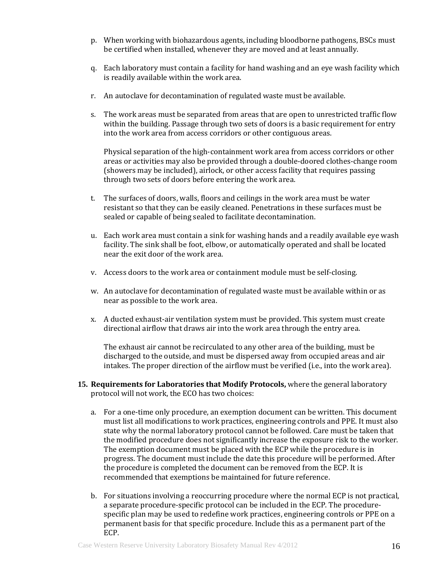- p. When working with biohazardous agents, including bloodborne pathogens, BSCs must be certified when installed, whenever they are moved and at least annually.
- q. Each laboratory must contain a facility for hand washing and an eye wash facility which is readily available within the work area.
- r. An autoclave for decontamination of regulated waste must be available.
- s. The work areas must be separated from areas that are open to unrestricted traffic flow within the building. Passage through two sets of doors is a basic requirement for entry into the work area from access corridors or other contiguous areas.

Physical separation of the high-containment work area from access corridors or other areas or activities may also be provided through a double-doored clothes-change room (showers may be included), airlock, or other access facility that requires passing through two sets of doors before entering the work area.

- t. The surfaces of doors, walls, floors and ceilings in the work area must be water resistant so that they can be easily cleaned. Penetrations in these surfaces must be sealed or capable of being sealed to facilitate decontamination.
- u. Each work area must contain a sink for washing hands and a readily available eye wash facility. The sink shall be foot, elbow, or automatically operated and shall be located near the exit door of the work area.
- v. Access doors to the work area or containment module must be self-closing.
- w. An autoclave for decontamination of regulated waste must be available within or as near as possible to the work area.
- x. A ducted exhaust-air ventilation system must be provided. This system must create directional airflow that draws air into the work area through the entry area.

The exhaust air cannot be recirculated to any other area of the building, must be discharged to the outside, and must be dispersed away from occupied areas and air intakes. The proper direction of the airflow must be verified (i.e., into the work area).

- <span id="page-18-0"></span>**15. Requirements for Laboratories that Modify Protocols,** where the general laboratory protocol will not work, the ECO has two choices:
	- a. For a one-time only procedure, an exemption document can be written. This document must list all modifications to work practices, engineering controls and PPE. It must also state why the normal laboratory protocol cannot be followed. Care must be taken that the modified procedure does not significantly increase the exposure risk to the worker. The exemption document must be placed with the ECP while the procedure is in progress. The document must include the date this procedure will be performed. After the procedure is completed the document can be removed from the ECP. It is recommended that exemptions be maintained for future reference.
	- b. For situations involving a reoccurring procedure where the normal ECP is not practical, a separate procedure-specific protocol can be included in the ECP. The procedurespecific plan may be used to redefine work practices, engineering controls or PPE on a permanent basis for that specific procedure. Include this as a permanent part of the ECP.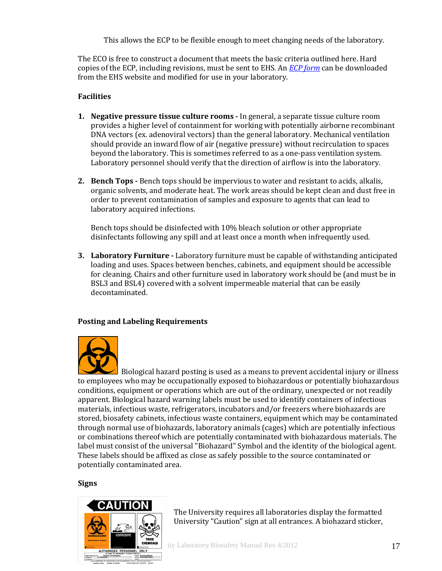This allows the ECP to be flexible enough to meet changing needs of the laboratory.

The ECO is free to construct a document that meets the basic criteria outlined here. Hard copies of the ECP, including revisions, must be sent to EHS. An *[ECP form](http://www.case.edu/finadmin/does/web/Forms/PDFdocs/BBPexposure.pdf)* can be downloaded from the EHS website and modified for use in your laboratory.

## <span id="page-19-0"></span>**Facilities**

- <span id="page-19-1"></span>**1. Negative pressure tissue culture rooms -** In general, a separate tissue culture room provides a higher level of containment for working with potentially airborne recombinant DNA vectors (ex. adenoviral vectors) than the general laboratory. Mechanical ventilation should provide an inward flow of air (negative pressure) without recirculation to spaces beyond the laboratory. This is sometimes referred to as a one-pass ventilation system. Laboratory personnel should verify that the direction of airflow is into the laboratory.
- <span id="page-19-2"></span>**2. Bench Tops -** Bench tops should be impervious to water and resistant to acids, alkalis, organic solvents, and moderate heat. The work areas should be kept clean and dust free in order to prevent contamination of samples and exposure to agents that can lead to laboratory acquired infections.

Bench tops should be disinfected with 10% bleach solution or other appropriate disinfectants following any spill and at least once a month when infrequently used.

<span id="page-19-3"></span>**3. Laboratory Furniture -** Laboratory furniture must be capable of withstanding anticipated loading and uses. Spaces between benches, cabinets, and equipment should be accessible for cleaning. Chairs and other furniture used in laboratory work should be (and must be in BSL3 and BSL4) covered with a solvent impermeable material that can be easily decontaminated.

# <span id="page-19-4"></span>**Posting and Labeling Requirements**



 Biological hazard posting is used as a means to prevent accidental injury or illness to employees who may be occupationally exposed to biohazardous or potentially biohazardous conditions, equipment or operations which are out of the ordinary, unexpected or not readily apparent. Biological hazard warning labels must be used to identify containers of infectious materials, infectious waste, refrigerators, incubators and/or freezers where biohazards are stored, biosafety cabinets, infectious waste containers, equipment which may be contaminated through normal use of biohazards, laboratory animals (cages) which are potentially infectious or combinations thereof which are potentially contaminated with biohazardous materials. The label must consist of the universal "Biohazard" Symbol and the identity of the biological agent. These labels should be affixed as close as safely possible to the source contaminated or potentially contaminated area.

# <span id="page-19-5"></span>**Signs**



The University requires all laboratories display the formatted University "Caution" sign at all entrances. A biohazard sticker,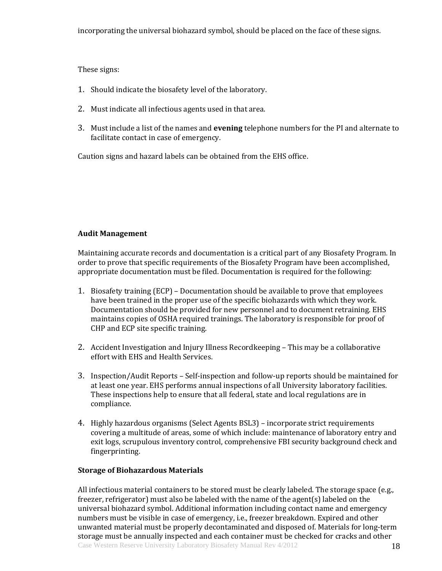### These signs:

- 1. Should indicate the biosafety level of the laboratory.
- 2. Must indicate all infectious agents used in that area.
- 3. Must include a list of the names and **evening** telephone numbers for the PI and alternate to facilitate contact in case of emergency.

<span id="page-20-0"></span>Caution signs and hazard labels can be obtained from the EHS office.

## **Audit Management**

Maintaining accurate records and documentation is a critical part of any Biosafety Program. In order to prove that specific requirements of the Biosafety Program have been accomplished, appropriate documentation must be filed. Documentation is required for the following:

- 1. Biosafety training (ECP) Documentation should be available to prove that employees have been trained in the proper use of the specific biohazards with which they work. Documentation should be provided for new personnel and to document retraining. EHS maintains copies of OSHA required trainings. The laboratory is responsible for proof of CHP and ECP site specific training.
- 2. Accident Investigation and Injury Illness Recordkeeping This may be a collaborative effort with EHS and Health Services.
- 3. Inspection/Audit Reports Self-inspection and follow-up reports should be maintained for at least one year. EHS performs annual inspections of all University laboratory facilities. These inspections help to ensure that all federal, state and local regulations are in compliance.
- 4. Highly hazardous organisms (Select Agents BSL3) incorporate strict requirements covering a multitude of areas, some of which include: maintenance of laboratory entry and exit logs, scrupulous inventory control, comprehensive FBI security background check and fingerprinting.

#### <span id="page-20-1"></span>**Storage of Biohazardous Materials**

Case Western Reserve University Laboratory Biosafety Manual Rev 4/2012 18 All infectious material containers to be stored must be clearly labeled. The storage space (e.g., freezer, refrigerator) must also be labeled with the name of the agent(s) labeled on the universal biohazard symbol. Additional information including contact name and emergency numbers must be visible in case of emergency, i.e., freezer breakdown. Expired and other unwanted material must be properly decontaminated and disposed of. Materials for long-term storage must be annually inspected and each container must be checked for cracks and other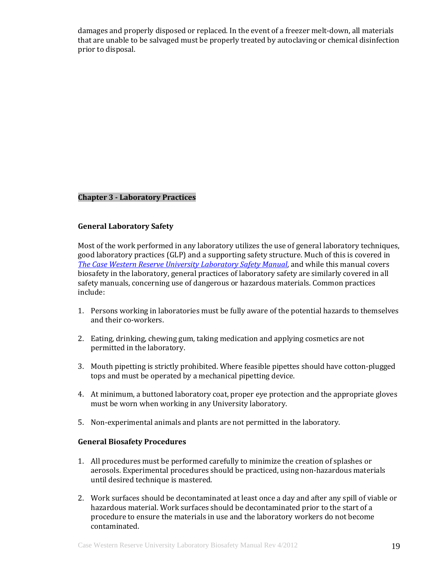damages and properly disposed or replaced. In the event of a freezer melt-down, all materials that are unable to be salvaged must be properly treated by autoclaving or chemical disinfection prior to disposal.

## <span id="page-21-0"></span>**Chapter 3 - Laboratory Practices**

#### <span id="page-21-1"></span>**General Laboratory Safety**

Most of the work performed in any laboratory utilizes the use of general laboratory techniques, good laboratory practices (GLP) and a supporting safety structure. Much of this is covered in *The Case [Western Reserve University](http://www.case.edu/finadmin/does/web/Forms/PDFdocs/ChemMan.PDF) Laboratory Safety Manual*, and while this manual covers biosafety in the laboratory, general practices of laboratory safety are similarly covered in all safety manuals, concerning use of dangerous or hazardous materials. Common practices include:

- 1. Persons working in laboratories must be fully aware of the potential hazards to themselves and their co-workers.
- 2. Eating, drinking, chewing gum, taking medication and applying cosmetics are not permitted in the laboratory.
- 3. Mouth pipetting is strictly prohibited. Where feasible pipettes should have cotton-plugged tops and must be operated by a mechanical pipetting device.
- 4. At minimum, a buttoned laboratory coat, proper eye protection and the appropriate gloves must be worn when working in any University laboratory.
- <span id="page-21-2"></span>5. Non-experimental animals and plants are not permitted in the laboratory.

#### **General Biosafety Procedures**

- 1. All procedures must be performed carefully to minimize the creation of splashes or aerosols. Experimental procedures should be practiced, using non-hazardous materials until desired technique is mastered.
- 2. Work surfaces should be decontaminated at least once a day and after any spill of viable or hazardous material. Work surfaces should be decontaminated prior to the start of a procedure to ensure the materials in use and the laboratory workers do not become contaminated.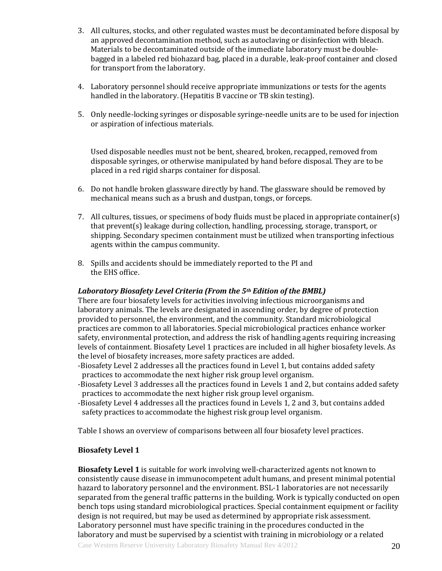- 3. All cultures, stocks, and other regulated wastes must be decontaminated before disposal by an approved decontamination method, such as autoclaving or disinfection with bleach. Materials to be decontaminated outside of the immediate laboratory must be doublebagged in a labeled red biohazard bag, placed in a durable, leak-proof container and closed for transport from the laboratory.
- 4. Laboratory personnel should receive appropriate immunizations or tests for the agents handled in the laboratory. (Hepatitis B vaccine or TB skin testing).
- 5. Only needle-locking syringes or disposable syringe-needle units are to be used for injection or aspiration of infectious materials.

Used disposable needles must not be bent, sheared, broken, recapped, removed from disposable syringes, or otherwise manipulated by hand before disposal. They are to be placed in a red rigid sharps container for disposal.

- 6. Do not handle broken glassware directly by hand. The glassware should be removed by mechanical means such as a brush and dustpan, tongs, or forceps.
- 7. All cultures, tissues, or specimens of body fluids must be placed in appropriate container(s) that prevent(s) leakage during collection, handling, processing, storage, transport, or shipping. Secondary specimen containment must be utilized when transporting infectious agents within the campus community.
- 8. Spills and accidents should be immediately reported to the PI and the EHS office.

## *Laboratory Biosafety Level Criteria (From the 5th Edition of the BMBL)*

There are four biosafety levels for activities involving infectious microorganisms and laboratory animals. The levels are designated in ascending order, by degree of protection provided to personnel, the environment, and the community. Standard microbiological practices are common to all laboratories. Special microbiological practices enhance worker safety, environmental protection, and address the risk of handling agents requiring increasing levels of containment. Biosafety Level 1 practices are included in all higher biosafety levels. As the level of biosafety increases, more safety practices are added.

- -Biosafety Level 2 addresses all the practices found in Level 1, but contains added safety practices to accommodate the next higher risk group level organism.
- -Biosafety Level 3 addresses all the practices found in Levels 1 and 2, but contains added safety practices to accommodate the next higher risk group level organism.
- -Biosafety Level 4 addresses all the practices found in Levels 1, 2 and 3, but contains added safety practices to accommodate the highest risk group level organism.

<span id="page-22-0"></span>Table I shows an overview of comparisons between all four biosafety level practices.

## **Biosafety Level 1**

**Biosafety Level 1** is suitable for work involving well-characterized agents not known to consistently cause disease in immunocompetent adult humans, and present minimal potential hazard to laboratory personnel and the environment. BSL-1 laboratories are not necessarily separated from the general traffic patterns in the building. Work is typically conducted on open bench tops using standard microbiological practices. Special containment equipment or facility design is not required, but may be used as determined by appropriate risk assessment. Laboratory personnel must have specific training in the procedures conducted in the laboratory and must be supervised by a scientist with training in microbiology or a related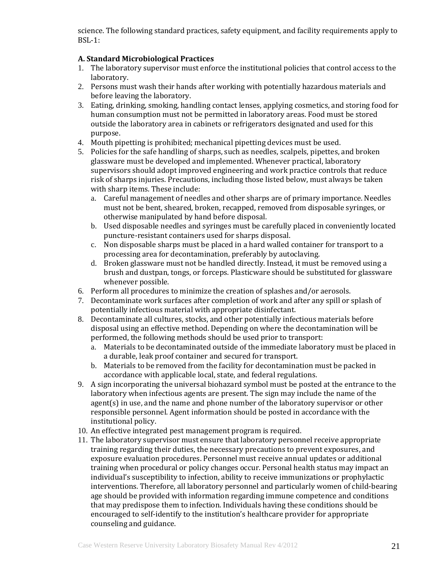science. The following standard practices, safety equipment, and facility requirements apply to BSL-1:

## **A. Standard Microbiological Practices**

- 1. The laboratory supervisor must enforce the institutional policies that control access to the laboratory.
- 2. Persons must wash their hands after working with potentially hazardous materials and before leaving the laboratory.
- 3. Eating, drinking, smoking, handling contact lenses, applying cosmetics, and storing food for human consumption must not be permitted in laboratory areas. Food must be stored outside the laboratory area in cabinets or refrigerators designated and used for this purpose.
- 4. Mouth pipetting is prohibited; mechanical pipetting devices must be used.
- 5. Policies for the safe handling of sharps, such as needles, scalpels, pipettes, and broken glassware must be developed and implemented. Whenever practical, laboratory supervisors should adopt improved engineering and work practice controls that reduce risk of sharps injuries. Precautions, including those listed below, must always be taken with sharp items. These include:
	- a. Careful management of needles and other sharps are of primary importance. Needles must not be bent, sheared, broken, recapped, removed from disposable syringes, or otherwise manipulated by hand before disposal.
	- b. Used disposable needles and syringes must be carefully placed in conveniently located puncture-resistant containers used for sharps disposal.
	- c. Non disposable sharps must be placed in a hard walled container for transport to a processing area for decontamination, preferably by autoclaving.
	- d. Broken glassware must not be handled directly. Instead, it must be removed using a brush and dustpan, tongs, or forceps. Plasticware should be substituted for glassware whenever possible.
- 6. Perform all procedures to minimize the creation of splashes and/or aerosols.
- 7. Decontaminate work surfaces after completion of work and after any spill or splash of potentially infectious material with appropriate disinfectant.
- 8. Decontaminate all cultures, stocks, and other potentially infectious materials before disposal using an effective method. Depending on where the decontamination will be performed, the following methods should be used prior to transport:
	- a. Materials to be decontaminated outside of the immediate laboratory must be placed in a durable, leak proof container and secured for transport.
	- b. Materials to be removed from the facility for decontamination must be packed in accordance with applicable local, state, and federal regulations.
- 9. A sign incorporating the universal biohazard symbol must be posted at the entrance to the laboratory when infectious agents are present. The sign may include the name of the agent(s) in use, and the name and phone number of the laboratory supervisor or other responsible personnel. Agent information should be posted in accordance with the institutional policy.
- 10. An effective integrated pest management program is required.
- 11. The laboratory supervisor must ensure that laboratory personnel receive appropriate training regarding their duties, the necessary precautions to prevent exposures, and exposure evaluation procedures. Personnel must receive annual updates or additional training when procedural or policy changes occur. Personal health status may impact an individual's susceptibility to infection, ability to receive immunizations or prophylactic interventions. Therefore, all laboratory personnel and particularly women of child-bearing age should be provided with information regarding immune competence and conditions that may predispose them to infection. Individuals having these conditions should be encouraged to self-identify to the institution's healthcare provider for appropriate counseling and guidance.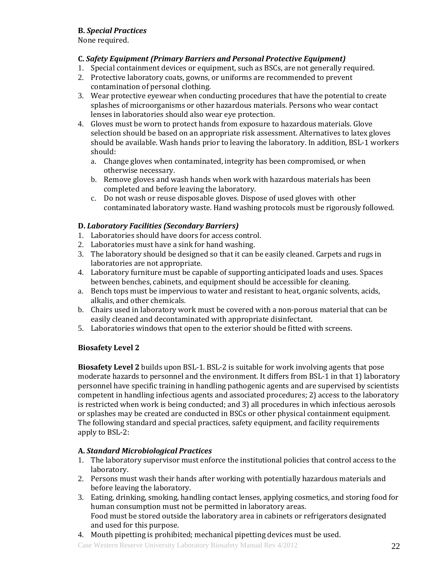# **B.** *Special Practices*

None required.

# **C.** *Safety Equipment (Primary Barriers and Personal Protective Equipment)*

- 1. Special containment devices or equipment, such as BSCs, are not generally required.
- 2. Protective laboratory coats, gowns, or uniforms are recommended to prevent contamination of personal clothing.
- 3. Wear protective eyewear when conducting procedures that have the potential to create splashes of microorganisms or other hazardous materials. Persons who wear contact lenses in laboratories should also wear eye protection.
- 4. Gloves must be worn to protect hands from exposure to hazardous materials. Glove selection should be based on an appropriate risk assessment. Alternatives to latex gloves should be available. Wash hands prior to leaving the laboratory. In addition, BSL-1 workers should:
	- a. Change gloves when contaminated, integrity has been compromised, or when otherwise necessary.
	- b. Remove gloves and wash hands when work with hazardous materials has been completed and before leaving the laboratory.
	- c. Do not wash or reuse disposable gloves. Dispose of used gloves with other contaminated laboratory waste. Hand washing protocols must be rigorously followed.

# **D.** *Laboratory Facilities (Secondary Barriers)*

- 1. Laboratories should have doors for access control.
- 2. Laboratories must have a sink for hand washing.
- 3. The laboratory should be designed so that it can be easily cleaned. Carpets and rugs in laboratories are not appropriate.
- 4. Laboratory furniture must be capable of supporting anticipated loads and uses. Spaces between benches, cabinets, and equipment should be accessible for cleaning.
- a. Bench tops must be impervious to water and resistant to heat, organic solvents, acids, alkalis, and other chemicals.
- b. Chairs used in laboratory work must be covered with a non-porous material that can be easily cleaned and decontaminated with appropriate disinfectant.
- <span id="page-24-0"></span>5. Laboratories windows that open to the exterior should be fitted with screens.

## **Biosafety Level 2**

**Biosafety Level 2** builds upon BSL-1. BSL-2 is suitable for work involving agents that pose moderate hazards to personnel and the environment. It differs from BSL-1 in that 1) laboratory personnel have specific training in handling pathogenic agents and are supervised by scientists competent in handling infectious agents and associated procedures; 2) access to the laboratory is restricted when work is being conducted; and 3) all procedures in which infectious aerosols or splashes may be created are conducted in BSCs or other physical containment equipment. The following standard and special practices, safety equipment, and facility requirements apply to BSL-2:

# **A.** *Standard Microbiological Practices*

- 1. The laboratory supervisor must enforce the institutional policies that control access to the laboratory.
- 2. Persons must wash their hands after working with potentially hazardous materials and before leaving the laboratory.
- 3. Eating, drinking, smoking, handling contact lenses, applying cosmetics, and storing food for human consumption must not be permitted in laboratory areas. Food must be stored outside the laboratory area in cabinets or refrigerators designated and used for this purpose.
- 4. Mouth pipetting is prohibited; mechanical pipetting devices must be used.

Case Western Reserve University Laboratory Biosafety Manual Rev 4/2012 22 22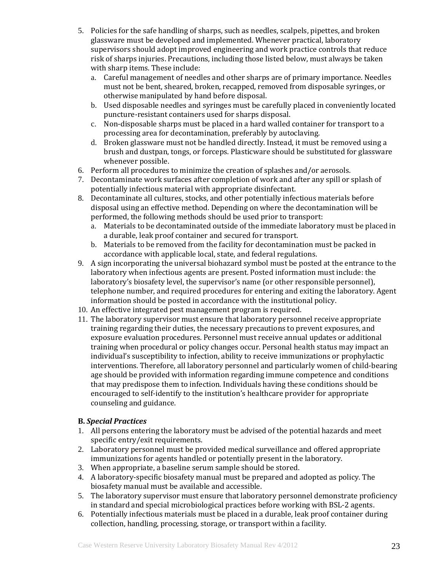- 5. Policies for the safe handling of sharps, such as needles, scalpels, pipettes, and broken glassware must be developed and implemented. Whenever practical, laboratory supervisors should adopt improved engineering and work practice controls that reduce risk of sharps injuries. Precautions, including those listed below, must always be taken with sharp items. These include:
	- a. Careful management of needles and other sharps are of primary importance. Needles must not be bent, sheared, broken, recapped, removed from disposable syringes, or otherwise manipulated by hand before disposal.
	- b. Used disposable needles and syringes must be carefully placed in conveniently located puncture-resistant containers used for sharps disposal.
	- c. Non-disposable sharps must be placed in a hard walled container for transport to a processing area for decontamination, preferably by autoclaving.
	- d. Broken glassware must not be handled directly. Instead, it must be removed using a brush and dustpan, tongs, or forceps. Plasticware should be substituted for glassware whenever possible.
- 6. Perform all procedures to minimize the creation of splashes and/or aerosols.
- 7. Decontaminate work surfaces after completion of work and after any spill or splash of potentially infectious material with appropriate disinfectant.
- 8. Decontaminate all cultures, stocks, and other potentially infectious materials before disposal using an effective method. Depending on where the decontamination will be performed, the following methods should be used prior to transport:
	- a. Materials to be decontaminated outside of the immediate laboratory must be placed in a durable, leak proof container and secured for transport.
	- b. Materials to be removed from the facility for decontamination must be packed in accordance with applicable local, state, and federal regulations.
- 9. A sign incorporating the universal biohazard symbol must be posted at the entrance to the laboratory when infectious agents are present. Posted information must include: the laboratory's biosafety level, the supervisor's name (or other responsible personnel), telephone number, and required procedures for entering and exiting the laboratory. Agent information should be posted in accordance with the institutional policy.
- 10. An effective integrated pest management program is required.
- 11. The laboratory supervisor must ensure that laboratory personnel receive appropriate training regarding their duties, the necessary precautions to prevent exposures, and exposure evaluation procedures. Personnel must receive annual updates or additional training when procedural or policy changes occur. Personal health status may impact an individual's susceptibility to infection, ability to receive immunizations or prophylactic interventions. Therefore, all laboratory personnel and particularly women of child-bearing age should be provided with information regarding immune competence and conditions that may predispose them to infection. Individuals having these conditions should be encouraged to self-identify to the institution's healthcare provider for appropriate counseling and guidance.

## **B.** *Special Practices*

- 1. All persons entering the laboratory must be advised of the potential hazards and meet specific entry/exit requirements.
- 2. Laboratory personnel must be provided medical surveillance and offered appropriate immunizations for agents handled or potentially present in the laboratory.
- 3. When appropriate, a baseline serum sample should be stored.
- 4. A laboratory-specific biosafety manual must be prepared and adopted as policy. The biosafety manual must be available and accessible.
- 5. The laboratory supervisor must ensure that laboratory personnel demonstrate proficiency in standard and special microbiological practices before working with BSL-2 agents.
- 6. Potentially infectious materials must be placed in a durable, leak proof container during collection, handling, processing, storage, or transport within a facility.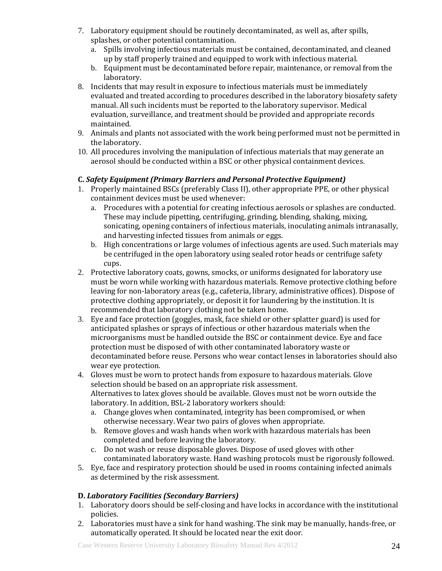- 7. Laboratory equipment should be routinely decontaminated, as well as, after spills, splashes, or other potential contamination.
	- a. Spills involving infectious materials must be contained, decontaminated, and cleaned up by staff properly trained and equipped to work with infectious material.
	- b. Equipment must be decontaminated before repair, maintenance, or removal from the laboratory.
- 8. Incidents that may result in exposure to infectious materials must be immediately evaluated and treated according to procedures described in the laboratory biosafety safety manual. All such incidents must be reported to the laboratory supervisor. Medical evaluation, surveillance, and treatment should be provided and appropriate records maintained.
- 9. Animals and plants not associated with the work being performed must not be permitted in the laboratory.
- 10. All procedures involving the manipulation of infectious materials that may generate an aerosol should be conducted within a BSC or other physical containment devices.

# **C.** *Safety Equipment (Primary Barriers and Personal Protective Equipment)*

- 1. Properly maintained BSCs (preferably Class II), other appropriate PPE, or other physical containment devices must be used whenever:
	- a. Procedures with a potential for creating infectious aerosols or splashes are conducted. These may include pipetting, centrifuging, grinding, blending, shaking, mixing, sonicating, opening containers of infectious materials, inoculating animals intranasally, and harvesting infected tissues from animals or eggs.
	- b. High concentrations or large volumes of infectious agents are used. Such materials may be centrifuged in the open laboratory using sealed rotor heads or centrifuge safety cups.
- 2. Protective laboratory coats, gowns, smocks, or uniforms designated for laboratory use must be worn while working with hazardous materials. Remove protective clothing before leaving for non-laboratory areas (e.g., cafeteria, library, administrative offices). Dispose of protective clothing appropriately, or deposit it for laundering by the institution. It is recommended that laboratory clothing not be taken home.
- 3. Eye and face protection (goggles, mask, face shield or other splatter guard) is used for anticipated splashes or sprays of infectious or other hazardous materials when the microorganisms must be handled outside the BSC or containment device. Eye and face protection must be disposed of with other contaminated laboratory waste or decontaminated before reuse. Persons who wear contact lenses in laboratories should also wear eye protection.
- 4. Gloves must be worn to protect hands from exposure to hazardous materials. Glove selection should be based on an appropriate risk assessment. Alternatives to latex gloves should be available. Gloves must not be worn outside the laboratory. In addition, BSL-2 laboratory workers should:
	- a. Change gloves when contaminated, integrity has been compromised, or when otherwise necessary. Wear two pairs of gloves when appropriate.
	- b. Remove gloves and wash hands when work with hazardous materials has been completed and before leaving the laboratory.
	- c. Do not wash or reuse disposable gloves. Dispose of used gloves with other contaminated laboratory waste. Hand washing protocols must be rigorously followed.
- 5. Eye, face and respiratory protection should be used in rooms containing infected animals as determined by the risk assessment.

# **D.** *Laboratory Facilities (Secondary Barriers)*

- 1. Laboratory doors should be self-closing and have locks in accordance with the institutional policies.
- 2. Laboratories must have a sink for hand washing. The sink may be manually, hands-free, or automatically operated. It should be located near the exit door.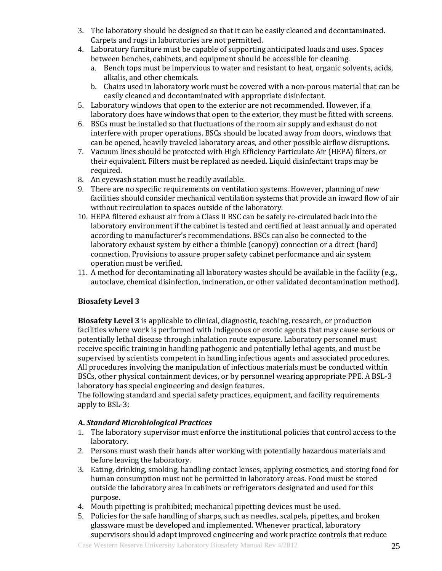- 3. The laboratory should be designed so that it can be easily cleaned and decontaminated. Carpets and rugs in laboratories are not permitted.
- 4. Laboratory furniture must be capable of supporting anticipated loads and uses. Spaces between benches, cabinets, and equipment should be accessible for cleaning.<br>a. Bench tops must be impervious to water and resistant to heat, organic so
	- Bench tops must be impervious to water and resistant to heat, organic solvents, acids, alkalis, and other chemicals.
	- b. Chairs used in laboratory work must be covered with a non-porous material that can be easily cleaned and decontaminated with appropriate disinfectant.
- 5. Laboratory windows that open to the exterior are not recommended. However, if a laboratory does have windows that open to the exterior, they must be fitted with screens.
- 6. BSCs must be installed so that fluctuations of the room air supply and exhaust do not interfere with proper operations. BSCs should be located away from doors, windows that can be opened, heavily traveled laboratory areas, and other possible airflow disruptions.
- 7. Vacuum lines should be protected with High Efficiency Particulate Air (HEPA) filters, or their equivalent. Filters must be replaced as needed. Liquid disinfectant traps may be required.
- 8. An eyewash station must be readily available.
- 9. There are no specific requirements on ventilation systems. However, planning of new facilities should consider mechanical ventilation systems that provide an inward flow of air without recirculation to spaces outside of the laboratory.
- 10. HEPA filtered exhaust air from a Class II BSC can be safely re-circulated back into the laboratory environment if the cabinet is tested and certified at least annually and operated according to manufacturer's recommendations. BSCs can also be connected to the laboratory exhaust system by either a thimble (canopy) connection or a direct (hard) connection. Provisions to assure proper safety cabinet performance and air system operation must be verified.
- 11. A method for decontaminating all laboratory wastes should be available in the facility (e.g., autoclave, chemical disinfection, incineration, or other validated decontamination method).

# <span id="page-27-0"></span>**Biosafety Level 3**

**Biosafety Level 3** is applicable to clinical, diagnostic, teaching, research, or production facilities where work is performed with indigenous or exotic agents that may cause serious or potentially lethal disease through inhalation route exposure. Laboratory personnel must receive specific training in handling pathogenic and potentially lethal agents, and must be supervised by scientists competent in handling infectious agents and associated procedures. All procedures involving the manipulation of infectious materials must be conducted within BSCs, other physical containment devices, or by personnel wearing appropriate PPE. A BSL-3 laboratory has special engineering and design features.

The following standard and special safety practices, equipment, and facility requirements apply to BSL-3:

# **A.** *Standard Microbiological Practices*

- 1. The laboratory supervisor must enforce the institutional policies that control access to the laboratory.
- 2. Persons must wash their hands after working with potentially hazardous materials and before leaving the laboratory.
- 3. Eating, drinking, smoking, handling contact lenses, applying cosmetics, and storing food for human consumption must not be permitted in laboratory areas. Food must be stored outside the laboratory area in cabinets or refrigerators designated and used for this purpose.
- 4. Mouth pipetting is prohibited; mechanical pipetting devices must be used.
- 5. Policies for the safe handling of sharps, such as needles, scalpels, pipettes, and broken glassware must be developed and implemented. Whenever practical, laboratory supervisors should adopt improved engineering and work practice controls that reduce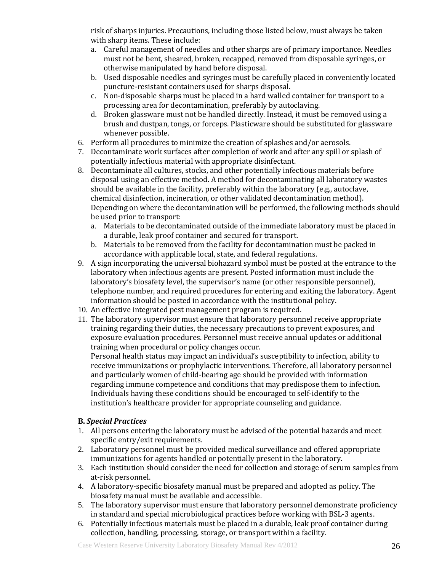risk of sharps injuries. Precautions, including those listed below, must always be taken with sharp items. These include:

- a. Careful management of needles and other sharps are of primary importance. Needles must not be bent, sheared, broken, recapped, removed from disposable syringes, or otherwise manipulated by hand before disposal.
- b. Used disposable needles and syringes must be carefully placed in conveniently located puncture-resistant containers used for sharps disposal.
- c. Non-disposable sharps must be placed in a hard walled container for transport to a processing area for decontamination, preferably by autoclaving.
- d. Broken glassware must not be handled directly. Instead, it must be removed using a brush and dustpan, tongs, or forceps. Plasticware should be substituted for glassware whenever possible.
- 6. Perform all procedures to minimize the creation of splashes and/or aerosols.
- 7. Decontaminate work surfaces after completion of work and after any spill or splash of potentially infectious material with appropriate disinfectant.
- 8. Decontaminate all cultures, stocks, and other potentially infectious materials before disposal using an effective method. A method for decontaminating all laboratory wastes should be available in the facility, preferably within the laboratory (e.g., autoclave, chemical disinfection, incineration, or other validated decontamination method). Depending on where the decontamination will be performed, the following methods should be used prior to transport:
	- a. Materials to be decontaminated outside of the immediate laboratory must be placed in a durable, leak proof container and secured for transport.
	- b. Materials to be removed from the facility for decontamination must be packed in accordance with applicable local, state, and federal regulations.
- 9. A sign incorporating the universal biohazard symbol must be posted at the entrance to the laboratory when infectious agents are present. Posted information must include the laboratory's biosafety level, the supervisor's name (or other responsible personnel), telephone number, and required procedures for entering and exiting the laboratory. Agent information should be posted in accordance with the institutional policy.
- 10. An effective integrated pest management program is required.
- 11. The laboratory supervisor must ensure that laboratory personnel receive appropriate training regarding their duties, the necessary precautions to prevent exposures, and exposure evaluation procedures. Personnel must receive annual updates or additional training when procedural or policy changes occur.

Personal health status may impact an individual's susceptibility to infection, ability to receive immunizations or prophylactic interventions. Therefore, all laboratory personnel and particularly women of child-bearing age should be provided with information regarding immune competence and conditions that may predispose them to infection. Individuals having these conditions should be encouraged to self-identify to the institution's healthcare provider for appropriate counseling and guidance.

# **B.** *Special Practices*

- 1. All persons entering the laboratory must be advised of the potential hazards and meet specific entry/exit requirements.
- 2. Laboratory personnel must be provided medical surveillance and offered appropriate immunizations for agents handled or potentially present in the laboratory.
- 3. Each institution should consider the need for collection and storage of serum samples from at-risk personnel.
- 4. A laboratory-specific biosafety manual must be prepared and adopted as policy. The biosafety manual must be available and accessible.
- 5. The laboratory supervisor must ensure that laboratory personnel demonstrate proficiency in standard and special microbiological practices before working with BSL-3 agents.
- 6. Potentially infectious materials must be placed in a durable, leak proof container during collection, handling, processing, storage, or transport within a facility.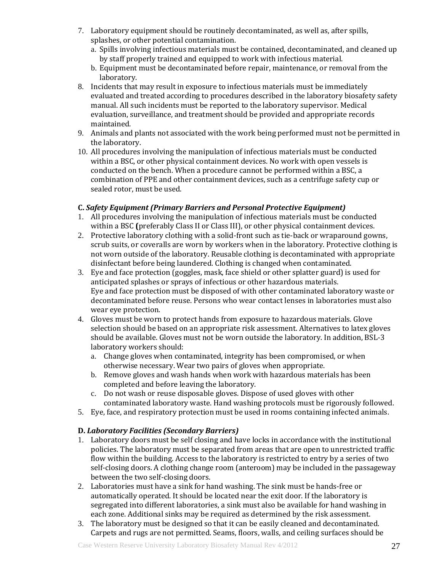- 7. Laboratory equipment should be routinely decontaminated, as well as, after spills, splashes, or other potential contamination.
	- a. Spills involving infectious materials must be contained, decontaminated, and cleaned up by staff properly trained and equipped to work with infectious material.
	- b. Equipment must be decontaminated before repair, maintenance, or removal from the laboratory.
- 8. Incidents that may result in exposure to infectious materials must be immediately evaluated and treated according to procedures described in the laboratory biosafety safety manual. All such incidents must be reported to the laboratory supervisor. Medical evaluation, surveillance, and treatment should be provided and appropriate records maintained.
- 9. Animals and plants not associated with the work being performed must not be permitted in the laboratory.
- 10. All procedures involving the manipulation of infectious materials must be conducted within a BSC, or other physical containment devices. No work with open vessels is conducted on the bench. When a procedure cannot be performed within a BSC, a combination of PPE and other containment devices, such as a centrifuge safety cup or sealed rotor, must be used.

# **C.** *Safety Equipment (Primary Barriers and Personal Protective Equipment)*

- 1. All procedures involving the manipulation of infectious materials must be conducted within a BSC **(**preferably Class II or Class III), or other physical containment devices.
- 2. Protective laboratory clothing with a solid-front such as tie-back or wraparound gowns, scrub suits, or coveralls are worn by workers when in the laboratory. Protective clothing is not worn outside of the laboratory. Reusable clothing is decontaminated with appropriate disinfectant before being laundered. Clothing is changed when contaminated.
- 3. Eye and face protection (goggles, mask, face shield or other splatter guard) is used for anticipated splashes or sprays of infectious or other hazardous materials. Eye and face protection must be disposed of with other contaminated laboratory waste or decontaminated before reuse. Persons who wear contact lenses in laboratories must also wear eye protection.
- 4. Gloves must be worn to protect hands from exposure to hazardous materials. Glove selection should be based on an appropriate risk assessment. Alternatives to latex gloves should be available. Gloves must not be worn outside the laboratory. In addition, BSL-3 laboratory workers should:
	- a. Change gloves when contaminated, integrity has been compromised, or when otherwise necessary. Wear two pairs of gloves when appropriate.
	- b. Remove gloves and wash hands when work with hazardous materials has been completed and before leaving the laboratory.
	- c. Do not wash or reuse disposable gloves. Dispose of used gloves with other contaminated laboratory waste. Hand washing protocols must be rigorously followed.
- 5. Eye, face, and respiratory protection must be used in rooms containing infected animals.

# **D.** *Laboratory Facilities (Secondary Barriers)*

- 1. Laboratory doors must be self closing and have locks in accordance with the institutional policies. The laboratory must be separated from areas that are open to unrestricted traffic flow within the building. Access to the laboratory is restricted to entry by a series of two self-closing doors. A clothing change room (anteroom) may be included in the passageway between the two self-closing doors.
- 2. Laboratories must have a sink for hand washing. The sink must be hands-free or automatically operated. It should be located near the exit door. If the laboratory is segregated into different laboratories, a sink must also be available for hand washing in each zone. Additional sinks may be required as determined by the risk assessment.
- 3. The laboratory must be designed so that it can be easily cleaned and decontaminated. Carpets and rugs are not permitted. Seams, floors, walls, and ceiling surfaces should be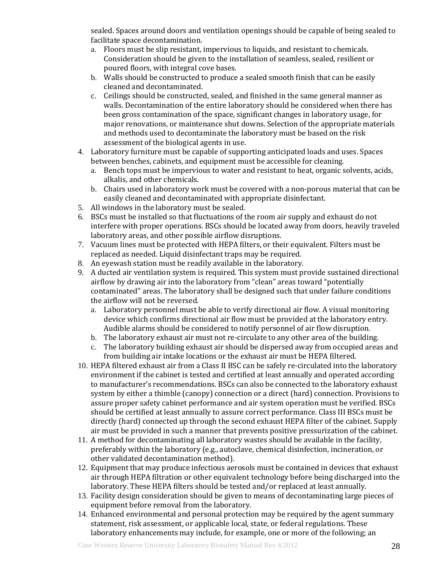sealed. Spaces around doors and ventilation openings should be capable of being sealed to facilitate space decontamination.

- a. Floors must be slip resistant, impervious to liquids, and resistant to chemicals. Consideration should be given to the installation of seamless, sealed, resilient or poured floors, with integral cove bases.
- b. Walls should be constructed to produce a sealed smooth finish that can be easily cleaned and decontaminated.
- c. Ceilings should be constructed, sealed, and finished in the same general manner as walls. Decontamination of the entire laboratory should be considered when there has been gross contamination of the space, significant changes in laboratory usage, for major renovations, or maintenance shut downs. Selection of the appropriate materials and methods used to decontaminate the laboratory must be based on the risk assessment of the biological agents in use.
- 4. Laboratory furniture must be capable of supporting anticipated loads and uses. Spaces between benches, cabinets, and equipment must be accessible for cleaning.
	- a. Bench tops must be impervious to water and resistant to heat, organic solvents, acids, alkalis, and other chemicals.
	- b. Chairs used in laboratory work must be covered with a non-porous material that can be easily cleaned and decontaminated with appropriate disinfectant.
- 5. All windows in the laboratory must be sealed.
- 6. BSCs must be installed so that fluctuations of the room air supply and exhaust do not interfere with proper operations. BSCs should be located away from doors, heavily traveled laboratory areas, and other possible airflow disruptions.
- 7. Vacuum lines must be protected with HEPA filters, or their equivalent. Filters must be replaced as needed. Liquid disinfectant traps may be required.
- 8. An eyewash station must be readily available in the laboratory.
- 9. A ducted air ventilation system is required. This system must provide sustained directional airflow by drawing air into the laboratory from "clean" areas toward "potentially contaminated" areas. The laboratory shall be designed such that under failure conditions the airflow will not be reversed.
	- a. Laboratory personnel must be able to verify directional air flow. A visual monitoring device which confirms directional air flow must be provided at the laboratory entry. Audible alarms should be considered to notify personnel of air flow disruption.
	- b. The laboratory exhaust air must not re-circulate to any other area of the building.
	- c. The laboratory building exhaust air should be dispersed away from occupied areas and from building air intake locations or the exhaust air must be HEPA filtered.
- 10. HEPA filtered exhaust air from a Class II BSC can be safely re-circulated into the laboratory environment if the cabinet is tested and certified at least annually and operated according to manufacturer's recommendations. BSCs can also be connected to the laboratory exhaust system by either a thimble (canopy) connection or a direct (hard) connection. Provisions to assure proper safety cabinet performance and air system operation must be verified. BSCs should be certified at least annually to assure correct performance. Class III BSCs must be directly (hard) connected up through the second exhaust HEPA filter of the cabinet. Supply air must be provided in such a manner that prevents positive pressurization of the cabinet.
- 11. A method for decontaminating all laboratory wastes should be available in the facility, preferably within the laboratory (e.g., autoclave, chemical disinfection, incineration, or other validated decontamination method).
- 12. Equipment that may produce infectious aerosols must be contained in devices that exhaust air through HEPA filtration or other equivalent technology before being discharged into the laboratory. These HEPA filters should be tested and/or replaced at least annually.
- 13. Facility design consideration should be given to means of decontaminating large pieces of equipment before removal from the laboratory.
- 14. Enhanced environmental and personal protection may be required by the agent summary statement, risk assessment, or applicable local, state, or federal regulations. These laboratory enhancements may include, for example, one or more of the following; an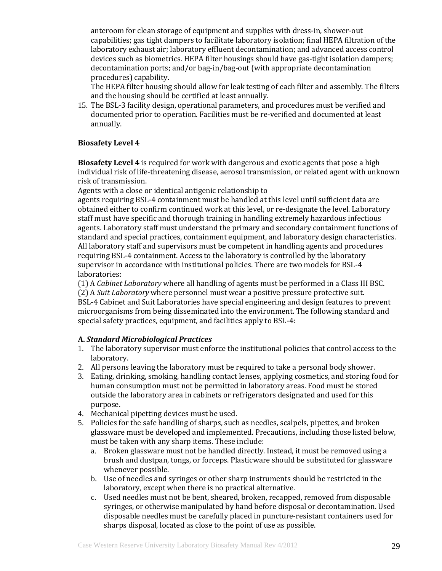anteroom for clean storage of equipment and supplies with dress-in, shower-out capabilities; gas tight dampers to facilitate laboratory isolation; final HEPA filtration of the laboratory exhaust air; laboratory effluent decontamination; and advanced access control devices such as biometrics. HEPA filter housings should have gas-tight isolation dampers; decontamination ports; and/or bag-in/bag-out (with appropriate decontamination procedures) capability.

The HEPA filter housing should allow for leak testing of each filter and assembly. The filters and the housing should be certified at least annually.

15. The BSL-3 facility design, operational parameters, and procedures must be verified and documented prior to operation. Facilities must be re-verified and documented at least annually.

## <span id="page-31-0"></span>**Biosafety Level 4**

**Biosafety Level 4** is required for work with dangerous and exotic agents that pose a high individual risk of life-threatening disease, aerosol transmission, or related agent with unknown risk of transmission.

Agents with a close or identical antigenic relationship to

agents requiring BSL-4 containment must be handled at this level until sufficient data are obtained either to confirm continued work at this level, or re-designate the level. Laboratory staff must have specific and thorough training in handling extremely hazardous infectious agents. Laboratory staff must understand the primary and secondary containment functions of standard and special practices, containment equipment, and laboratory design characteristics. All laboratory staff and supervisors must be competent in handling agents and procedures requiring BSL-4 containment. Access to the laboratory is controlled by the laboratory supervisor in accordance with institutional policies. There are two models for BSL-4 laboratories:

(1) A *Cabinet Laboratory* where all handling of agents must be performed in a Class III BSC.

(2) A *Suit Laboratory* where personnel must wear a positive pressure protective suit.

BSL-4 Cabinet and Suit Laboratories have special engineering and design features to prevent microorganisms from being disseminated into the environment. The following standard and special safety practices, equipment, and facilities apply to BSL-4:

## **A.** *Standard Microbiological Practices*

- 1. The laboratory supervisor must enforce the institutional policies that control access to the laboratory.
- 2. All persons leaving the laboratory must be required to take a personal body shower.
- 3. Eating, drinking, smoking, handling contact lenses, applying cosmetics, and storing food for human consumption must not be permitted in laboratory areas. Food must be stored outside the laboratory area in cabinets or refrigerators designated and used for this purpose.
- 4. Mechanical pipetting devices must be used.
- 5. Policies for the safe handling of sharps, such as needles, scalpels, pipettes, and broken glassware must be developed and implemented. Precautions, including those listed below, must be taken with any sharp items. These include:
	- a. Broken glassware must not be handled directly. Instead, it must be removed using a brush and dustpan, tongs, or forceps. Plasticware should be substituted for glassware whenever possible.
	- b. Use of needles and syringes or other sharp instruments should be restricted in the laboratory, except when there is no practical alternative.
	- c. Used needles must not be bent, sheared, broken, recapped, removed from disposable syringes, or otherwise manipulated by hand before disposal or decontamination. Used disposable needles must be carefully placed in puncture-resistant containers used for sharps disposal, located as close to the point of use as possible.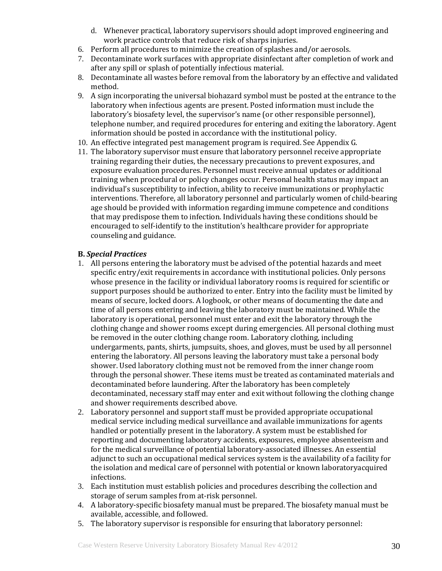- d. Whenever practical, laboratory supervisors should adopt improved engineering and work practice controls that reduce risk of sharps injuries.
- 6. Perform all procedures to minimize the creation of splashes and/or aerosols.
- 7. Decontaminate work surfaces with appropriate disinfectant after completion of work and after any spill or splash of potentially infectious material.
- 8. Decontaminate all wastes before removal from the laboratory by an effective and validated method.
- 9. A sign incorporating the universal biohazard symbol must be posted at the entrance to the laboratory when infectious agents are present. Posted information must include the laboratory's biosafety level, the supervisor's name (or other responsible personnel), telephone number, and required procedures for entering and exiting the laboratory. Agent information should be posted in accordance with the institutional policy.
- 10. An effective integrated pest management program is required. See Appendix G.
- 11. The laboratory supervisor must ensure that laboratory personnel receive appropriate training regarding their duties, the necessary precautions to prevent exposures, and exposure evaluation procedures. Personnel must receive annual updates or additional training when procedural or policy changes occur. Personal health status may impact an individual's susceptibility to infection, ability to receive immunizations or prophylactic interventions. Therefore, all laboratory personnel and particularly women of child-bearing age should be provided with information regarding immune competence and conditions that may predispose them to infection. Individuals having these conditions should be encouraged to self-identify to the institution's healthcare provider for appropriate counseling and guidance.

### **B.** *Special Practices*

- 1. All persons entering the laboratory must be advised of the potential hazards and meet specific entry/exit requirements in accordance with institutional policies. Only persons whose presence in the facility or individual laboratory rooms is required for scientific or support purposes should be authorized to enter. Entry into the facility must be limited by means of secure, locked doors. A logbook, or other means of documenting the date and time of all persons entering and leaving the laboratory must be maintained. While the laboratory is operational, personnel must enter and exit the laboratory through the clothing change and shower rooms except during emergencies. All personal clothing must be removed in the outer clothing change room. Laboratory clothing, including undergarments, pants, shirts, jumpsuits, shoes, and gloves, must be used by all personnel entering the laboratory. All persons leaving the laboratory must take a personal body shower. Used laboratory clothing must not be removed from the inner change room through the personal shower. These items must be treated as contaminated materials and decontaminated before laundering. After the laboratory has been completely decontaminated, necessary staff may enter and exit without following the clothing change and shower requirements described above.
- 2. Laboratory personnel and support staff must be provided appropriate occupational medical service including medical surveillance and available immunizations for agents handled or potentially present in the laboratory. A system must be established for reporting and documenting laboratory accidents, exposures, employee absenteeism and for the medical surveillance of potential laboratory-associated illnesses. An essential adjunct to such an occupational medical services system is the availability of a facility for the isolation and medical care of personnel with potential or known laboratoryacquired infections.
- 3. Each institution must establish policies and procedures describing the collection and storage of serum samples from at-risk personnel.
- 4. A laboratory-specific biosafety manual must be prepared. The biosafety manual must be available, accessible, and followed.
- 5. The laboratory supervisor is responsible for ensuring that laboratory personnel: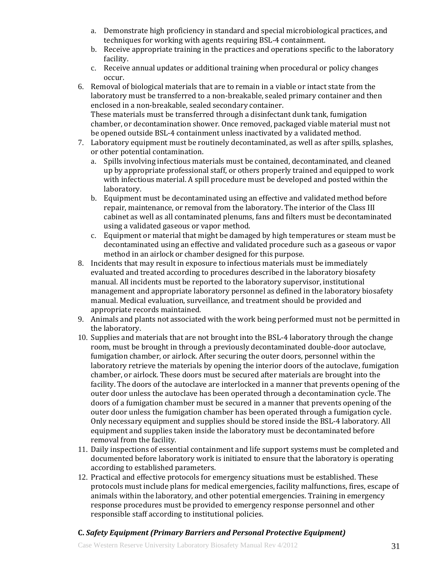- a. Demonstrate high proficiency in standard and special microbiological practices, and techniques for working with agents requiring BSL-4 containment.
- b. Receive appropriate training in the practices and operations specific to the laboratory facility.
- c. Receive annual updates or additional training when procedural or policy changes occur.
- 6. Removal of biological materials that are to remain in a viable or intact state from the laboratory must be transferred to a non-breakable, sealed primary container and then enclosed in a non-breakable, sealed secondary container. These materials must be transferred through a disinfectant dunk tank, fumigation chamber, or decontamination shower. Once removed, packaged viable material must not be opened outside BSL-4 containment unless inactivated by a validated method.
- 7. Laboratory equipment must be routinely decontaminated, as well as after spills, splashes, or other potential contamination.
	- a. Spills involving infectious materials must be contained, decontaminated, and cleaned up by appropriate professional staff, or others properly trained and equipped to work with infectious material. A spill procedure must be developed and posted within the laboratory.
	- b. Equipment must be decontaminated using an effective and validated method before repair, maintenance, or removal from the laboratory. The interior of the Class III cabinet as well as all contaminated plenums, fans and filters must be decontaminated using a validated gaseous or vapor method.
	- c. Equipment or material that might be damaged by high temperatures or steam must be decontaminated using an effective and validated procedure such as a gaseous or vapor method in an airlock or chamber designed for this purpose.
- 8. Incidents that may result in exposure to infectious materials must be immediately evaluated and treated according to procedures described in the laboratory biosafety manual. All incidents must be reported to the laboratory supervisor, institutional management and appropriate laboratory personnel as defined in the laboratory biosafety manual. Medical evaluation, surveillance, and treatment should be provided and appropriate records maintained.
- 9. Animals and plants not associated with the work being performed must not be permitted in the laboratory.
- 10. Supplies and materials that are not brought into the BSL-4 laboratory through the change room, must be brought in through a previously decontaminated double-door autoclave, fumigation chamber, or airlock. After securing the outer doors, personnel within the laboratory retrieve the materials by opening the interior doors of the autoclave, fumigation chamber, or airlock. These doors must be secured after materials are brought into the facility. The doors of the autoclave are interlocked in a manner that prevents opening of the outer door unless the autoclave has been operated through a decontamination cycle. The doors of a fumigation chamber must be secured in a manner that prevents opening of the outer door unless the fumigation chamber has been operated through a fumigation cycle. Only necessary equipment and supplies should be stored inside the BSL-4 laboratory. All equipment and supplies taken inside the laboratory must be decontaminated before removal from the facility.
- 11. Daily inspections of essential containment and life support systems must be completed and documented before laboratory work is initiated to ensure that the laboratory is operating according to established parameters.
- 12. Practical and effective protocols for emergency situations must be established. These protocols must include plans for medical emergencies, facility malfunctions, fires, escape of animals within the laboratory, and other potential emergencies. Training in emergency response procedures must be provided to emergency response personnel and other responsible staff according to institutional policies.

# **C.** *Safety Equipment (Primary Barriers and Personal Protective Equipment)*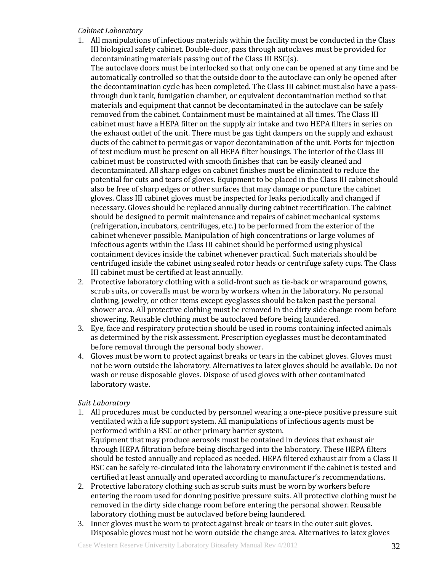### *Cabinet Laboratory*

1. All manipulations of infectious materials within the facility must be conducted in the Class III biological safety cabinet. Double-door, pass through autoclaves must be provided for decontaminating materials passing out of the Class III BSC(s).

The autoclave doors must be interlocked so that only one can be opened at any time and be automatically controlled so that the outside door to the autoclave can only be opened after the decontamination cycle has been completed. The Class III cabinet must also have a passthrough dunk tank, fumigation chamber, or equivalent decontamination method so that materials and equipment that cannot be decontaminated in the autoclave can be safely removed from the cabinet. Containment must be maintained at all times. The Class III cabinet must have a HEPA filter on the supply air intake and two HEPA filters in series on the exhaust outlet of the unit. There must be gas tight dampers on the supply and exhaust ducts of the cabinet to permit gas or vapor decontamination of the unit. Ports for injection of test medium must be present on all HEPA filter housings. The interior of the Class III cabinet must be constructed with smooth finishes that can be easily cleaned and decontaminated. All sharp edges on cabinet finishes must be eliminated to reduce the potential for cuts and tears of gloves. Equipment to be placed in the Class III cabinet should also be free of sharp edges or other surfaces that may damage or puncture the cabinet gloves. Class III cabinet gloves must be inspected for leaks periodically and changed if necessary. Gloves should be replaced annually during cabinet recertification. The cabinet should be designed to permit maintenance and repairs of cabinet mechanical systems (refrigeration, incubators, centrifuges, etc.) to be performed from the exterior of the cabinet whenever possible. Manipulation of high concentrations or large volumes of infectious agents within the Class III cabinet should be performed using physical containment devices inside the cabinet whenever practical. Such materials should be centrifuged inside the cabinet using sealed rotor heads or centrifuge safety cups. The Class III cabinet must be certified at least annually.

- 2. Protective laboratory clothing with a solid-front such as tie-back or wraparound gowns, scrub suits, or coveralls must be worn by workers when in the laboratory. No personal clothing, jewelry, or other items except eyeglasses should be taken past the personal shower area. All protective clothing must be removed in the dirty side change room before showering. Reusable clothing must be autoclaved before being laundered.
- 3. Eye, face and respiratory protection should be used in rooms containing infected animals as determined by the risk assessment. Prescription eyeglasses must be decontaminated before removal through the personal body shower.
- 4. Gloves must be worn to protect against breaks or tears in the cabinet gloves. Gloves must not be worn outside the laboratory. Alternatives to latex gloves should be available. Do not wash or reuse disposable gloves. Dispose of used gloves with other contaminated laboratory waste.

# *Suit Laboratory*

- 1. All procedures must be conducted by personnel wearing a one-piece positive pressure suit ventilated with a life support system. All manipulations of infectious agents must be performed within a BSC or other primary barrier system. Equipment that may produce aerosols must be contained in devices that exhaust air through HEPA filtration before being discharged into the laboratory. These HEPA filters should be tested annually and replaced as needed. HEPA filtered exhaust air from a Class II BSC can be safely re-circulated into the laboratory environment if the cabinet is tested and certified at least annually and operated according to manufacturer's recommendations.
- 2. Protective laboratory clothing such as scrub suits must be worn by workers before entering the room used for donning positive pressure suits. All protective clothing must be removed in the dirty side change room before entering the personal shower. Reusable laboratory clothing must be autoclaved before being laundered.
- 3. Inner gloves must be worn to protect against break or tears in the outer suit gloves. Disposable gloves must not be worn outside the change area. Alternatives to latex gloves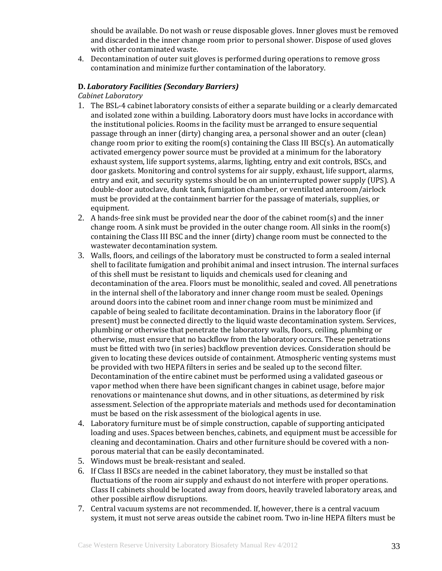should be available. Do not wash or reuse disposable gloves. Inner gloves must be removed and discarded in the inner change room prior to personal shower. Dispose of used gloves with other contaminated waste.

4. Decontamination of outer suit gloves is performed during operations to remove gross contamination and minimize further contamination of the laboratory.

### **D.** *Laboratory Facilities (Secondary Barriers)*

*Cabinet Laboratory*

- 1. The BSL-4 cabinet laboratory consists of either a separate building or a clearly demarcated and isolated zone within a building. Laboratory doors must have locks in accordance with the institutional policies. Rooms in the facility must be arranged to ensure sequential passage through an inner (dirty) changing area, a personal shower and an outer (clean) change room prior to exiting the room(s) containing the Class III BSC(s). An automatically activated emergency power source must be provided at a minimum for the laboratory exhaust system, life support systems, alarms, lighting, entry and exit controls, BSCs, and door gaskets. Monitoring and control systems for air supply, exhaust, life support, alarms, entry and exit, and security systems should be on an uninterrupted power supply (UPS). A double-door autoclave, dunk tank, fumigation chamber, or ventilated anteroom/airlock must be provided at the containment barrier for the passage of materials, supplies, or equipment.
- 2. A hands-free sink must be provided near the door of the cabinet room(s) and the inner change room. A sink must be provided in the outer change room. All sinks in the room(s) containing the Class III BSC and the inner (dirty) change room must be connected to the wastewater decontamination system.
- 3. Walls, floors, and ceilings of the laboratory must be constructed to form a sealed internal shell to facilitate fumigation and prohibit animal and insect intrusion. The internal surfaces of this shell must be resistant to liquids and chemicals used for cleaning and decontamination of the area. Floors must be monolithic, sealed and coved. All penetrations in the internal shell of the laboratory and inner change room must be sealed. Openings around doors into the cabinet room and inner change room must be minimized and capable of being sealed to facilitate decontamination. Drains in the laboratory floor (if present) must be connected directly to the liquid waste decontamination system. Services, plumbing or otherwise that penetrate the laboratory walls, floors, ceiling, plumbing or otherwise, must ensure that no backflow from the laboratory occurs. These penetrations must be fitted with two (in series) backflow prevention devices. Consideration should be given to locating these devices outside of containment. Atmospheric venting systems must be provided with two HEPA filters in series and be sealed up to the second filter. Decontamination of the entire cabinet must be performed using a validated gaseous or vapor method when there have been significant changes in cabinet usage, before major renovations or maintenance shut downs, and in other situations, as determined by risk assessment. Selection of the appropriate materials and methods used for decontamination must be based on the risk assessment of the biological agents in use.
- 4. Laboratory furniture must be of simple construction, capable of supporting anticipated loading and uses. Spaces between benches, cabinets, and equipment must be accessible for cleaning and decontamination. Chairs and other furniture should be covered with a nonporous material that can be easily decontaminated.
- 5. Windows must be break-resistant and sealed.
- 6. If Class II BSCs are needed in the cabinet laboratory, they must be installed so that fluctuations of the room air supply and exhaust do not interfere with proper operations. Class II cabinets should be located away from doors, heavily traveled laboratory areas, and other possible airflow disruptions.
- 7. Central vacuum systems are not recommended. If, however, there is a central vacuum system, it must not serve areas outside the cabinet room. Two in-line HEPA filters must be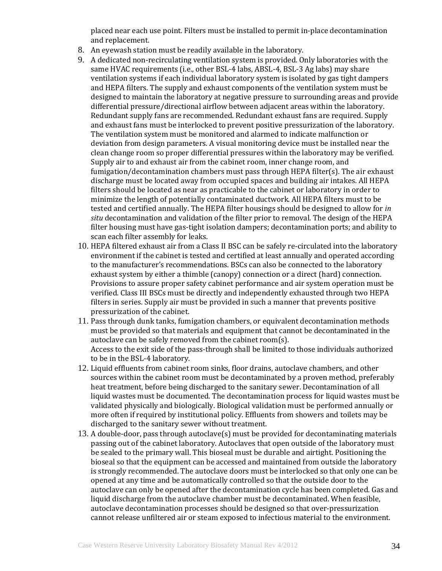placed near each use point. Filters must be installed to permit in-place decontamination and replacement.

- 8. An eyewash station must be readily available in the laboratory.
- 9. A dedicated non-recirculating ventilation system is provided. Only laboratories with the same HVAC requirements (i.e., other BSL-4 labs, ABSL-4, BSL-3 Ag labs) may share ventilation systems if each individual laboratory system is isolated by gas tight dampers and HEPA filters. The supply and exhaust components of the ventilation system must be designed to maintain the laboratory at negative pressure to surrounding areas and provide differential pressure/directional airflow between adjacent areas within the laboratory. Redundant supply fans are recommended. Redundant exhaust fans are required. Supply and exhaust fans must be interlocked to prevent positive pressurization of the laboratory. The ventilation system must be monitored and alarmed to indicate malfunction or deviation from design parameters. A visual monitoring device must be installed near the clean change room so proper differential pressures within the laboratory may be verified. Supply air to and exhaust air from the cabinet room, inner change room, and fumigation/decontamination chambers must pass through HEPA filter(s). The air exhaust discharge must be located away from occupied spaces and building air intakes. All HEPA filters should be located as near as practicable to the cabinet or laboratory in order to minimize the length of potentially contaminated ductwork. All HEPA filters must to be tested and certified annually. The HEPA filter housings should be designed to allow for *in situ* decontamination and validation of the filter prior to removal. The design of the HEPA filter housing must have gas-tight isolation dampers; decontamination ports; and ability to scan each filter assembly for leaks.
- 10. HEPA filtered exhaust air from a Class II BSC can be safely re-circulated into the laboratory environment if the cabinet is tested and certified at least annually and operated according to the manufacturer's recommendations. BSCs can also be connected to the laboratory exhaust system by either a thimble (canopy) connection or a direct (hard) connection. Provisions to assure proper safety cabinet performance and air system operation must be verified. Class III BSCs must be directly and independently exhausted through two HEPA filters in series. Supply air must be provided in such a manner that prevents positive pressurization of the cabinet.
- 11. Pass through dunk tanks, fumigation chambers, or equivalent decontamination methods must be provided so that materials and equipment that cannot be decontaminated in the autoclave can be safely removed from the cabinet room(s). Access to the exit side of the pass-through shall be limited to those individuals authorized to be in the BSL-4 laboratory.
- 12. Liquid effluents from cabinet room sinks, floor drains, autoclave chambers, and other sources within the cabinet room must be decontaminated by a proven method, preferably heat treatment, before being discharged to the sanitary sewer. Decontamination of all liquid wastes must be documented. The decontamination process for liquid wastes must be validated physically and biologically. Biological validation must be performed annually or more often if required by institutional policy. Effluents from showers and toilets may be discharged to the sanitary sewer without treatment.
- 13. A double-door, pass through autoclave(s) must be provided for decontaminating materials passing out of the cabinet laboratory. Autoclaves that open outside of the laboratory must be sealed to the primary wall. This bioseal must be durable and airtight. Positioning the bioseal so that the equipment can be accessed and maintained from outside the laboratory is strongly recommended. The autoclave doors must be interlocked so that only one can be opened at any time and be automatically controlled so that the outside door to the autoclave can only be opened after the decontamination cycle has been completed. Gas and liquid discharge from the autoclave chamber must be decontaminated. When feasible, autoclave decontamination processes should be designed so that over-pressurization cannot release unfiltered air or steam exposed to infectious material to the environment.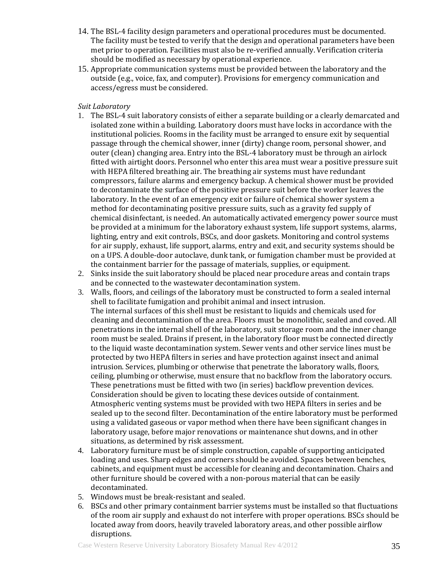- 14. The BSL-4 facility design parameters and operational procedures must be documented. The facility must be tested to verify that the design and operational parameters have been met prior to operation. Facilities must also be re-verified annually. Verification criteria should be modified as necessary by operational experience.
- 15. Appropriate communication systems must be provided between the laboratory and the outside (e.g., voice, fax, and computer). Provisions for emergency communication and access/egress must be considered.

## *Suit Laboratory*

- 1. The BSL-4 suit laboratory consists of either a separate building or a clearly demarcated and isolated zone within a building. Laboratory doors must have locks in accordance with the institutional policies. Rooms in the facility must be arranged to ensure exit by sequential passage through the chemical shower, inner (dirty) change room, personal shower, and outer (clean) changing area. Entry into the BSL-4 laboratory must be through an airlock fitted with airtight doors. Personnel who enter this area must wear a positive pressure suit with HEPA filtered breathing air. The breathing air systems must have redundant compressors, failure alarms and emergency backup. A chemical shower must be provided to decontaminate the surface of the positive pressure suit before the worker leaves the laboratory. In the event of an emergency exit or failure of chemical shower system a method for decontaminating positive pressure suits, such as a gravity fed supply of chemical disinfectant, is needed. An automatically activated emergency power source must be provided at a minimum for the laboratory exhaust system, life support systems, alarms, lighting, entry and exit controls, BSCs, and door gaskets. Monitoring and control systems for air supply, exhaust, life support, alarms, entry and exit, and security systems should be on a UPS. A double-door autoclave, dunk tank, or fumigation chamber must be provided at the containment barrier for the passage of materials, supplies, or equipment.
- 2. Sinks inside the suit laboratory should be placed near procedure areas and contain traps and be connected to the wastewater decontamination system.
- 3. Walls, floors, and ceilings of the laboratory must be constructed to form a sealed internal shell to facilitate fumigation and prohibit animal and insect intrusion. The internal surfaces of this shell must be resistant to liquids and chemicals used for cleaning and decontamination of the area. Floors must be monolithic, sealed and coved. All penetrations in the internal shell of the laboratory, suit storage room and the inner change room must be sealed. Drains if present, in the laboratory floor must be connected directly to the liquid waste decontamination system. Sewer vents and other service lines must be protected by two HEPA filters in series and have protection against insect and animal intrusion. Services, plumbing or otherwise that penetrate the laboratory walls, floors, ceiling, plumbing or otherwise, must ensure that no backflow from the laboratory occurs. These penetrations must be fitted with two (in series) backflow prevention devices. Consideration should be given to locating these devices outside of containment. Atmospheric venting systems must be provided with two HEPA filters in series and be sealed up to the second filter. Decontamination of the entire laboratory must be performed using a validated gaseous or vapor method when there have been significant changes in laboratory usage, before major renovations or maintenance shut downs, and in other situations, as determined by risk assessment.
- 4. Laboratory furniture must be of simple construction, capable of supporting anticipated loading and uses. Sharp edges and corners should be avoided. Spaces between benches, cabinets, and equipment must be accessible for cleaning and decontamination. Chairs and other furniture should be covered with a non-porous material that can be easily decontaminated.
- 5. Windows must be break-resistant and sealed.
- 6. BSCs and other primary containment barrier systems must be installed so that fluctuations of the room air supply and exhaust do not interfere with proper operations. BSCs should be located away from doors, heavily traveled laboratory areas, and other possible airflow disruptions.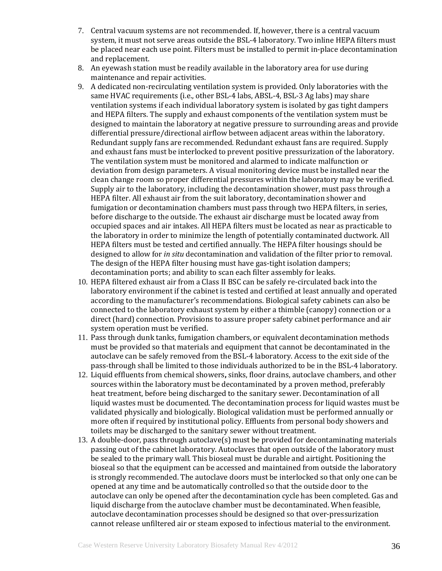- 7. Central vacuum systems are not recommended. If, however, there is a central vacuum system, it must not serve areas outside the BSL-4 laboratory. Two inline HEPA filters must be placed near each use point. Filters must be installed to permit in-place decontamination and replacement.
- 8. An eyewash station must be readily available in the laboratory area for use during maintenance and repair activities.
- 9. A dedicated non-recirculating ventilation system is provided. Only laboratories with the same HVAC requirements (i.e., other BSL-4 labs, ABSL-4, BSL-3 Ag labs) may share ventilation systems if each individual laboratory system is isolated by gas tight dampers and HEPA filters. The supply and exhaust components of the ventilation system must be designed to maintain the laboratory at negative pressure to surrounding areas and provide differential pressure/directional airflow between adjacent areas within the laboratory. Redundant supply fans are recommended. Redundant exhaust fans are required. Supply and exhaust fans must be interlocked to prevent positive pressurization of the laboratory. The ventilation system must be monitored and alarmed to indicate malfunction or deviation from design parameters. A visual monitoring device must be installed near the clean change room so proper differential pressures within the laboratory may be verified. Supply air to the laboratory, including the decontamination shower, must pass through a HEPA filter. All exhaust air from the suit laboratory, decontamination shower and fumigation or decontamination chambers must pass through two HEPA filters, in series, before discharge to the outside. The exhaust air discharge must be located away from occupied spaces and air intakes. All HEPA filters must be located as near as practicable to the laboratory in order to minimize the length of potentially contaminated ductwork. All HEPA filters must be tested and certified annually. The HEPA filter housings should be designed to allow for *in situ* decontamination and validation of the filter prior to removal. The design of the HEPA filter housing must have gas-tight isolation dampers; decontamination ports; and ability to scan each filter assembly for leaks.
- 10. HEPA filtered exhaust air from a Class II BSC can be safely re-circulated back into the laboratory environment if the cabinet is tested and certified at least annually and operated according to the manufacturer's recommendations. Biological safety cabinets can also be connected to the laboratory exhaust system by either a thimble (canopy) connection or a direct (hard) connection. Provisions to assure proper safety cabinet performance and air system operation must be verified.
- 11. Pass through dunk tanks, fumigation chambers, or equivalent decontamination methods must be provided so that materials and equipment that cannot be decontaminated in the autoclave can be safely removed from the BSL-4 laboratory. Access to the exit side of the pass-through shall be limited to those individuals authorized to be in the BSL-4 laboratory.
- 12. Liquid effluents from chemical showers**,** sinks, floor drains, autoclave chambers, and other sources within the laboratory must be decontaminated by a proven method, preferably heat treatment, before being discharged to the sanitary sewer. Decontamination of all liquid wastes must be documented. The decontamination process for liquid wastes must be validated physically and biologically. Biological validation must be performed annually or more often if required by institutional policy. Effluents from personal body showers and toilets may be discharged to the sanitary sewer without treatment.
- 13. A double-door, pass through autoclave(s) must be provided for decontaminating materials passing out of the cabinet laboratory. Autoclaves that open outside of the laboratory must be sealed to the primary wall. This bioseal must be durable and airtight. Positioning the bioseal so that the equipment can be accessed and maintained from outside the laboratory is strongly recommended. The autoclave doors must be interlocked so that only one can be opened at any time and be automatically controlled so that the outside door to the autoclave can only be opened after the decontamination cycle has been completed. Gas and liquid discharge from the autoclave chamber must be decontaminated. When feasible, autoclave decontamination processes should be designed so that over-pressurization cannot release unfiltered air or steam exposed to infectious material to the environment.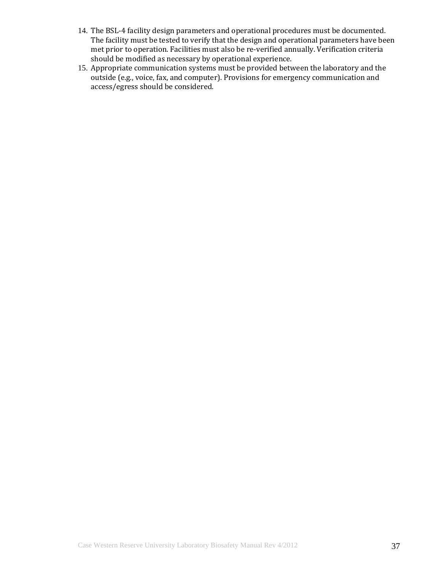- 14. The BSL-4 facility design parameters and operational procedures must be documented. The facility must be tested to verify that the design and operational parameters have been met prior to operation. Facilities must also be re-verified annually. Verification criteria should be modified as necessary by operational experience.
- 15. Appropriate communication systems must be provided between the laboratory and the outside (e.g., voice, fax, and computer). Provisions for emergency communication and access/egress should be considered.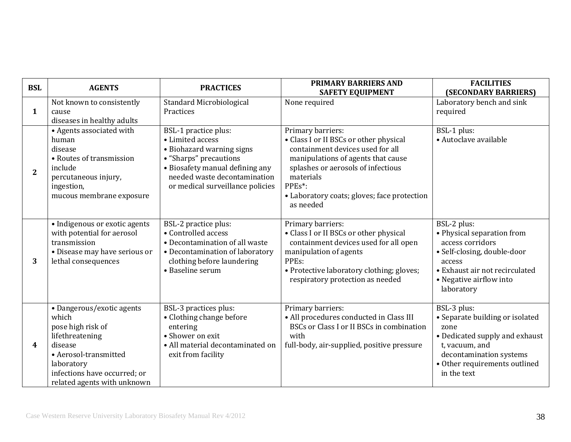| <b>AGENTS</b>              | <b>PRACTICES</b>                                                                                                                                                                                                                                                                                                                                                                                                                    | <b>PRIMARY BARRIERS AND</b>                                                                                                                                                                                                                                                                                                                                                                                    | <b>FACILITIES</b>                                                                                                                                                                                                                                                                                                                                                                                                                                                                                                                    |
|----------------------------|-------------------------------------------------------------------------------------------------------------------------------------------------------------------------------------------------------------------------------------------------------------------------------------------------------------------------------------------------------------------------------------------------------------------------------------|----------------------------------------------------------------------------------------------------------------------------------------------------------------------------------------------------------------------------------------------------------------------------------------------------------------------------------------------------------------------------------------------------------------|--------------------------------------------------------------------------------------------------------------------------------------------------------------------------------------------------------------------------------------------------------------------------------------------------------------------------------------------------------------------------------------------------------------------------------------------------------------------------------------------------------------------------------------|
|                            |                                                                                                                                                                                                                                                                                                                                                                                                                                     |                                                                                                                                                                                                                                                                                                                                                                                                                | (SECONDARY BARRIERS)                                                                                                                                                                                                                                                                                                                                                                                                                                                                                                                 |
|                            |                                                                                                                                                                                                                                                                                                                                                                                                                                     |                                                                                                                                                                                                                                                                                                                                                                                                                | Laboratory bench and sink                                                                                                                                                                                                                                                                                                                                                                                                                                                                                                            |
|                            |                                                                                                                                                                                                                                                                                                                                                                                                                                     |                                                                                                                                                                                                                                                                                                                                                                                                                | required                                                                                                                                                                                                                                                                                                                                                                                                                                                                                                                             |
|                            |                                                                                                                                                                                                                                                                                                                                                                                                                                     |                                                                                                                                                                                                                                                                                                                                                                                                                | BSL-1 plus:                                                                                                                                                                                                                                                                                                                                                                                                                                                                                                                          |
|                            |                                                                                                                                                                                                                                                                                                                                                                                                                                     |                                                                                                                                                                                                                                                                                                                                                                                                                | • Autoclave available                                                                                                                                                                                                                                                                                                                                                                                                                                                                                                                |
|                            |                                                                                                                                                                                                                                                                                                                                                                                                                                     |                                                                                                                                                                                                                                                                                                                                                                                                                |                                                                                                                                                                                                                                                                                                                                                                                                                                                                                                                                      |
|                            |                                                                                                                                                                                                                                                                                                                                                                                                                                     |                                                                                                                                                                                                                                                                                                                                                                                                                |                                                                                                                                                                                                                                                                                                                                                                                                                                                                                                                                      |
| include                    |                                                                                                                                                                                                                                                                                                                                                                                                                                     | splashes or aerosols of infectious                                                                                                                                                                                                                                                                                                                                                                             |                                                                                                                                                                                                                                                                                                                                                                                                                                                                                                                                      |
| percutaneous injury,       | needed waste decontamination                                                                                                                                                                                                                                                                                                                                                                                                        | materials                                                                                                                                                                                                                                                                                                                                                                                                      |                                                                                                                                                                                                                                                                                                                                                                                                                                                                                                                                      |
| ingestion,                 | or medical surveillance policies                                                                                                                                                                                                                                                                                                                                                                                                    | PPEs <sup>*</sup> :                                                                                                                                                                                                                                                                                                                                                                                            |                                                                                                                                                                                                                                                                                                                                                                                                                                                                                                                                      |
|                            |                                                                                                                                                                                                                                                                                                                                                                                                                                     |                                                                                                                                                                                                                                                                                                                                                                                                                |                                                                                                                                                                                                                                                                                                                                                                                                                                                                                                                                      |
|                            |                                                                                                                                                                                                                                                                                                                                                                                                                                     |                                                                                                                                                                                                                                                                                                                                                                                                                |                                                                                                                                                                                                                                                                                                                                                                                                                                                                                                                                      |
|                            |                                                                                                                                                                                                                                                                                                                                                                                                                                     |                                                                                                                                                                                                                                                                                                                                                                                                                | BSL-2 plus:                                                                                                                                                                                                                                                                                                                                                                                                                                                                                                                          |
| with potential for aerosol | • Controlled access                                                                                                                                                                                                                                                                                                                                                                                                                 | • Class I or II BSCs or other physical                                                                                                                                                                                                                                                                                                                                                                         | • Physical separation from                                                                                                                                                                                                                                                                                                                                                                                                                                                                                                           |
| transmission               | • Decontamination of all waste                                                                                                                                                                                                                                                                                                                                                                                                      | containment devices used for all open                                                                                                                                                                                                                                                                                                                                                                          | access corridors                                                                                                                                                                                                                                                                                                                                                                                                                                                                                                                     |
|                            |                                                                                                                                                                                                                                                                                                                                                                                                                                     |                                                                                                                                                                                                                                                                                                                                                                                                                | • Self-closing, double-door                                                                                                                                                                                                                                                                                                                                                                                                                                                                                                          |
|                            |                                                                                                                                                                                                                                                                                                                                                                                                                                     |                                                                                                                                                                                                                                                                                                                                                                                                                | access                                                                                                                                                                                                                                                                                                                                                                                                                                                                                                                               |
|                            |                                                                                                                                                                                                                                                                                                                                                                                                                                     |                                                                                                                                                                                                                                                                                                                                                                                                                | · Exhaust air not recirculated                                                                                                                                                                                                                                                                                                                                                                                                                                                                                                       |
|                            |                                                                                                                                                                                                                                                                                                                                                                                                                                     |                                                                                                                                                                                                                                                                                                                                                                                                                | • Negative airflow into<br>laboratory                                                                                                                                                                                                                                                                                                                                                                                                                                                                                                |
|                            |                                                                                                                                                                                                                                                                                                                                                                                                                                     |                                                                                                                                                                                                                                                                                                                                                                                                                |                                                                                                                                                                                                                                                                                                                                                                                                                                                                                                                                      |
| • Dangerous/exotic agents  | BSL-3 practices plus:                                                                                                                                                                                                                                                                                                                                                                                                               | Primary barriers:                                                                                                                                                                                                                                                                                                                                                                                              | BSL-3 plus:                                                                                                                                                                                                                                                                                                                                                                                                                                                                                                                          |
|                            |                                                                                                                                                                                                                                                                                                                                                                                                                                     |                                                                                                                                                                                                                                                                                                                                                                                                                | • Separate building or isolated                                                                                                                                                                                                                                                                                                                                                                                                                                                                                                      |
|                            |                                                                                                                                                                                                                                                                                                                                                                                                                                     |                                                                                                                                                                                                                                                                                                                                                                                                                | zone                                                                                                                                                                                                                                                                                                                                                                                                                                                                                                                                 |
|                            |                                                                                                                                                                                                                                                                                                                                                                                                                                     |                                                                                                                                                                                                                                                                                                                                                                                                                | • Dedicated supply and exhaust                                                                                                                                                                                                                                                                                                                                                                                                                                                                                                       |
|                            |                                                                                                                                                                                                                                                                                                                                                                                                                                     |                                                                                                                                                                                                                                                                                                                                                                                                                | t, vacuum, and                                                                                                                                                                                                                                                                                                                                                                                                                                                                                                                       |
|                            |                                                                                                                                                                                                                                                                                                                                                                                                                                     |                                                                                                                                                                                                                                                                                                                                                                                                                | decontamination systems                                                                                                                                                                                                                                                                                                                                                                                                                                                                                                              |
|                            |                                                                                                                                                                                                                                                                                                                                                                                                                                     |                                                                                                                                                                                                                                                                                                                                                                                                                | • Other requirements outlined<br>in the text                                                                                                                                                                                                                                                                                                                                                                                                                                                                                         |
|                            |                                                                                                                                                                                                                                                                                                                                                                                                                                     |                                                                                                                                                                                                                                                                                                                                                                                                                |                                                                                                                                                                                                                                                                                                                                                                                                                                                                                                                                      |
|                            | Not known to consistently<br>cause<br>diseases in healthy adults<br>• Agents associated with<br>human<br>disease<br>• Routes of transmission<br>mucous membrane exposure<br>• Indigenous or exotic agents<br>• Disease may have serious or<br>lethal consequences<br>which<br>pose high risk of<br>lifethreatening<br>disease<br>• Aerosol-transmitted<br>laboratory<br>infections have occurred; or<br>related agents with unknown | Standard Microbiological<br>Practices<br>BSL-1 practice plus:<br>• Limited access<br>• Biohazard warning signs<br>• "Sharps" precautions<br>• Biosafety manual defining any<br>BSL-2 practice plus:<br>• Decontamination of laboratory<br>clothing before laundering<br>• Baseline serum<br>• Clothing change before<br>entering<br>• Shower on exit<br>• All material decontaminated on<br>exit from facility | <b>SAFETY EQUIPMENT</b><br>None required<br>Primary barriers:<br>• Class I or II BSCs or other physical<br>containment devices used for all<br>manipulations of agents that cause<br>• Laboratory coats; gloves; face protection<br>as needed<br>Primary barriers:<br>manipulation of agents<br>PPEs:<br>• Protective laboratory clothing; gloves;<br>respiratory protection as needed<br>• All procedures conducted in Class III<br>BSCs or Class I or II BSCs in combination<br>with<br>full-body, air-supplied, positive pressure |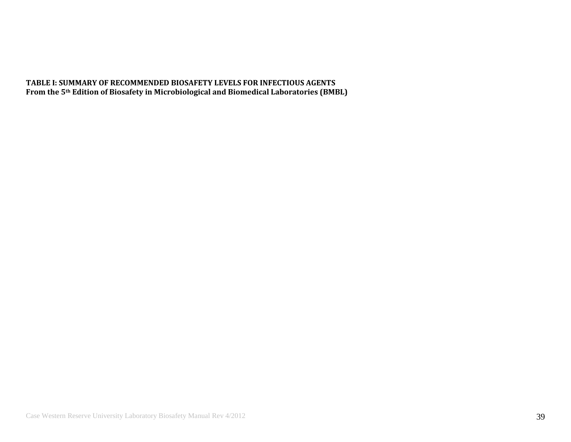**TABLE I: SUMMARY OF RECOMMENDED BIOSAFETY LEVELS FOR INFECTIOUS AGENTS From the 5th Edition of Biosafety in Microbiological and Biomedical Laboratories (BMBL)**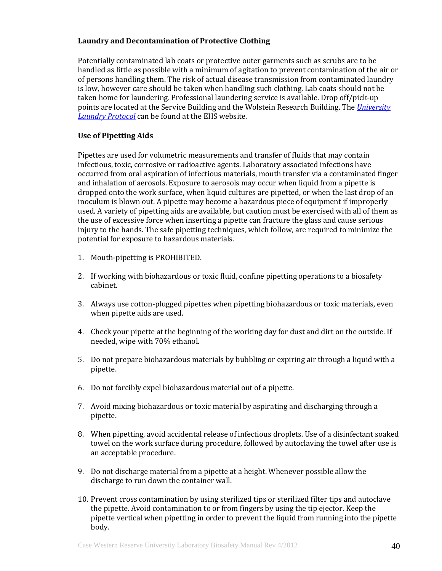## **Laundry and Decontamination of Protective Clothing**

Potentially contaminated lab coats or protective outer garments such as scrubs are to be handled as little as possible with a minimum of agitation to prevent contamination of the air or of persons handling them. The risk of actual disease transmission from contaminated laundry is low, however care should be taken when handling such clothing. Lab coats should not be taken home for laundering. Professional laundering service is available. Drop off/pick-up points are located at the Service Building and the Wolstein Research Building. The *[University](http://www.cwru.edu/finadmin/does/web/Biosafety/labcoat.htm) [Laundry Protocol](http://www.cwru.edu/finadmin/does/web/Biosafety/labcoat.htm)* can be found at the EHS website.

## **Use of Pipetting Aids**

Pipettes are used for volumetric measurements and transfer of fluids that may contain infectious, toxic, corrosive or radioactive agents. Laboratory associated infections have occurred from oral aspiration of infectious materials, mouth transfer via a contaminated finger and inhalation of aerosols. Exposure to aerosols may occur when liquid from a pipette is dropped onto the work surface, when liquid cultures are pipetted, or when the last drop of an inoculum is blown out. A pipette may become a hazardous piece of equipment if improperly used. A variety of pipetting aids are available, but caution must be exercised with all of them as the use of excessive force when inserting a pipette can fracture the glass and cause serious injury to the hands. The safe pipetting techniques, which follow, are required to minimize the potential for exposure to hazardous materials.

- 1. Mouth-pipetting is PROHIBITED.
- 2. If working with biohazardous or toxic fluid, confine pipetting operations to a biosafety cabinet.
- 3. Always use cotton-plugged pipettes when pipetting biohazardous or toxic materials, even when pipette aids are used.
- 4. Check your pipette at the beginning of the working day for dust and dirt on the outside. If needed, wipe with 70% ethanol.
- 5. Do not prepare biohazardous materials by bubbling or expiring air through a liquid with a pipette.
- 6. Do not forcibly expel biohazardous material out of a pipette.
- 7. Avoid mixing biohazardous or toxic material by aspirating and discharging through a pipette.
- 8. When pipetting, avoid accidental release of infectious droplets. Use of a disinfectant soaked towel on the work surface during procedure, followed by autoclaving the towel after use is an acceptable procedure.
- 9. Do not discharge material from a pipette at a height. Whenever possible allow the discharge to run down the container wall.
- 10. Prevent cross contamination by using sterilized tips or sterilized filter tips and autoclave the pipette. Avoid contamination to or from fingers by using the tip ejector. Keep the pipette vertical when pipetting in order to prevent the liquid from running into the pipette body.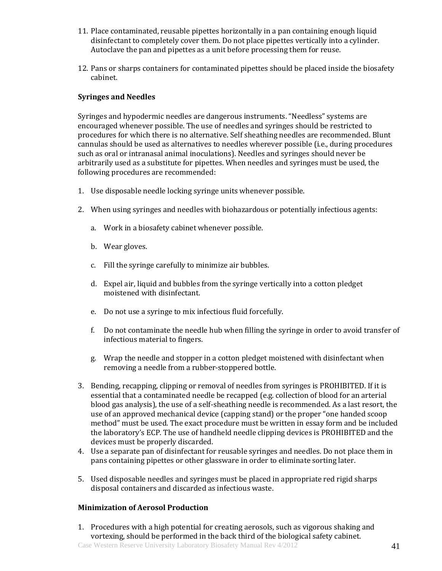- 11. Place contaminated, reusable pipettes horizontally in a pan containing enough liquid disinfectant to completely cover them. Do not place pipettes vertically into a cylinder. Autoclave the pan and pipettes as a unit before processing them for reuse.
- 12. Pans or sharps containers for contaminated pipettes should be placed inside the biosafety cabinet.

## **Syringes and Needles**

Syringes and hypodermic needles are dangerous instruments. "Needless" systems are encouraged whenever possible. The use of needles and syringes should be restricted to procedures for which there is no alternative. Self sheathing needles are recommended. Blunt cannulas should be used as alternatives to needles wherever possible (i.e., during procedures such as oral or intranasal animal inoculations). Needles and syringes should never be arbitrarily used as a substitute for pipettes. When needles and syringes must be used, the following procedures are recommended:

- 1. Use disposable needle locking syringe units whenever possible.
- 2. When using syringes and needles with biohazardous or potentially infectious agents:
	- a. Work in a biosafety cabinet whenever possible.
	- b. Wear gloves.
	- c. Fill the syringe carefully to minimize air bubbles.
	- d. Expel air, liquid and bubbles from the syringe vertically into a cotton pledget moistened with disinfectant.
	- e. Do not use a syringe to mix infectious fluid forcefully.
	- f. Do not contaminate the needle hub when filling the syringe in order to avoid transfer of infectious material to fingers.
	- g. Wrap the needle and stopper in a cotton pledget moistened with disinfectant when removing a needle from a rubber-stoppered bottle.
- 3. Bending, recapping, clipping or removal of needles from syringes is PROHIBITED. If it is essential that a contaminated needle be recapped (e.g. collection of blood for an arterial blood gas analysis), the use of a self-sheathing needle is recommended. As a last resort, the use of an approved mechanical device (capping stand) or the proper "one handed scoop method" must be used. The exact procedure must be written in essay form and be included the laboratory's ECP. The use of handheld needle clipping devices is PROHIBITED and the devices must be properly discarded.
- 4. Use a separate pan of disinfectant for reusable syringes and needles. Do not place them in pans containing pipettes or other glassware in order to eliminate sorting later.
- 5. Used disposable needles and syringes must be placed in appropriate red rigid sharps disposal containers and discarded as infectious waste.

## **Minimization of Aerosol Production**

1. Procedures with a high potential for creating aerosols, such as vigorous shaking and vortexing, should be performed in the back third of the biological safety cabinet.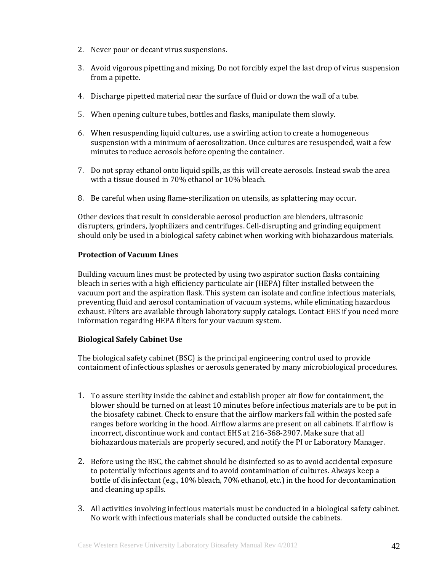- 2. Never pour or decant virus suspensions.
- 3. Avoid vigorous pipetting and mixing. Do not forcibly expel the last drop of virus suspension from a pipette.
- 4. Discharge pipetted material near the surface of fluid or down the wall of a tube.
- 5. When opening culture tubes, bottles and flasks, manipulate them slowly.
- 6. When resuspending liquid cultures, use a swirling action to create a homogeneous suspension with a minimum of aerosolization. Once cultures are resuspended, wait a few minutes to reduce aerosols before opening the container.
- 7. Do not spray ethanol onto liquid spills, as this will create aerosols. Instead swab the area with a tissue doused in 70% ethanol or 10% bleach.
- 8. Be careful when using flame-sterilization on utensils, as splattering may occur.

Other devices that result in considerable aerosol production are blenders, ultrasonic disrupters, grinders, lyophilizers and centrifuges. Cell-disrupting and grinding equipment should only be used in a biological safety cabinet when working with biohazardous materials.

#### **Protection of Vacuum Lines**

Building vacuum lines must be protected by using two aspirator suction flasks containing bleach in series with a high efficiency particulate air (HEPA) filter installed between the vacuum port and the aspiration flask. This system can isolate and confine infectious materials, preventing fluid and aerosol contamination of vacuum systems, while eliminating hazardous exhaust. Filters are available through laboratory supply catalogs. Contact EHS if you need more information regarding HEPA filters for your vacuum system.

#### **Biological Safely Cabinet Use**

The biological safety cabinet (BSC) is the principal engineering control used to provide containment of infectious splashes or aerosols generated by many microbiological procedures.

- 1. To assure sterility inside the cabinet and establish proper air flow for containment, the blower should be turned on at least 10 minutes before infectious materials are to be put in the biosafety cabinet. Check to ensure that the airflow markers fall within the posted safe ranges before working in the hood. Airflow alarms are present on all cabinets. If airflow is incorrect, discontinue work and contact EHS at 216-368-2907. Make sure that all biohazardous materials are properly secured, and notify the PI or Laboratory Manager.
- 2. Before using the BSC, the cabinet should be disinfected so as to avoid accidental exposure to potentially infectious agents and to avoid contamination of cultures. Always keep a bottle of disinfectant (e.g., 10% bleach, 70% ethanol, etc.) in the hood for decontamination and cleaning up spills.
- 3. All activities involving infectious materials must be conducted in a biological safety cabinet. No work with infectious materials shall be conducted outside the cabinets.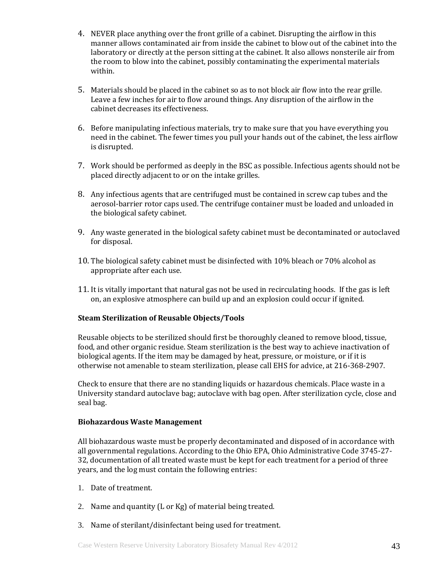- 4. NEVER place anything over the front grille of a cabinet. Disrupting the airflow in this manner allows contaminated air from inside the cabinet to blow out of the cabinet into the laboratory or directly at the person sitting at the cabinet. It also allows nonsterile air from the room to blow into the cabinet, possibly contaminating the experimental materials within.
- 5. Materials should be placed in the cabinet so as to not block air flow into the rear grille. Leave a few inches for air to flow around things. Any disruption of the airflow in the cabinet decreases its effectiveness.
- 6. Before manipulating infectious materials, try to make sure that you have everything you need in the cabinet. The fewer times you pull your hands out of the cabinet, the less airflow is disrupted.
- 7. Work should be performed as deeply in the BSC as possible. Infectious agents should not be placed directly adjacent to or on the intake grilles.
- 8. Any infectious agents that are centrifuged must be contained in screw cap tubes and the aerosol-barrier rotor caps used. The centrifuge container must be loaded and unloaded in the biological safety cabinet.
- 9. Any waste generated in the biological safety cabinet must be decontaminated or autoclaved for disposal.
- 10. The biological safety cabinet must be disinfected with 10% bleach or 70% alcohol as appropriate after each use.
- 11. It is vitally important that natural gas not be used in recirculating hoods. If the gas is left on, an explosive atmosphere can build up and an explosion could occur if ignited.

## **Steam Sterilization of Reusable Objects/Tools**

Reusable objects to be sterilized should first be thoroughly cleaned to remove blood, tissue, food, and other organic residue. Steam sterilization is the best way to achieve inactivation of biological agents. If the item may be damaged by heat, pressure, or moisture, or if it is otherwise not amenable to steam sterilization, please call EHS for advice, at 216-368-2907.

Check to ensure that there are no standing liquids or hazardous chemicals. Place waste in a University standard autoclave bag; autoclave with bag open. After sterilization cycle, close and seal bag.

#### **Biohazardous Waste Management**

All biohazardous waste must be properly decontaminated and disposed of in accordance with all governmental regulations. According to the Ohio EPA, Ohio Administrative Code 3745-27- 32, documentation of all treated waste must be kept for each treatment for a period of three years, and the log must contain the following entries:

- 1. Date of treatment.
- 2. Name and quantity (L or Kg) of material being treated.
- 3. Name of sterilant/disinfectant being used for treatment.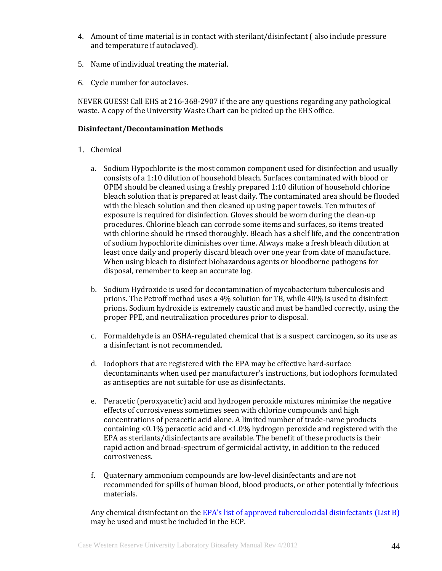- 4. Amount of time material is in contact with sterilant/disinfectant ( also include pressure and temperature if autoclaved).
- 5. Name of individual treating the material.
- 6. Cycle number for autoclaves.

NEVER GUESS! Call EHS at 216-368-2907 if the are any questions regarding any pathological waste. A copy of the University Waste Chart can be picked up the EHS office.

#### **Disinfectant/Decontamination Methods**

- 1. Chemical
	- a. Sodium Hypochlorite is the most common component used for disinfection and usually consists of a 1:10 dilution of household bleach. Surfaces contaminated with blood or OPIM should be cleaned using a freshly prepared 1:10 dilution of household chlorine bleach solution that is prepared at least daily. The contaminated area should be flooded with the bleach solution and then cleaned up using paper towels. Ten minutes of exposure is required for disinfection. Gloves should be worn during the clean-up procedures. Chlorine bleach can corrode some items and surfaces, so items treated with chlorine should be rinsed thoroughly. Bleach has a shelf life, and the concentration of sodium hypochlorite diminishes over time. Always make a fresh bleach dilution at least once daily and properly discard bleach over one year from date of manufacture. When using bleach to disinfect biohazardous agents or bloodborne pathogens for disposal, remember to keep an accurate log.
	- b. Sodium Hydroxide is used for decontamination of mycobacterium tuberculosis and prions. The Petroff method uses a 4% solution for TB, while 40% is used to disinfect prions. Sodium hydroxide is extremely caustic and must be handled correctly, using the proper PPE, and neutralization procedures prior to disposal.
	- c. Formaldehyde is an OSHA-regulated chemical that is a suspect carcinogen, so its use as a disinfectant is not recommended.
	- d. Iodophors that are registered with the EPA may be effective hard-surface decontaminants when used per manufacturer's instructions, but iodophors formulated as antiseptics are not suitable for use as disinfectants.
	- e. Peracetic (peroxyacetic) acid and hydrogen peroxide mixtures minimize the negative effects of corrosiveness sometimes seen with chlorine compounds and high concentrations of peracetic acid alone. A limited number of trade-name products containing <0.1% peracetic acid and <1.0% hydrogen peroxide and registered with the EPA as sterilants/disinfectants are available. The benefit of these products is their rapid action and broad-spectrum of germicidal activity, in addition to the reduced corrosiveness.
	- f. Quaternary ammonium compounds are low-level disinfectants and are not recommended for spills of human blood, blood products, or other potentially infectious materials.

Any chemical disinfectant on the **EPA's list of approved tuberculocidal disinfectants** (List B) may be used and must be included in the ECP.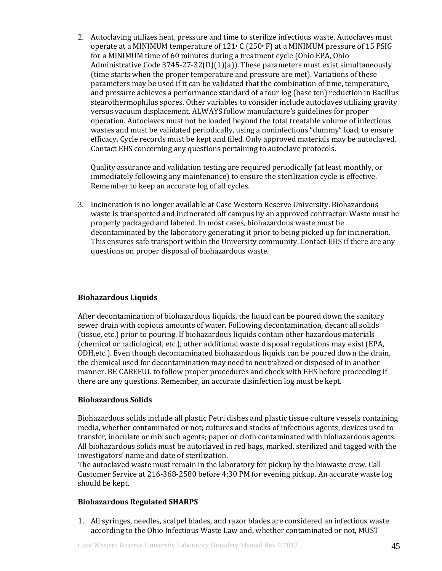2. Autoclaving utilizes heat, pressure and time to sterilize infectious waste. Autoclaves must operate at a MINIMUM temperature of 121°C (250°F) at a MINIMUM pressure of 15 PSIG for a MINIMUM time of 60 minutes during a treatment cycle (Ohio EPA, Ohio Administrative Code 3745-27-32(D)(1)(a)). These parameters must exist simultaneously (time starts when the proper temperature and pressure are met). Variations of these parameters may be used if it can be validated that the combination of time, temperature, and pressure achieves a performance standard of a four log (base ten) reduction in Bacillus stearothermophilus spores. Other variables to consider include autoclaves utilizing gravity versus vacuum displacement. ALWAYS follow manufacture's guidelines for proper operation. Autoclaves must not be loaded beyond the total treatable volume of infectious wastes and must be validated periodically, using a noninfectious "dummy" load, to ensure efficacy. Cycle records must be kept and filed. Only approved materials may be autoclaved. Contact EHS concerning any questions pertaining to autoclave protocols.

Quality assurance and validation testing are required periodically (at least monthly, or immediately following any maintenance) to ensure the sterilization cycle is effective. Remember to keep an accurate log of all cycles.

3. Incineration is no longer available at Case Western Reserve University. Biohazardous waste is transported and incinerated off campus by an approved contractor. Waste must be properly packaged and labeled. In most cases, biohazardous waste must be decontaminated by the laboratory generating it prior to being picked up for incineration. This ensures safe transport within the University community. Contact EHS if there are any questions on proper disposal of biohazardous waste.

## **Biohazardous Liquids**

After decontamination of biohazardous liquids, the liquid can be poured down the sanitary sewer drain with copious amounts of water. Following decontamination, decant all solids (tissue, etc.) prior to pouring. If biohazardous liquids contain other hazardous materials (chemical or radiological, etc.), other additional waste disposal regulations may exist (EPA, ODH,etc.). Even though decontaminated biohazardous liquids can be poured down the drain, the chemical used for decontamination may need to neutralized or disposed of in another manner. BE CAREFUL to follow proper procedures and check with EHS before proceeding if there are any questions. Remember, an accurate disinfection log must be kept.

#### **Biohazardous Solids**

Biohazardous solids include all plastic Petri dishes and plastic tissue culture vessels containing media, whether contaminated or not; cultures and stocks of infectious agents; devices used to transfer, inoculate or mix such agents; paper or cloth contaminated with biohazardous agents. All biohazardous solids must be autoclaved in red bags, marked, sterilized and tagged with the investigators' name and date of sterilization.

The autoclaved waste must remain in the laboratory for pickup by the biowaste crew. Call Customer Service at 216-368-2580 before 4:30 PM for evening pickup. An accurate waste log should be kept.

#### **Biohazardous Regulated SHARPS**

1. All syringes, needles, scalpel blades, and razor blades are considered an infectious waste according to the Ohio Infectious Waste Law and, whether contaminated or not, MUST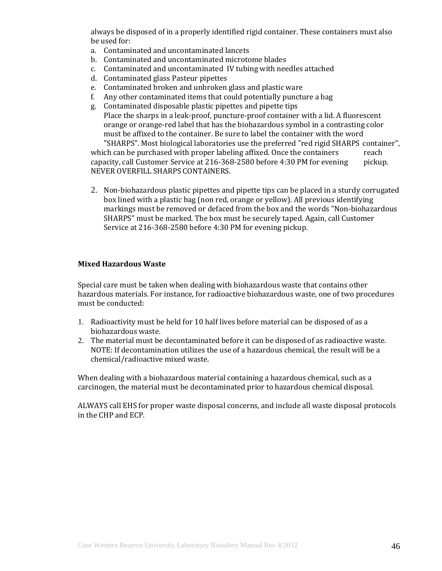always be disposed of in a properly identified rigid container. These containers must also be used for:

- a. Contaminated and uncontaminated lancets
- b. Contaminated and uncontaminated microtome blades
- c. Contaminated and uncontaminated IV tubing with needles attached
- d. Contaminated glass Pasteur pipettes
- e. Contaminated broken and unbroken glass and plastic ware
- f. Any other contaminated items that could potentially puncture a bag
- g. Contaminated disposable plastic pipettes and pipette tips Place the sharps in a leak-proof, puncture-proof container with a lid. A fluorescent orange or orange-red label that has the biohazardous symbol in a contrasting color must be affixed to the container. Be sure to label the container with the word

"SHARPS". Most biological laboratories use the preferred "red rigid SHARPS container", which can be purchased with proper labeling affixed. Once the containers reach<br>capacity, call Customer Service at 216-368-2580 before 4:30 PM for evening pickup. capacity, call Customer Service at 216-368-2580 before 4:30 PM for evening. NEVER OVERFILL SHARPS CONTAINERS.

2. Non-biohazardous plastic pipettes and pipette tips can be placed in a sturdy corrugated box lined with a plastic bag (non red, orange or yellow). All previous identifying markings must be removed or defaced from the box and the words "Non-biohazardous SHARPS" must be marked. The box must be securely taped. Again, call Customer Service at 216-368-2580 before 4:30 PM for evening pickup.

#### **Mixed Hazardous Waste**

Special care must be taken when dealing with biohazardous waste that contains other hazardous materials. For instance, for radioactive biohazardous waste, one of two procedures must be conducted:

- 1. Radioactivity must be held for 10 half lives before material can be disposed of as a biohazardous waste.
- 2. The material must be decontaminated before it can be disposed of as radioactive waste. NOTE: If decontamination utilizes the use of a hazardous chemical, the result will be a chemical/radioactive mixed waste.

When dealing with a biohazardous material containing a hazardous chemical, such as a carcinogen, the material must be decontaminated prior to hazardous chemical disposal.

ALWAYS call EHS for proper waste disposal concerns, and include all waste disposal protocols in the CHP and ECP.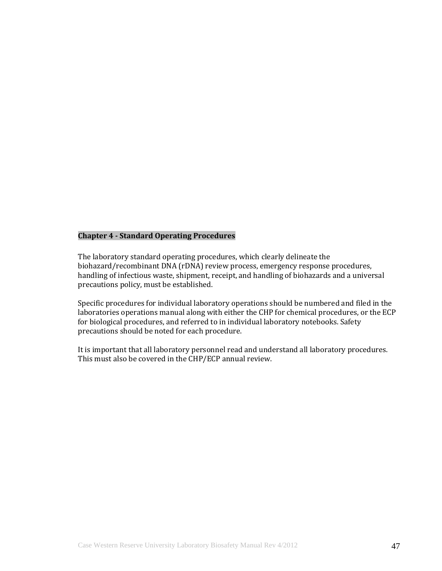## **Chapter 4 - Standard Operating Procedures**

The laboratory standard operating procedures, which clearly delineate the biohazard/recombinant DNA (rDNA) review process, emergency response procedures, handling of infectious waste, shipment, receipt, and handling of biohazards and a universal precautions policy, must be established.

Specific procedures for individual laboratory operations should be numbered and filed in the laboratories operations manual along with either the CHP for chemical procedures, or the ECP for biological procedures, and referred to in individual laboratory notebooks. Safety precautions should be noted for each procedure.

It is important that all laboratory personnel read and understand all laboratory procedures. This must also be covered in the CHP/ECP annual review.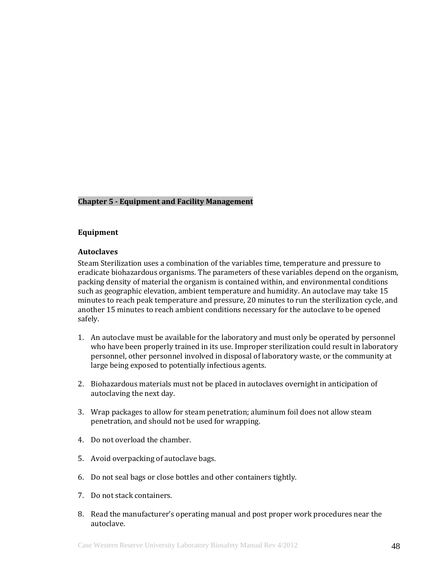#### **Chapter 5 - Equipment and Facility Management**

#### **Equipment**

#### **Autoclaves**

Steam Sterilization uses a combination of the variables time, temperature and pressure to eradicate biohazardous organisms. The parameters of these variables depend on the organism, packing density of material the organism is contained within, and environmental conditions such as geographic elevation, ambient temperature and humidity. An autoclave may take 15 minutes to reach peak temperature and pressure, 20 minutes to run the sterilization cycle, and another 15 minutes to reach ambient conditions necessary for the autoclave to be opened safely.

- 1. An autoclave must be available for the laboratory and must only be operated by personnel who have been properly trained in its use. Improper sterilization could result in laboratory personnel, other personnel involved in disposal of laboratory waste, or the community at large being exposed to potentially infectious agents.
- 2. Biohazardous materials must not be placed in autoclaves overnight in anticipation of autoclaving the next day.
- 3. Wrap packages to allow for steam penetration; aluminum foil does not allow steam penetration, and should not be used for wrapping.
- 4. Do not overload the chamber.
- 5. Avoid overpacking of autoclave bags.
- 6. Do not seal bags or close bottles and other containers tightly.
- 7. Do not stack containers.
- 8. Read the manufacturer's operating manual and post proper work procedures near the autoclave.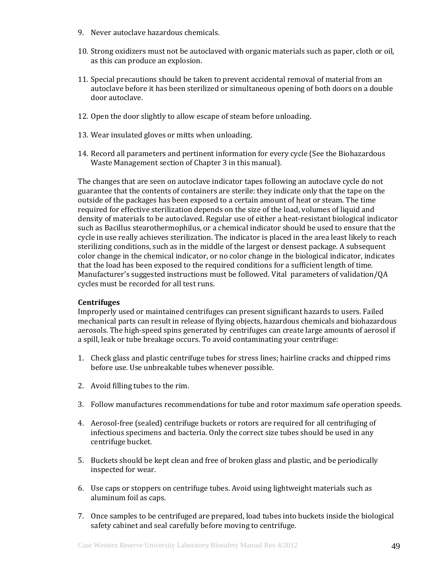- 9. Never autoclave hazardous chemicals.
- 10. Strong oxidizers must not be autoclaved with organic materials such as paper, cloth or oil, as this can produce an explosion.
- 11. Special precautions should be taken to prevent accidental removal of material from an autoclave before it has been sterilized or simultaneous opening of both doors on a double door autoclave.
- 12. Open the door slightly to allow escape of steam before unloading.
- 13. Wear insulated gloves or mitts when unloading.
- 14. Record all parameters and pertinent information for every cycle (See the Biohazardous Waste Management section of Chapter 3 in this manual).

The changes that are seen on autoclave indicator tapes following an autoclave cycle do not guarantee that the contents of containers are sterile: they indicate only that the tape on the outside of the packages has been exposed to a certain amount of heat or steam. The time required for effective sterilization depends on the size of the load, volumes of liquid and density of materials to be autoclaved. Regular use of either a heat-resistant biological indicator such as Bacillus stearothermophilus, or a chemical indicator should be used to ensure that the cycle in use really achieves sterilization. The indicator is placed in the area least likely to reach sterilizing conditions, such as in the middle of the largest or densest package. A subsequent color change in the chemical indicator, or no color change in the biological indicator, indicates that the load has been exposed to the required conditions for a sufficient length of time. Manufacturer's suggested instructions must be followed. Vital parameters of validation/QA cycles must be recorded for all test runs.

#### **Centrifuges**

Improperly used or maintained centrifuges can present significant hazards to users. Failed mechanical parts can result in release of flying objects, hazardous chemicals and biohazardous aerosols. The high-speed spins generated by centrifuges can create large amounts of aerosol if a spill, leak or tube breakage occurs. To avoid contaminating your centrifuge:

- 1. Check glass and plastic centrifuge tubes for stress lines; hairline cracks and chipped rims before use. Use unbreakable tubes whenever possible.
- 2. Avoid filling tubes to the rim.
- 3. Follow manufactures recommendations for tube and rotor maximum safe operation speeds.
- 4. Aerosol-free (sealed) centrifuge buckets or rotors are required for all centrifuging of infectious specimens and bacteria. Only the correct size tubes should be used in any centrifuge bucket.
- 5. Buckets should be kept clean and free of broken glass and plastic, and be periodically inspected for wear.
- 6. Use caps or stoppers on centrifuge tubes. Avoid using lightweight materials such as aluminum foil as caps.
- 7. Once samples to be centrifuged are prepared, load tubes into buckets inside the biological safety cabinet and seal carefully before moving to centrifuge.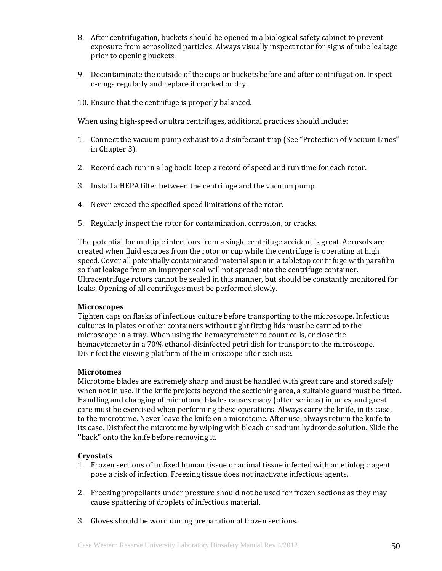- 8. After centrifugation, buckets should be opened in a biological safety cabinet to prevent exposure from aerosolized particles. Always visually inspect rotor for signs of tube leakage prior to opening buckets.
- 9. Decontaminate the outside of the cups or buckets before and after centrifugation. Inspect o-rings regularly and replace if cracked or dry.
- 10. Ensure that the centrifuge is properly balanced.

When using high-speed or ultra centrifuges, additional practices should include:

- 1. Connect the vacuum pump exhaust to a disinfectant trap (See "Protection of Vacuum Lines" in Chapter 3).
- 2. Record each run in a log book: keep a record of speed and run time for each rotor.
- 3. Install a HEPA filter between the centrifuge and the vacuum pump.
- 4. Never exceed the specified speed limitations of the rotor.
- 5. Regularly inspect the rotor for contamination, corrosion, or cracks.

The potential for multiple infections from a single centrifuge accident is great. Aerosols are created when fluid escapes from the rotor or cup while the centrifuge is operating at high speed. Cover all potentially contaminated material spun in a tabletop centrifuge with parafilm so that leakage from an improper seal will not spread into the centrifuge container. Ultracentrifuge rotors cannot be sealed in this manner, but should be constantly monitored for leaks. Opening of all centrifuges must be performed slowly.

#### **Microscopes**

Tighten caps on flasks of infectious culture before transporting to the microscope. Infectious cultures in plates or other containers without tight fitting lids must be carried to the microscope in a tray. When using the hemacytometer to count cells, enclose the hemacytometer in a 70% ethanol-disinfected petri dish for transport to the microscope. Disinfect the viewing platform of the microscope after each use.

#### **Microtomes**

Microtome blades are extremely sharp and must be handled with great care and stored safely when not in use. If the knife projects beyond the sectioning area, a suitable guard must be fitted. Handling and changing of microtome blades causes many (often serious) injuries, and great care must be exercised when performing these operations. Always carry the knife, in its case, to the microtome. Never leave the knife on a microtome. After use, always return the knife to its case. Disinfect the microtome by wiping with bleach or sodium hydroxide solution. Slide the ''back'' onto the knife before removing it.

#### **Cryostats**

- 1. Frozen sections of unfixed human tissue or animal tissue infected with an etiologic agent pose a risk of infection. Freezing tissue does not inactivate infectious agents.
- 2. Freezing propellants under pressure should not be used for frozen sections as they may cause spattering of droplets of infectious material.
- 3. Gloves should be worn during preparation of frozen sections.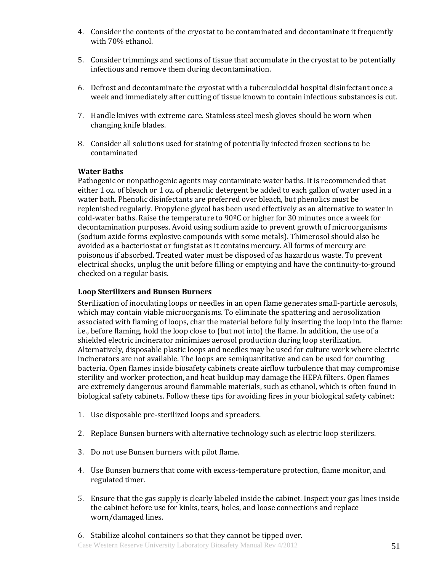- 4. Consider the contents of the cryostat to be contaminated and decontaminate it frequently with 70% ethanol.
- 5. Consider trimmings and sections of tissue that accumulate in the cryostat to be potentially infectious and remove them during decontamination.
- 6. Defrost and decontaminate the cryostat with a tuberculocidal hospital disinfectant once a week and immediately after cutting of tissue known to contain infectious substances is cut.
- 7. Handle knives with extreme care. Stainless steel mesh gloves should be worn when changing knife blades.
- 8. Consider all solutions used for staining of potentially infected frozen sections to be contaminated

#### **Water Baths**

Pathogenic or nonpathogenic agents may contaminate water baths. It is recommended that either 1 oz. of bleach or 1 oz. of phenolic detergent be added to each gallon of water used in a water bath. Phenolic disinfectants are preferred over bleach, but phenolics must be replenished regularly. Propylene glycol has been used effectively as an alternative to water in cold-water baths. Raise the temperature to 90ºC or higher for 30 minutes once a week for decontamination purposes. Avoid using sodium azide to prevent growth of microorganisms (sodium azide forms explosive compounds with some metals). Thimerosol should also be avoided as a bacteriostat or fungistat as it contains mercury. All forms of mercury are poisonous if absorbed. Treated water must be disposed of as hazardous waste. To prevent electrical shocks, unplug the unit before filling or emptying and have the continuity-to-ground checked on a regular basis.

#### **Loop Sterilizers and Bunsen Burners**

Sterilization of inoculating loops or needles in an open flame generates small-particle aerosols, which may contain viable microorganisms. To eliminate the spattering and aerosolization associated with flaming of loops, char the material before fully inserting the loop into the flame: i.e., before flaming, hold the loop close to (but not into) the flame. In addition, the use of a shielded electric incinerator minimizes aerosol production during loop sterilization. Alternatively, disposable plastic loops and needles may be used for culture work where electric incinerators are not available. The loops are semiquantitative and can be used for counting bacteria. Open flames inside biosafety cabinets create airflow turbulence that may compromise sterility and worker protection, and heat buildup may damage the HEPA filters. Open flames are extremely dangerous around flammable materials, such as ethanol, which is often found in biological safety cabinets. Follow these tips for avoiding fires in your biological safety cabinet:

- 1. Use disposable pre-sterilized loops and spreaders.
- 2. Replace Bunsen burners with alternative technology such as electric loop sterilizers.
- 3. Do not use Bunsen burners with pilot flame.
- 4. Use Bunsen burners that come with excess-temperature protection, flame monitor, and regulated timer.
- 5. Ensure that the gas supply is clearly labeled inside the cabinet. Inspect your gas lines inside the cabinet before use for kinks, tears, holes, and loose connections and replace worn/damaged lines.

Case Western Reserve University Laboratory Biosafety Manual Rev 4/2012 51 6. Stabilize alcohol containers so that they cannot be tipped over.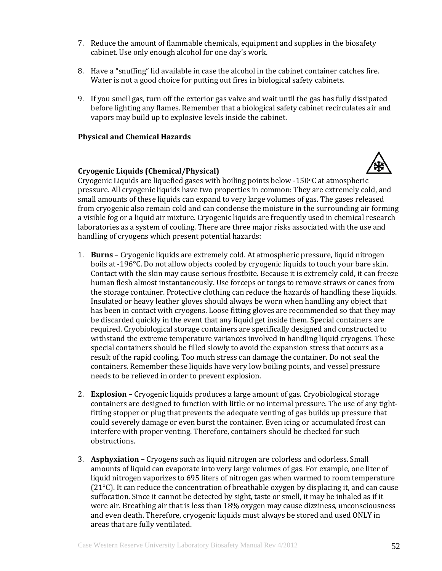- 7. Reduce the amount of flammable chemicals, equipment and supplies in the biosafety cabinet. Use only enough alcohol for one day's work.
- 8. Have a "snuffing" lid available in case the alcohol in the cabinet container catches fire. Water is not a good choice for putting out fires in biological safety cabinets.
- 9. If you smell gas, turn off the exterior gas valve and wait until the gas has fully dissipated before lighting any flames. Remember that a biological safety cabinet recirculates air and vapors may build up to explosive levels inside the cabinet.

## **Physical and Chemical Hazards**

## **Cryogenic Liquids (Chemical/Physical)**



Cryogenic Liquids are liquefied gases with boiling points below  $-150\textdegree C$  at atmospheric pressure. All cryogenic liquids have two properties in common: They are extremely cold, and small amounts of these liquids can expand to very large volumes of gas. The gases released from cryogenic also remain cold and can condense the moisture in the surrounding air forming a visible fog or a liquid air mixture. Cryogenic liquids are frequently used in chemical research laboratories as a system of cooling. There are three major risks associated with the use and handling of cryogens which present potential hazards:

- 1. **Burns** Cryogenic liquids are extremely cold. At atmospheric pressure, liquid nitrogen boils at -196°C. Do not allow objects cooled by cryogenic liquids to touch your bare skin. Contact with the skin may cause serious frostbite. Because it is extremely cold, it can freeze human flesh almost instantaneously. Use forceps or tongs to remove straws or canes from the storage container. Protective clothing can reduce the hazards of handling these liquids. Insulated or heavy leather gloves should always be worn when handling any object that has been in contact with cryogens. Loose fitting gloves are recommended so that they may be discarded quickly in the event that any liquid get inside them. Special containers are required. Cryobiological storage containers are specifically designed and constructed to withstand the extreme temperature variances involved in handling liquid cryogens. These special containers should be filled slowly to avoid the expansion stress that occurs as a result of the rapid cooling. Too much stress can damage the container. Do not seal the containers. Remember these liquids have very low boiling points, and vessel pressure needs to be relieved in order to prevent explosion.
- 2. **Explosion** Cryogenic liquids produces a large amount of gas. Cryobiological storage containers are designed to function with little or no internal pressure. The use of any tightfitting stopper or plug that prevents the adequate venting of gas builds up pressure that could severely damage or even burst the container. Even icing or accumulated frost can interfere with proper venting. Therefore, containers should be checked for such obstructions.
- 3. **Asphyxiation –** Cryogens such as liquid nitrogen are colorless and odorless. Small amounts of liquid can evaporate into very large volumes of gas. For example, one liter of liquid nitrogen vaporizes to 695 liters of nitrogen gas when warmed to room temperature  $(21^{\circ}C)$ . It can reduce the concentration of breathable oxygen by displacing it, and can cause suffocation. Since it cannot be detected by sight, taste or smell, it may be inhaled as if it were air. Breathing air that is less than 18% oxygen may cause dizziness, unconsciousness and even death. Therefore, cryogenic liquids must always be stored and used ONLY in areas that are fully ventilated.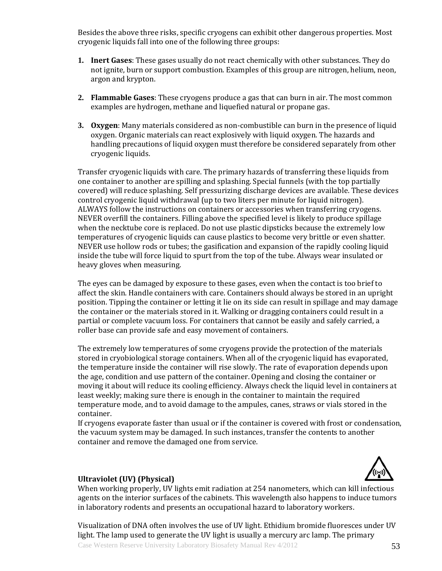Besides the above three risks, specific cryogens can exhibit other dangerous properties. Most cryogenic liquids fall into one of the following three groups:

- **1. Inert Gases**: These gases usually do not react chemically with other substances. They do not ignite, burn or support combustion. Examples of this group are nitrogen, helium, neon, argon and krypton.
- **2. Flammable Gases**: These cryogens produce a gas that can burn in air. The most common examples are hydrogen, methane and liquefied natural or propane gas.
- **3. Oxygen**: Many materials considered as non-combustible can burn in the presence of liquid oxygen. Organic materials can react explosively with liquid oxygen. The hazards and handling precautions of liquid oxygen must therefore be considered separately from other cryogenic liquids.

Transfer cryogenic liquids with care. The primary hazards of transferring these liquids from one container to another are spilling and splashing. Special funnels (with the top partially covered) will reduce splashing. Self pressurizing discharge devices are available. These devices control cryogenic liquid withdrawal (up to two liters per minute for liquid nitrogen). ALWAYS follow the instructions on containers or accessories when transferring cryogens. NEVER overfill the containers. Filling above the specified level is likely to produce spillage when the necktube core is replaced. Do not use plastic dipsticks because the extremely low temperatures of cryogenic liquids can cause plastics to become very brittle or even shatter. NEVER use hollow rods or tubes; the gasification and expansion of the rapidly cooling liquid inside the tube will force liquid to spurt from the top of the tube. Always wear insulated or heavy gloves when measuring.

The eyes can be damaged by exposure to these gases, even when the contact is too brief to affect the skin. Handle containers with care. Containers should always be stored in an upright position. Tipping the container or letting it lie on its side can result in spillage and may damage the container or the materials stored in it. Walking or dragging containers could result in a partial or complete vacuum loss. For containers that cannot be easily and safely carried, a roller base can provide safe and easy movement of containers.

The extremely low temperatures of some cryogens provide the protection of the materials stored in cryobiological storage containers. When all of the cryogenic liquid has evaporated, the temperature inside the container will rise slowly. The rate of evaporation depends upon the age, condition and use pattern of the container. Opening and closing the container or moving it about will reduce its cooling efficiency. Always check the liquid level in containers at least weekly; making sure there is enough in the container to maintain the required temperature mode, and to avoid damage to the ampules, canes, straws or vials stored in the container.

If cryogens evaporate faster than usual or if the container is covered with frost or condensation, the vacuum system may be damaged. In such instances, transfer the contents to another container and remove the damaged one from service.



#### **Ultraviolet (UV) (Physical)**

When working properly, UV lights emit radiation at 254 nanometers, which can kill infectious agents on the interior surfaces of the cabinets. This wavelength also happens to induce tumors in laboratory rodents and presents an occupational hazard to laboratory workers.

Visualization of DNA often involves the use of UV light. Ethidium bromide fluoresces under UV light. The lamp used to generate the UV light is usually a mercury arc lamp. The primary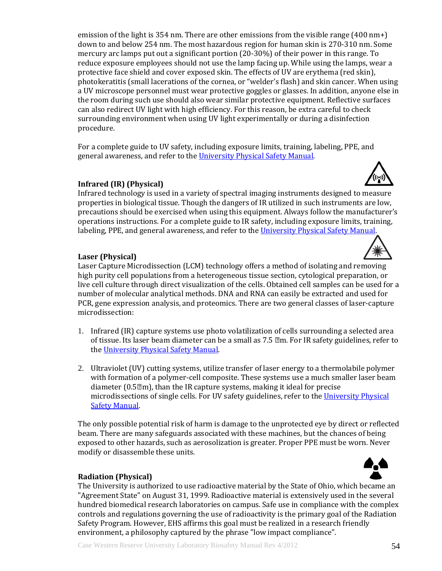emission of the light is 354 nm. There are other emissions from the visible range (400 nm+) down to and below 254 nm. The most hazardous region for human skin is 270-310 nm. Some mercury arc lamps put out a significant portion (20-30%) of their power in this range. To reduce exposure employees should not use the lamp facing up. While using the lamps, wear a protective face shield and cover exposed skin. The effects of UV are erythema (red skin), photokeratitis (small lacerations of the cornea, or "welder's flash) and skin cancer. When using a UV microscope personnel must wear protective goggles or glasses. In addition, anyone else in the room during such use should also wear similar protective equipment. Reflective surfaces can also redirect UV light with high efficiency. For this reason, be extra careful to check surrounding environment when using UV light experimentally or during a disinfection procedure.

For a complete guide to UV safety, including exposure limits, training, labeling, PPE, and general awareness, and refer to the University [Physical Safety Manual.](http://case.edu/finadmin/does/web/Forms/PDFdocs/PhysSafety.pdf)

## **Infrared (IR) (Physical)**

Infrared technology is used in a variety of spectral imaging instruments designed to measure properties in biological tissue. Though the dangers of IR utilized in such instruments are low, precautions should be exercised when using this equipment. Always follow the manufacturer's operations instructions. For a complete guide to IR safety, including exposure limits, training, labeling, PPE, and general awareness, and refer to the University [Physical Safety Manual.](http://case.edu/finadmin/does/web/Forms/PDFdocs/PhysSafety.pdf)

## **Laser (Physical)**

Laser Capture Microdissection (LCM) technology offers a method of isolating and removing high purity cell populations from a heterogeneous tissue section, cytological preparation, or live cell culture through direct visualization of the cells. Obtained cell samples can be used for a number of molecular analytical methods. DNA and RNA can easily be extracted and used for PCR, gene expression analysis, and proteomics. There are two general classes of laser-capture microdissection:

- 1. Infrared (IR) capture systems use photo volatilization of cells surrounding a selected area of tissue. Its laser beam diameter can be a small as  $7.5 \text{ } \text{\&}$  For IR safety guidelines, refer to the University [Physical Safety Manual.](http://case.edu/finadmin/does/web/Forms/PDFdocs/PhysSafety.pdf)
- 2. Ultraviolet (UV) cutting systems, utilize transfer of laser energy to a thermolabile polymer with formation of a polymer-cell composite. These systems use a much smaller laser beam diameter  $(0.5 \text{m})$ , than the IR capture systems, making it ideal for precise microdissections of single cells. For UV safety guidelines, refer to the [University](http://case.edu/finadmin/does/web/Forms/PDFdocs/PhysSafety.pdf) Physical [Safety Manual.](http://case.edu/finadmin/does/web/Forms/PDFdocs/PhysSafety.pdf)

The only possible potential risk of harm is damage to the unprotected eye by direct or reflected beam. There are many safeguards associated with these machines, but the chances of being exposed to other hazards, such as aerosolization is greater. Proper PPE must be worn. Never modify or disassemble these units.

## **Radiation (Physical)**

The University is authorized to use radioactive material by the State of Ohio, which became an "Agreement State" on August 31, 1999. Radioactive material is extensively used in the several hundred biomedical research laboratories on campus. Safe use in compliance with the complex controls and regulations governing the use of radioactivity is the primary goal of the Radiation Safety Program. However, EHS affirms this goal must be realized in a research friendly environment, a philosophy captured by the phrase "low impact compliance".





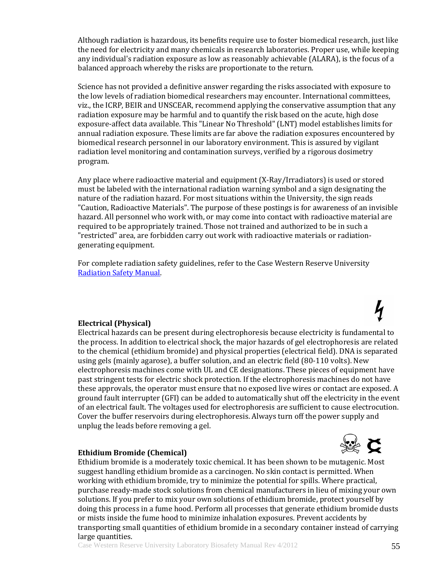Although radiation is hazardous, its benefits require use to foster biomedical research, just like the need for electricity and many chemicals in research laboratories. Proper use, while keeping any individual's radiation exposure as low as reasonably achievable (ALARA), is the focus of a balanced approach whereby the risks are proportionate to the return.

Science has not provided a definitive answer regarding the risks associated with exposure to the low levels of radiation biomedical researchers may encounter. International committees, viz., the ICRP, BEIR and UNSCEAR, recommend applying the conservative assumption that any radiation exposure may be harmful and to quantify the risk based on the acute, high dose exposure-affect data available. This "Linear No Threshold" (LNT) model establishes limits for annual radiation exposure. These limits are far above the radiation exposures encountered by biomedical research personnel in our laboratory environment. This is assured by vigilant radiation level monitoring and contamination surveys, verified by a rigorous dosimetry program.

Any place where radioactive material and equipment (X-Ray/Irradiators) is used or stored must be labeled with the international radiation warning symbol and a sign designating the nature of the radiation hazard. For most situations within the University, the sign reads "Caution, Radioactive Materials". The purpose of these postings is for awareness of an invisible hazard. All personnel who work with, or may come into contact with radioactive material are required to be appropriately trained. Those not trained and authorized to be in such a "restricted" area, are forbidden carry out work with radioactive materials or radiationgenerating equipment.

For complete radiation safety guidelines, refer to the Case Western Reserve University [Radiation Safety Manual.](http://case.edu/finadmin/does/web/Forms/PDFdocs/RADMAN.pdf)

## **Electrical (Physical)**

Electrical hazards can be present during electrophoresis because electricity is fundamental to the process. In addition to electrical shock, the major hazards of gel electrophoresis are related to the chemical (ethidium bromide) and physical properties (electrical field). DNA is separated using gels (mainly agarose), a buffer solution, and an electric field (80-110 volts). New electrophoresis machines come with UL and CE designations. These pieces of equipment have past stringent tests for electric shock protection. If the electrophoresis machines do not have these approvals, the operator must ensure that no exposed live wires or contact are exposed. A ground fault interrupter (GFI) can be added to automatically shut off the electricity in the event of an electrical fault. The voltages used for electrophoresis are sufficient to cause electrocution. Cover the buffer reservoirs during electrophoresis. Always turn off the power supply and unplug the leads before removing a gel.

#### **Ethidium Bromide (Chemical)**

Ethidium bromide is a moderately toxic chemical. It has been shown to be mutagenic. Most suggest handling ethidium bromide as a carcinogen. No skin contact is permitted. When working with ethidium bromide, try to minimize the potential for spills. Where practical, purchase ready-made stock solutions from chemical manufacturers in lieu of mixing your own solutions. If you prefer to mix your own solutions of ethidium bromide, protect yourself by doing this process in a fume hood. Perform all processes that generate ethidium bromide dusts or mists inside the fume hood to minimize inhalation exposures. Prevent accidents by transporting small quantities of ethidium bromide in a secondary container instead of carrying large quantities.



 $\bm{\mathsf{h}}$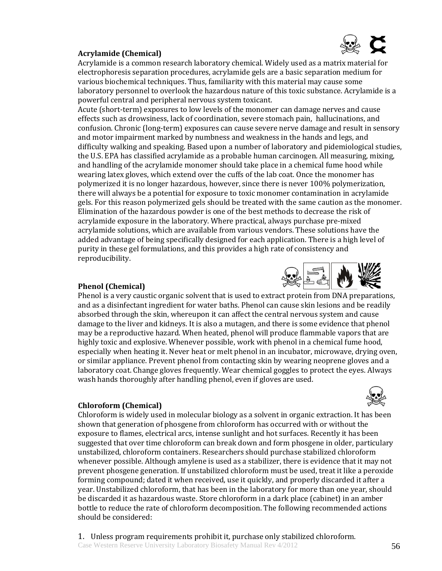

## **Acrylamide (Chemical)**

Acrylamide is a common research laboratory chemical. Widely used as a matrix material for electrophoresis separation procedures, acrylamide gels are a basic separation medium for various biochemical techniques. Thus, familiarity with this material may cause some laboratory personnel to overlook the hazardous nature of this toxic substance. Acrylamide is a powerful central and peripheral nervous system toxicant.

Acute (short-term) exposures to low levels of the monomer can damage nerves and cause effects such as drowsiness, lack of coordination, severe stomach pain, hallucinations, and confusion. Chronic (long-term) exposures can cause severe nerve damage and result in sensory and motor impairment marked by numbness and weakness in the hands and legs, and difficulty walking and speaking. Based upon a number of laboratory and pidemiological studies, the U.S. EPA has classified acrylamide as a probable human carcinogen. All measuring, mixing, and handling of the acrylamide monomer should take place in a chemical fume hood while wearing latex gloves, which extend over the cuffs of the lab coat. Once the monomer has polymerized it is no longer hazardous, however, since there is never 100% polymerization, there will always be a potential for exposure to toxic monomer contamination in acrylamide gels. For this reason polymerized gels should be treated with the same caution as the monomer. Elimination of the hazardous powder is one of the best methods to decrease the risk of acrylamide exposure in the laboratory. Where practical, always purchase pre-mixed acrylamide solutions, which are available from various vendors. These solutions have the added advantage of being specifically designed for each application. There is a high level of purity in these gel formulations, and this provides a high rate of consistency and reproducibility.

#### **Phenol (Chemical)**

Phenol is a very caustic organic solvent that is used to extract protein from DNA preparations, and as a disinfectant ingredient for water baths. Phenol can cause skin lesions and be readily absorbed through the skin, whereupon it can affect the central nervous system and cause damage to the liver and kidneys. It is also a mutagen, and there is some evidence that phenol may be a reproductive hazard. When heated, phenol will produce flammable vapors that are highly toxic and explosive. Whenever possible, work with phenol in a chemical fume hood, especially when heating it. Never heat or melt phenol in an incubator, microwave, drying oven, or similar appliance. Prevent phenol from contacting skin by wearing neoprene gloves and a laboratory coat. Change gloves frequently. Wear chemical goggles to protect the eyes. Always wash hands thoroughly after handling phenol, even if gloves are used.

#### **Chloroform (Chemical)**

Chloroform is widely used in molecular biology as a solvent in organic extraction. It has been shown that generation of phosgene from chloroform has occurred with or without the exposure to flames, electrical arcs, intense sunlight and hot surfaces. Recently it has been suggested that over time chloroform can break down and form phosgene in older, particulary unstabilized, chloroform containers. Researchers should purchase stabilized chloroform whenever possible. Although amylene is used as a stabilizer, there is evidence that it may not prevent phosgene generation. If unstabilized chloroform must be used, treat it like a peroxide forming compound; dated it when received, use it quickly, and properly discarded it after a year. Unstabilized chloroform, that has been in the laboratory for more than one year, should be discarded it as hazardous waste. Store chloroform in a dark place (cabinet) in an amber bottle to reduce the rate of chloroform decomposition. The following recommended actions should be considered:

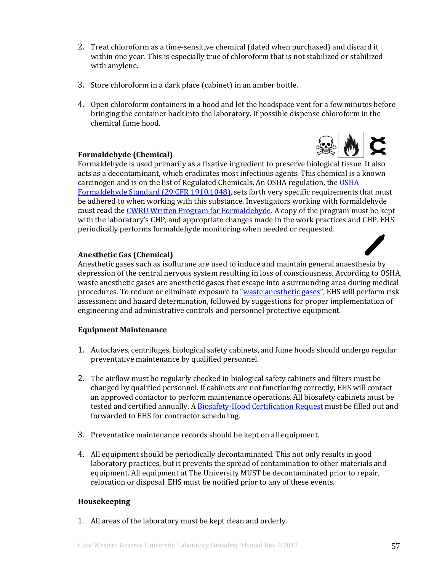- 2. Treat chloroform as a time-sensitive chemical (dated when purchased) and discard it within one year. This is especially true of chloroform that is not stabilized or stabilized with amylene.
- 3. Store chloroform in a dark place (cabinet) in an amber bottle.
- 4. Open chloroform containers in a hood and let the headspace vent for a few minutes before bringing the container back into the laboratory. If possible dispense chloroform in the chemical fume hood.

## **Formaldehyde (Chemical)**

Formaldehyde is used primarily as a fixative ingredient to preserve biological tissue. It also acts as a decontaminant, which eradicates most infectious agents. This chemical is a known carcinogen and is on the list of Regulated Chemicals. An OSHA regulation, th[e OSHA](http://www.osha.gov/pls/oshaweb/owadisp.show_document?p_id=10075&p_table=STANDARDS) [Formaldehyde Standard](http://www.osha.gov/pls/oshaweb/owadisp.show_document?p_id=10075&p_table=STANDARDS) (29 CFR 1910.1048), sets forth very specific requirements that must be adhered to when working with this substance. Investigators working with formaldehyde must read th[e CWRU Written Program for Formaldehyde.](http://case.edu/finadmin/does/web/Forms/PDFdocs/Formaldehyde.pdf) A copy of the program must be kept with the laboratory's CHP, and appropriate changes made in the work practices and CHP. EHS periodically performs formaldehyde monitoring when needed or requested.

## **Anesthetic Gas (Chemical)**

Anesthetic gases such as isoflurane are used to induce and maintain general anaesthesia by depression of the central nervous system resulting in loss of consciousness. According to OSHA, waste anesthetic gases are anesthetic gases that escape into a surrounding area during medical procedures. To reduce or eliminate exposure to ["waste anesthetic gases"](http://www.osha.gov/SLTC/wasteanestheticgases/), EHS will perform risk assessment and hazard determination, followed by suggestions for proper implementation of engineering and administrative controls and personnel protective equipment.

#### **Equipment Maintenance**

- 1. Autoclaves, centrifuges, biological safety cabinets, and fume hoods should undergo regular preventative maintenance by qualified personnel.
- 2. The airflow must be regularly checked in biological safety cabinets and filters must be changed by qualified personnel. If cabinets are not functioning correctly, EHS will contact an approved contactor to perform maintenance operations. All biosafety cabinets must be tested and certified annually. A [Biosafety-Hood Certification Request](http://case.edu/finadmin/does/web/Forms/PDFdocs/HoodCertification.pdf) must be filled out and forwarded to EHS for contractor scheduling.
- 3. Preventative maintenance records should be kept on all equipment.
- 4. All equipment should be periodically decontaminated. This not only results in good laboratory practices, but it prevents the spread of contamination to other materials and equipment. All equipment at The University MUST be decontaminated prior to repair, relocation or disposal. EHS must be notified prior to any of these events.

## **Housekeeping**

1. All areas of the laboratory must be kept clean and orderly.



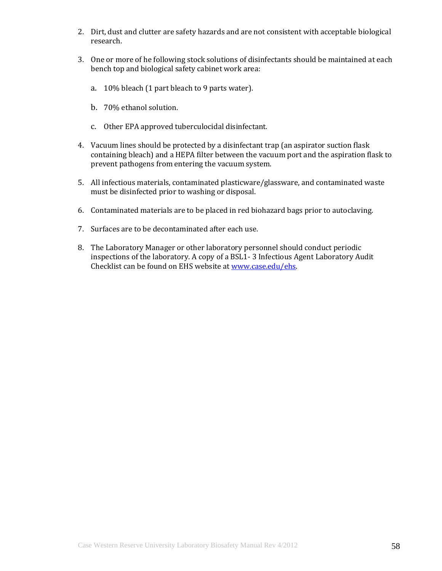- 2. Dirt, dust and clutter are safety hazards and are not consistent with acceptable biological research.
- 3. One or more of he following stock solutions of disinfectants should be maintained at each bench top and biological safety cabinet work area:
	- a. 10% bleach (1 part bleach to 9 parts water).
	- b. 70% ethanol solution.
	- c. Other EPA approved tuberculocidal disinfectant.
- 4. Vacuum lines should be protected by a disinfectant trap (an aspirator suction flask containing bleach) and a HEPA filter between the vacuum port and the aspiration flask to prevent pathogens from entering the vacuum system.
- 5. All infectious materials, contaminated plasticware/glassware, and contaminated waste must be disinfected prior to washing or disposal.
- 6. Contaminated materials are to be placed in red biohazard bags prior to autoclaving.
- 7. Surfaces are to be decontaminated after each use.
- 8. The Laboratory Manager or other laboratory personnel should conduct periodic inspections of the laboratory. A copy of a BSL1- 3 Infectious Agent Laboratory Audit Checklist can be found on EHS website a[t www.case.edu/ehs.](http://www.case.edu/ehs)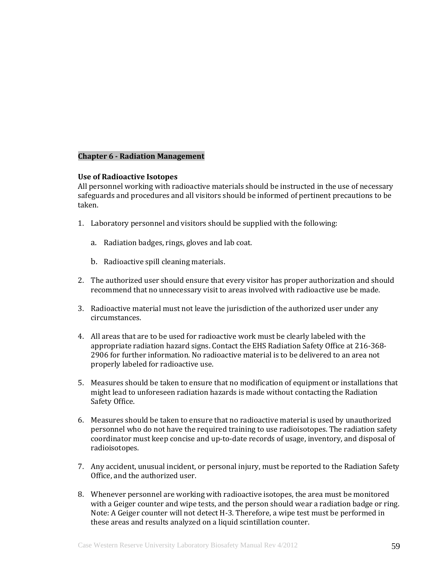## **Chapter 6 - Radiation Management**

## **Use of Radioactive Isotopes**

All personnel working with radioactive materials should be instructed in the use of necessary safeguards and procedures and all visitors should be informed of pertinent precautions to be taken.

- 1. Laboratory personnel and visitors should be supplied with the following:
	- a. Radiation badges, rings, gloves and lab coat.
	- b. Radioactive spill cleaning materials.
- 2. The authorized user should ensure that every visitor has proper authorization and should recommend that no unnecessary visit to areas involved with radioactive use be made.
- 3. Radioactive material must not leave the jurisdiction of the authorized user under any circumstances.
- 4. All areas that are to be used for radioactive work must be clearly labeled with the appropriate radiation hazard signs. Contact the EHS Radiation Safety Office at 216-368- 2906 for further information. No radioactive material is to be delivered to an area not properly labeled for radioactive use.
- 5. Measures should be taken to ensure that no modification of equipment or installations that might lead to unforeseen radiation hazards is made without contacting the Radiation Safety Office.
- 6. Measures should be taken to ensure that no radioactive material is used by unauthorized personnel who do not have the required training to use radioisotopes. The radiation safety coordinator must keep concise and up-to-date records of usage, inventory, and disposal of radioisotopes.
- 7. Any accident, unusual incident, or personal injury, must be reported to the Radiation Safety Office, and the authorized user.
- 8. Whenever personnel are working with radioactive isotopes, the area must be monitored with a Geiger counter and wipe tests, and the person should wear a radiation badge or ring. Note: A Geiger counter will not detect H-3. Therefore, a wipe test must be performed in these areas and results analyzed on a liquid scintillation counter.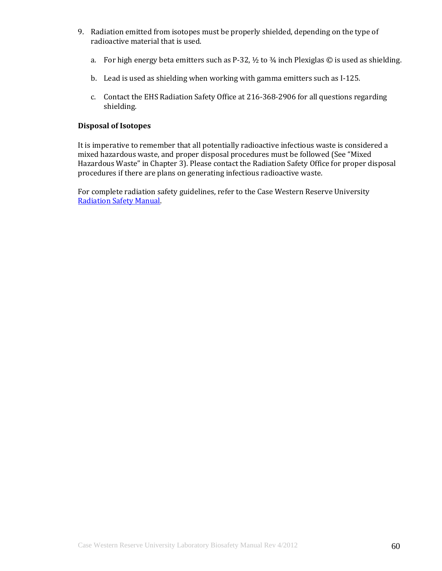- 9. Radiation emitted from isotopes must be properly shielded, depending on the type of radioactive material that is used.
	- a. For high energy beta emitters such as P-32,  $\frac{1}{2}$  to  $\frac{3}{4}$  inch Plexiglas  $\odot$  is used as shielding.
	- b. Lead is used as shielding when working with gamma emitters such as I-125.
	- c. Contact the EHS Radiation Safety Office at 216-368-2906 for all questions regarding shielding.

## **Disposal of Isotopes**

It is imperative to remember that all potentially radioactive infectious waste is considered a mixed hazardous waste, and proper disposal procedures must be followed (See "Mixed Hazardous Waste" in Chapter 3). Please contact the Radiation Safety Office for proper disposal procedures if there are plans on generating infectious radioactive waste.

For complete radiation safety guidelines, refer to the Case Western Reserve University [Radiation Safety Manual.](https://www.case.edu/finadmin/does/RadSafety/RADMAN.pdf)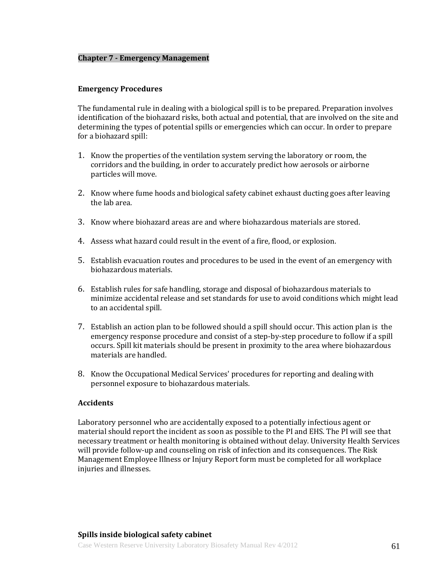#### **Chapter 7 - Emergency Management**

#### **Emergency Procedures**

The fundamental rule in dealing with a biological spill is to be prepared. Preparation involves identification of the biohazard risks, both actual and potential, that are involved on the site and determining the types of potential spills or emergencies which can occur. In order to prepare for a biohazard spill:

- 1. Know the properties of the ventilation system serving the laboratory or room, the corridors and the building, in order to accurately predict how aerosols or airborne particles will move.
- 2. Know where fume hoods and biological safety cabinet exhaust ducting goes after leaving the lab area.
- 3. Know where biohazard areas are and where biohazardous materials are stored.
- 4. Assess what hazard could result in the event of a fire, flood, or explosion.
- 5. Establish evacuation routes and procedures to be used in the event of an emergency with biohazardous materials.
- 6. Establish rules for safe handling, storage and disposal of biohazardous materials to minimize accidental release and set standards for use to avoid conditions which might lead to an accidental spill.
- 7. Establish an action plan to be followed should a spill should occur. This action plan is the emergency response procedure and consist of a step-by-step procedure to follow if a spill occurs. Spill kit materials should be present in proximity to the area where biohazardous materials are handled.
- 8. Know the Occupational Medical Services' procedures for reporting and dealing with personnel exposure to biohazardous materials.

#### **Accidents**

Laboratory personnel who are accidentally exposed to a potentially infectious agent or material should report the incident as soon as possible to the PI and EHS. The PI will see that necessary treatment or health monitoring is obtained without delay. University Health Services will provide follow-up and counseling on risk of infection and its consequences. The Risk Management Employee Illness or Injury Report form must be completed for all workplace injuries and illnesses.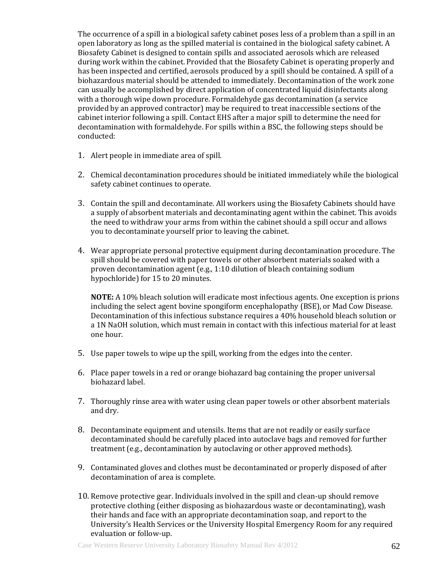The occurrence of a spill in a biological safety cabinet poses less of a problem than a spill in an open laboratory as long as the spilled material is contained in the biological safety cabinet. A Biosafety Cabinet is designed to contain spills and associated aerosols which are released during work within the cabinet. Provided that the Biosafety Cabinet is operating properly and has been inspected and certified, aerosols produced by a spill should be contained. A spill of a biohazardous material should be attended to immediately. Decontamination of the work zone can usually be accomplished by direct application of concentrated liquid disinfectants along with a thorough wipe down procedure. Formaldehyde gas decontamination (a service provided by an approved contractor) may be required to treat inaccessible sections of the cabinet interior following a spill. Contact EHS after a major spill to determine the need for decontamination with formaldehyde. For spills within a BSC, the following steps should be conducted:

- 1. Alert people in immediate area of spill.
- 2. Chemical decontamination procedures should be initiated immediately while the biological safety cabinet continues to operate.
- 3. Contain the spill and decontaminate. All workers using the Biosafety Cabinets should have a supply of absorbent materials and decontaminating agent within the cabinet. This avoids the need to withdraw your arms from within the cabinet should a spill occur and allows you to decontaminate yourself prior to leaving the cabinet.
- 4. Wear appropriate personal protective equipment during decontamination procedure. The spill should be covered with paper towels or other absorbent materials soaked with a proven decontamination agent (e.g., 1:10 dilution of bleach containing sodium hypochloride) for 15 to 20 minutes.

**NOTE:** A 10% bleach solution will eradicate most infectious agents. One exception is prions including the select agent bovine spongiform encephalopathy (BSE), or Mad Cow Disease. Decontamination of this infectious substance requires a 40% household bleach solution or a 1N NaOH solution, which must remain in contact with this infectious material for at least one hour.

- 5. Use paper towels to wipe up the spill, working from the edges into the center.
- 6. Place paper towels in a red or orange biohazard bag containing the proper universal biohazard label.
- 7. Thoroughly rinse area with water using clean paper towels or other absorbent materials and dry.
- 8. Decontaminate equipment and utensils. Items that are not readily or easily surface decontaminated should be carefully placed into autoclave bags and removed for further treatment (e.g., decontamination by autoclaving or other approved methods).
- 9. Contaminated gloves and clothes must be decontaminated or properly disposed of after decontamination of area is complete.
- 10. Remove protective gear. Individuals involved in the spill and clean-up should remove protective clothing (either disposing as biohazardous waste or decontaminating), wash their hands and face with an appropriate decontamination soap, and report to the University's Health Services or the University Hospital Emergency Room for any required evaluation or follow-up.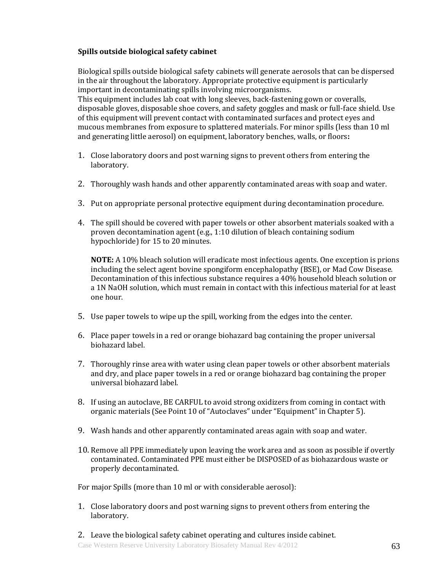## **Spills outside biological safety cabinet**

Biological spills outside biological safety cabinets will generate aerosols that can be dispersed in the air throughout the laboratory. Appropriate protective equipment is particularly important in decontaminating spills involving microorganisms. This equipment includes lab coat with long sleeves, back-fastening gown or coveralls, disposable gloves, disposable shoe covers, and safety goggles and mask or full-face shield. Use of this equipment will prevent contact with contaminated surfaces and protect eyes and mucous membranes from exposure to splattered materials. For minor spills (less than 10 ml and generating little aerosol) on equipment, laboratory benches, walls, or floors**:**

- 1. Close laboratory doors and post warning signs to prevent others from entering the laboratory.
- 2. Thoroughly wash hands and other apparently contaminated areas with soap and water.
- 3. Put on appropriate personal protective equipment during decontamination procedure.
- 4. The spill should be covered with paper towels or other absorbent materials soaked with a proven decontamination agent (e.g., 1:10 dilution of bleach containing sodium hypochloride) for 15 to 20 minutes.

**NOTE:** A 10% bleach solution will eradicate most infectious agents. One exception is prions including the select agent bovine spongiform encephalopathy (BSE), or Mad Cow Disease. Decontamination of this infectious substance requires a 40% household bleach solution or a 1N NaOH solution, which must remain in contact with this infectious material for at least one hour.

- 5. Use paper towels to wipe up the spill, working from the edges into the center.
- 6. Place paper towels in a red or orange biohazard bag containing the proper universal biohazard label.
- 7. Thoroughly rinse area with water using clean paper towels or other absorbent materials and dry, and place paper towels in a red or orange biohazard bag containing the proper universal biohazard label.
- 8. If using an autoclave, BE CARFUL to avoid strong oxidizers from coming in contact with organic materials (See Point 10 of "Autoclaves" under "Equipment" in Chapter 5).
- 9. Wash hands and other apparently contaminated areas again with soap and water.
- 10. Remove all PPE immediately upon leaving the work area and as soon as possible if overtly contaminated. Contaminated PPE must either be DISPOSED of as biohazardous waste or properly decontaminated.

For major Spills (more than 10 ml or with considerable aerosol):

1. Close laboratory doors and post warning signs to prevent others from entering the laboratory.

Case Western Reserve University Laboratory Biosafety Manual Rev 4/2012 63 2. Leave the biological safety cabinet operating and cultures inside cabinet.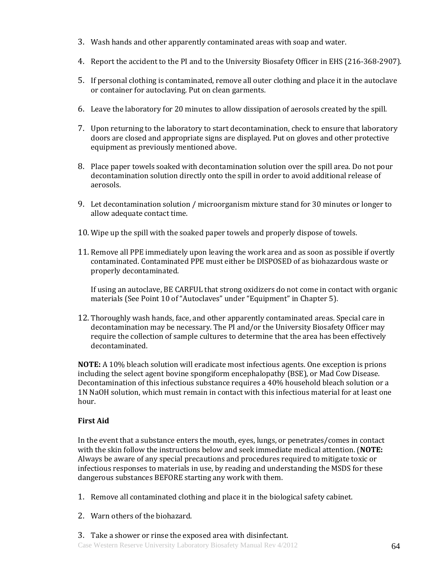- 3. Wash hands and other apparently contaminated areas with soap and water.
- 4. Report the accident to the PI and to the University Biosafety Officer in EHS (216-368-2907).
- 5. If personal clothing is contaminated, remove all outer clothing and place it in the autoclave or container for autoclaving. Put on clean garments.
- 6. Leave the laboratory for 20 minutes to allow dissipation of aerosols created by the spill.
- 7. Upon returning to the laboratory to start decontamination, check to ensure that laboratory doors are closed and appropriate signs are displayed. Put on gloves and other protective equipment as previously mentioned above.
- 8. Place paper towels soaked with decontamination solution over the spill area. Do not pour decontamination solution directly onto the spill in order to avoid additional release of aerosols.
- 9. Let decontamination solution / microorganism mixture stand for 30 minutes or longer to allow adequate contact time.
- 10. Wipe up the spill with the soaked paper towels and properly dispose of towels.
- 11. Remove all PPE immediately upon leaving the work area and as soon as possible if overtly contaminated. Contaminated PPE must either be DISPOSED of as biohazardous waste or properly decontaminated.

If using an autoclave, BE CARFUL that strong oxidizers do not come in contact with organic materials (See Point 10 of "Autoclaves" under "Equipment" in Chapter 5).

12. Thoroughly wash hands, face, and other apparently contaminated areas. Special care in decontamination may be necessary. The PI and/or the University Biosafety Officer may require the collection of sample cultures to determine that the area has been effectively decontaminated.

**NOTE:** A 10% bleach solution will eradicate most infectious agents. One exception is prions including the select agent bovine spongiform encephalopathy (BSE), or Mad Cow Disease. Decontamination of this infectious substance requires a 40% household bleach solution or a 1N NaOH solution, which must remain in contact with this infectious material for at least one hour.

## **First Aid**

In the event that a substance enters the mouth, eyes, lungs, or penetrates/comes in contact with the skin follow the instructions below and seek immediate medical attention. (**NOTE:** Always be aware of any special precautions and procedures required to mitigate toxic or infectious responses to materials in use, by reading and understanding the MSDS for these dangerous substances BEFORE starting any work with them.

- 1. Remove all contaminated clothing and place it in the biological safety cabinet.
- 2. Warn others of the biohazard.
- Case Western Reserve University Laboratory Biosafety Manual Rev 4/2012 64 3. Take a shower or rinse the exposed area with disinfectant.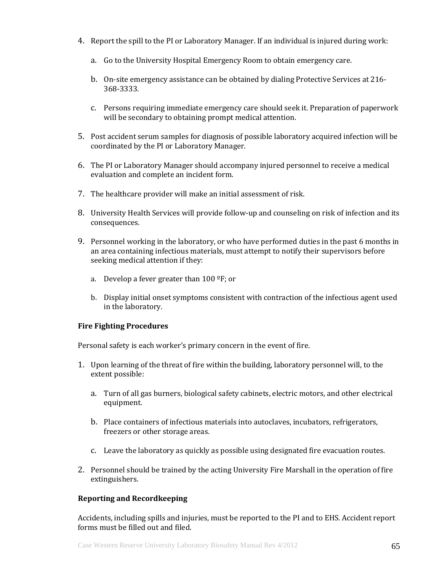- 4. Report the spill to the PI or Laboratory Manager. If an individual is injured during work:
	- a. Go to the University Hospital Emergency Room to obtain emergency care.
	- b. On-site emergency assistance can be obtained by dialing Protective Services at 216- 368-3333.
	- c. Persons requiring immediate emergency care should seek it. Preparation of paperwork will be secondary to obtaining prompt medical attention.
- 5. Post accident serum samples for diagnosis of possible laboratory acquired infection will be coordinated by the PI or Laboratory Manager.
- 6. The PI or Laboratory Manager should accompany injured personnel to receive a medical evaluation and complete an incident form.
- 7. The healthcare provider will make an initial assessment of risk.
- 8. University Health Services will provide follow-up and counseling on risk of infection and its consequences.
- 9. Personnel working in the laboratory, or who have performed duties in the past 6 months in an area containing infectious materials, must attempt to notify their supervisors before seeking medical attention if they:
	- a. Develop a fever greater than  $100^{\circ}$ F; or
	- b. Display initial onset symptoms consistent with contraction of the infectious agent used in the laboratory.

#### **Fire Fighting Procedures**

Personal safety is each worker's primary concern in the event of fire.

- 1. Upon learning of the threat of fire within the building, laboratory personnel will, to the extent possible:
	- a. Turn of all gas burners, biological safety cabinets, electric motors, and other electrical equipment.
	- b. Place containers of infectious materials into autoclaves, incubators, refrigerators, freezers or other storage areas.
	- c. Leave the laboratory as quickly as possible using designated fire evacuation routes.
- 2. Personnel should be trained by the acting University Fire Marshall in the operation of fire extinguishers.

#### **Reporting and Recordkeeping**

Accidents, including spills and injuries, must be reported to the PI and to EHS. Accident report forms must be filled out and filed.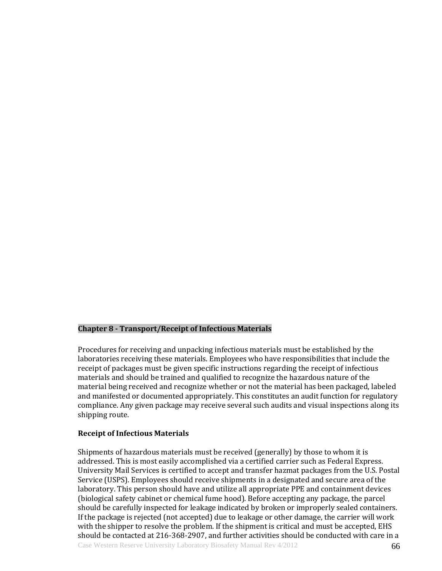#### **Chapter 8 - Transport/Receipt of Infectious Materials**

Procedures for receiving and unpacking infectious materials must be established by the laboratories receiving these materials. Employees who have responsibilities that include the receipt of packages must be given specific instructions regarding the receipt of infectious materials and should be trained and qualified to recognize the hazardous nature of the material being received and recognize whether or not the material has been packaged, labeled and manifested or documented appropriately. This constitutes an audit function for regulatory compliance. Any given package may receive several such audits and visual inspections along its shipping route.

#### **Receipt of Infectious Materials**

Shipments of hazardous materials must be received (generally) by those to whom it is addressed. This is most easily accomplished via a certified carrier such as Federal Express. University Mail Services is certified to accept and transfer hazmat packages from the U.S. Postal Service (USPS). Employees should receive shipments in a designated and secure area of the laboratory. This person should have and utilize all appropriate PPE and containment devices (biological safety cabinet or chemical fume hood). Before accepting any package, the parcel should be carefully inspected for leakage indicated by broken or improperly sealed containers. If the package is rejected (not accepted) due to leakage or other damage, the carrier will work with the shipper to resolve the problem. If the shipment is critical and must be accepted, EHS should be contacted at 216-368-2907, and further activities should be conducted with care in a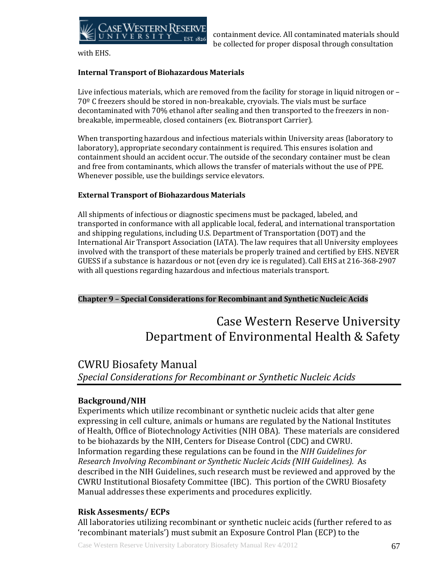

with EHS.

## **Internal Transport of Biohazardous Materials**

Live infectious materials, which are removed from the facility for storage in liquid nitrogen or –  $70<sup>°</sup>$  C freezers should be stored in non-breakable, cryovials. The vials must be surface decontaminated with 70% ethanol after sealing and then transported to the freezers in nonbreakable, impermeable, closed containers (ex. Biotransport Carrier).

When transporting hazardous and infectious materials within University areas (laboratory to laboratory), appropriate secondary containment is required. This ensures isolation and containment should an accident occur. The outside of the secondary container must be clean and free from contaminants, which allows the transfer of materials without the use of PPE. Whenever possible, use the buildings service elevators.

## **External Transport of Biohazardous Materials**

All shipments of infectious or diagnostic specimens must be packaged, labeled, and transported in conformance with all applicable local, federal, and international transportation and shipping regulations, including U.S. Department of Transportation (DOT) and the International Air Transport Association (IATA). The law requires that all University employees involved with the transport of these materials be properly trained and certified by EHS. NEVER GUESS if a substance is hazardous or not (even dry ice is regulated). Call EHS at 216-368-2907 with all questions regarding hazardous and infectious materials transport.

## **Chapter 9 – Special Considerations for Recombinant and Synthetic Nucleic Acids**

# Case Western Reserve University Department of Environmental Health & Safety

## CWRU Biosafety Manual

*Special Considerations for Recombinant or Synthetic Nucleic Acids*

## **Background/NIH**

Experiments which utilize recombinant or synthetic nucleic acids that alter gene expressing in cell culture, animals or humans are regulated by the National Institutes of Health, Office of Biotechnology Activities (NIH OBA). These materials are considered to be biohazards by the NIH, Centers for Disease Control (CDC) and CWRU. Information regarding these regulations can be found in the *NIH Guidelines for Research Involving Recombinant or Synthetic Nucleic Acids (NIH Guidelines).* As described in the NIH Guidelines, such research must be reviewed and approved by the CWRU Institutional Biosafety Committee (IBC). This portion of the CWRU Biosafety Manual addresses these experiments and procedures explicitly.

## **Risk Assesments/ ECPs**

All laboratories utilizing recombinant or synthetic nucleic acids (further refered to as 'recombinant materials') must submit an Exposure Control Plan (ECP) to the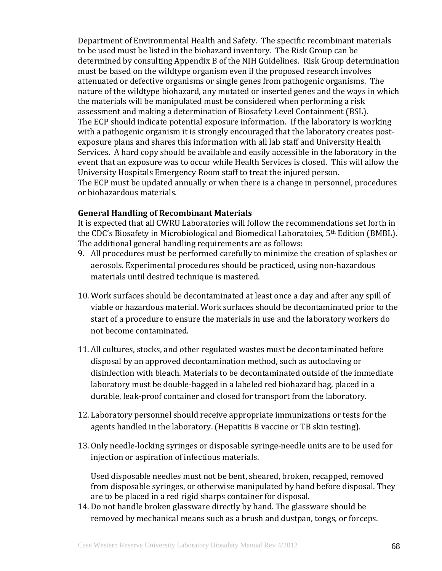Department of Environmental Health and Safety. The specific recombinant materials to be used must be listed in the biohazard inventory. The Risk Group can be determined by consulting Appendix B of the NIH Guidelines. Risk Group determination must be based on the wildtype organism even if the proposed research involves attenuated or defective organisms or single genes from pathogenic organisms. The nature of the wildtype biohazard, any mutated or inserted genes and the ways in which the materials will be manipulated must be considered when performing a risk assessment and making a determination of Biosafety Level Containment (BSL). The ECP should indicate potential exposure information. If the laboratory is working with a pathogenic organism it is strongly encouraged that the laboratory creates postexposure plans and shares this information with all lab staff and University Health Services. A hard copy should be available and easily accessible in the laboratory in the event that an exposure was to occur while Health Services is closed. This will allow the University Hospitals Emergency Room staff to treat the injured person. The ECP must be updated annually or when there is a change in personnel, procedures or biohazardous materials.

## **General Handling of Recombinant Materials**

It is expected that all CWRU Laboratories will follow the recommendations set forth in the CDC's Biosafety in Microbiological and Biomedical Laboratoies, 5th Edition (BMBL). The additional general handling requirements are as follows:

- 9. All procedures must be performed carefully to minimize the creation of splashes or aerosols. Experimental procedures should be practiced, using non-hazardous materials until desired technique is mastered.
- 10. Work surfaces should be decontaminated at least once a day and after any spill of viable or hazardous material. Work surfaces should be decontaminated prior to the start of a procedure to ensure the materials in use and the laboratory workers do not become contaminated.
- 11. All cultures, stocks, and other regulated wastes must be decontaminated before disposal by an approved decontamination method, such as autoclaving or disinfection with bleach. Materials to be decontaminated outside of the immediate laboratory must be double-bagged in a labeled red biohazard bag, placed in a durable, leak-proof container and closed for transport from the laboratory.
- 12. Laboratory personnel should receive appropriate immunizations or tests for the agents handled in the laboratory. (Hepatitis B vaccine or TB skin testing).
- 13. Only needle-locking syringes or disposable syringe-needle units are to be used for injection or aspiration of infectious materials.

Used disposable needles must not be bent, sheared, broken, recapped, removed from disposable syringes, or otherwise manipulated by hand before disposal. They are to be placed in a red rigid sharps container for disposal.

14. Do not handle broken glassware directly by hand. The glassware should be removed by mechanical means such as a brush and dustpan, tongs, or forceps.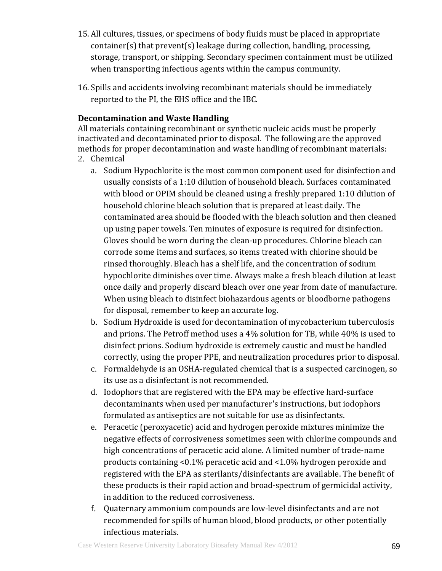- 15. All cultures, tissues, or specimens of body fluids must be placed in appropriate container(s) that prevent(s) leakage during collection, handling, processing, storage, transport, or shipping. Secondary specimen containment must be utilized when transporting infectious agents within the campus community.
- 16. Spills and accidents involving recombinant materials should be immediately reported to the PI, the EHS office and the IBC.

## **Decontamination and Waste Handling**

All materials containing recombinant or synthetic nucleic acids must be properly inactivated and decontaminated prior to disposal. The following are the approved methods for proper decontamination and waste handling of recombinant materials:

- 2. Chemical
	- a. Sodium Hypochlorite is the most common component used for disinfection and usually consists of a 1:10 dilution of household bleach. Surfaces contaminated with blood or OPIM should be cleaned using a freshly prepared 1:10 dilution of household chlorine bleach solution that is prepared at least daily. The contaminated area should be flooded with the bleach solution and then cleaned up using paper towels. Ten minutes of exposure is required for disinfection. Gloves should be worn during the clean-up procedures. Chlorine bleach can corrode some items and surfaces, so items treated with chlorine should be rinsed thoroughly. Bleach has a shelf life, and the concentration of sodium hypochlorite diminishes over time. Always make a fresh bleach dilution at least once daily and properly discard bleach over one year from date of manufacture. When using bleach to disinfect biohazardous agents or bloodborne pathogens for disposal, remember to keep an accurate log.
	- b. Sodium Hydroxide is used for decontamination of mycobacterium tuberculosis and prions. The Petroff method uses a 4% solution for TB, while 40% is used to disinfect prions. Sodium hydroxide is extremely caustic and must be handled correctly, using the proper PPE, and neutralization procedures prior to disposal.
	- c. Formaldehyde is an OSHA-regulated chemical that is a suspected carcinogen, so its use as a disinfectant is not recommended.
	- d. Iodophors that are registered with the EPA may be effective hard-surface decontaminants when used per manufacturer's instructions, but iodophors formulated as antiseptics are not suitable for use as disinfectants.
	- e. Peracetic (peroxyacetic) acid and hydrogen peroxide mixtures minimize the negative effects of corrosiveness sometimes seen with chlorine compounds and high concentrations of peracetic acid alone. A limited number of trade-name products containing <0.1% peracetic acid and <1.0% hydrogen peroxide and registered with the EPA as sterilants/disinfectants are available. The benefit of these products is their rapid action and broad-spectrum of germicidal activity, in addition to the reduced corrosiveness.
	- f. Quaternary ammonium compounds are low-level disinfectants and are not recommended for spills of human blood, blood products, or other potentially infectious materials.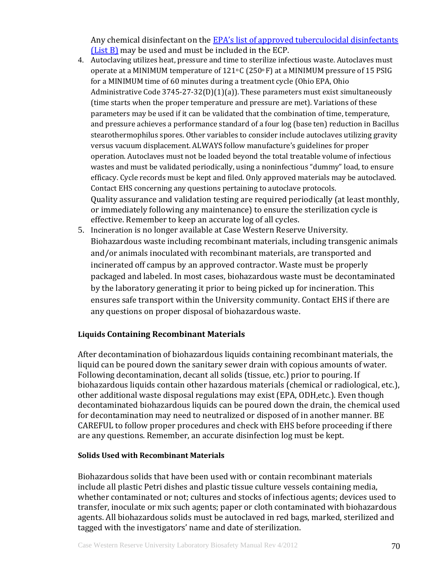Any chemical disinfectant on the [EPA's list of approved tuberculocidal disinfectants](http://www.epa.gov/oppad001/list_b_tuberculocide.pdf)  [\(List B\)](http://www.epa.gov/oppad001/list_b_tuberculocide.pdf) may be used and must be included in the ECP.

- 4. Autoclaving utilizes heat, pressure and time to sterilize infectious waste. Autoclaves must operate at a MINIMUM temperature of  $121\degree$ C (250 $\degree$ F) at a MINIMUM pressure of 15 PSIG for a MINIMUM time of 60 minutes during a treatment cycle (Ohio EPA, Ohio Administrative Code  $3745-27-32(D)(1)(a)$ . These parameters must exist simultaneously (time starts when the proper temperature and pressure are met). Variations of these parameters may be used if it can be validated that the combination of time, temperature, and pressure achieves a performance standard of a four log (base ten) reduction in Bacillus stearothermophilus spores. Other variables to consider include autoclaves utilizing gravity versus vacuum displacement. ALWAYS follow manufacture's guidelines for proper operation. Autoclaves must not be loaded beyond the total treatable volume of infectious wastes and must be validated periodically, using a noninfectious "dummy" load, to ensure efficacy. Cycle records must be kept and filed. Only approved materials may be autoclaved. Contact EHS concerning any questions pertaining to autoclave protocols. Quality assurance and validation testing are required periodically (at least monthly, or immediately following any maintenance) to ensure the sterilization cycle is effective. Remember to keep an accurate log of all cycles.
- 5. Incineration is no longer available at Case Western Reserve University. Biohazardous waste including recombinant materials, including transgenic animals and/or animals inoculated with recombinant materials, are transported and incinerated off campus by an approved contractor. Waste must be properly packaged and labeled. In most cases, biohazardous waste must be decontaminated by the laboratory generating it prior to being picked up for incineration. This ensures safe transport within the University community. Contact EHS if there are any questions on proper disposal of biohazardous waste.

## **Liquids Containing Recombinant Materials**

After decontamination of biohazardous liquids containing recombinant materials, the liquid can be poured down the sanitary sewer drain with copious amounts of water. Following decontamination, decant all solids (tissue, etc.) prior to pouring. If biohazardous liquids contain other hazardous materials (chemical or radiological, etc.), other additional waste disposal regulations may exist (EPA, ODH,etc.). Even though decontaminated biohazardous liquids can be poured down the drain, the chemical used for decontamination may need to neutralized or disposed of in another manner. BE CAREFUL to follow proper procedures and check with EHS before proceeding if there are any questions. Remember, an accurate disinfection log must be kept.

### **Solids Used with Recombinant Materials**

Biohazardous solids that have been used with or contain recombinant materials include all plastic Petri dishes and plastic tissue culture vessels containing media, whether contaminated or not; cultures and stocks of infectious agents; devices used to transfer, inoculate or mix such agents; paper or cloth contaminated with biohazardous agents. All biohazardous solids must be autoclaved in red bags, marked, sterilized and tagged with the investigators' name and date of sterilization.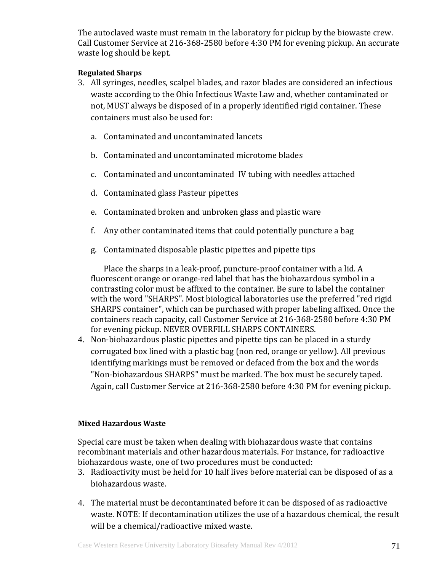The autoclaved waste must remain in the laboratory for pickup by the biowaste crew. Call Customer Service at 216-368-2580 before 4:30 PM for evening pickup. An accurate waste log should be kept.

### **Regulated Sharps**

- 3. All syringes, needles, scalpel blades, and razor blades are considered an infectious waste according to the Ohio Infectious Waste Law and, whether contaminated or not, MUST always be disposed of in a properly identified rigid container. These containers must also be used for:
	- a. Contaminated and uncontaminated lancets
	- b. Contaminated and uncontaminated microtome blades
	- c. Contaminated and uncontaminated IV tubing with needles attached
	- d. Contaminated glass Pasteur pipettes
	- e. Contaminated broken and unbroken glass and plastic ware
	- f. Any other contaminated items that could potentially puncture a bag
	- g. Contaminated disposable plastic pipettes and pipette tips

Place the sharps in a leak-proof, puncture-proof container with a lid. A fluorescent orange or orange-red label that has the biohazardous symbol in a contrasting color must be affixed to the container. Be sure to label the container with the word "SHARPS". Most biological laboratories use the preferred "red rigid SHARPS container", which can be purchased with proper labeling affixed. Once the containers reach capacity, call Customer Service at 216-368-2580 before 4:30 PM for evening pickup. NEVER OVERFILL SHARPS CONTAINERS.

4. Non-biohazardous plastic pipettes and pipette tips can be placed in a sturdy corrugated box lined with a plastic bag (non red, orange or yellow). All previous identifying markings must be removed or defaced from the box and the words "Non-biohazardous SHARPS" must be marked. The box must be securely taped. Again, call Customer Service at 216-368-2580 before 4:30 PM for evening pickup.

## **Mixed Hazardous Waste**

Special care must be taken when dealing with biohazardous waste that contains recombinant materials and other hazardous materials. For instance, for radioactive biohazardous waste, one of two procedures must be conducted:

- 3. Radioactivity must be held for 10 half lives before material can be disposed of as a biohazardous waste.
- 4. The material must be decontaminated before it can be disposed of as radioactive waste. NOTE: If decontamination utilizes the use of a hazardous chemical, the result will be a chemical/radioactive mixed waste.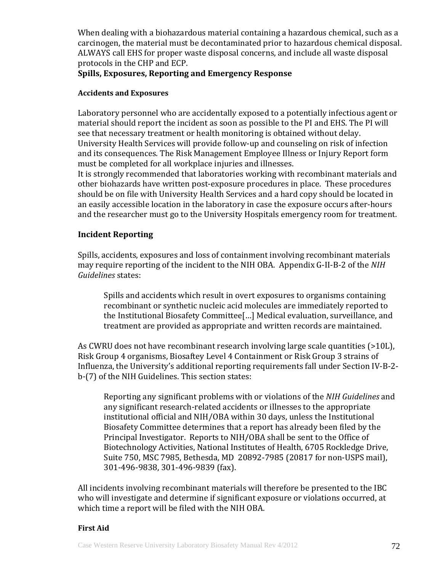When dealing with a biohazardous material containing a hazardous chemical, such as a carcinogen, the material must be decontaminated prior to hazardous chemical disposal. ALWAYS call EHS for proper waste disposal concerns, and include all waste disposal protocols in the CHP and ECP.

## **Spills, Exposures, Reporting and Emergency Response**

# **Accidents and Exposures**

Laboratory personnel who are accidentally exposed to a potentially infectious agent or material should report the incident as soon as possible to the PI and EHS. The PI will see that necessary treatment or health monitoring is obtained without delay. University Health Services will provide follow-up and counseling on risk of infection and its consequences. The Risk Management Employee Illness or Injury Report form must be completed for all workplace injuries and illnesses.

It is strongly recommended that laboratories working with recombinant materials and other biohazards have written post-exposure procedures in place. These procedures should be on file with University Health Services and a hard copy should be located in an easily accessible location in the laboratory in case the exposure occurs after-hours and the researcher must go to the University Hospitals emergency room for treatment.

# **Incident Reporting**

Spills, accidents, exposures and loss of containment involving recombinant materials may require reporting of the incident to the NIH OBA. Appendix G-II-B-2 of the *NIH Guidelines* states:

Spills and accidents which result in overt exposures to organisms containing recombinant or synthetic nucleic acid molecules are immediately reported to the Institutional Biosafety Committee[…] Medical evaluation, surveillance, and treatment are provided as appropriate and written records are maintained.

As CWRU does not have recombinant research involving large scale quantities (>10L), Risk Group 4 organisms, Biosaftey Level 4 Containment or Risk Group 3 strains of Influenza, the University's additional reporting requirements fall under Section IV-B-2 b-(7) of the NIH Guidelines. This section states:

Reporting any significant problems with or violations of the *NIH Guidelines* and any significant research-related accidents or illnesses to the appropriate institutional official and NIH/OBA within 30 days, unless the Institutional Biosafety Committee determines that a report has already been filed by the Principal Investigator. Reports to NIH/OBA shall be sent to the Office of Biotechnology Activities, National Institutes of Health, 6705 Rockledge Drive, Suite 750, MSC 7985, Bethesda, MD 20892-7985 (20817 for non-USPS mail), 301-496-9838, 301-496-9839 (fax).

All incidents involving recombinant materials will therefore be presented to the IBC who will investigate and determine if significant exposure or violations occurred, at which time a report will be filed with the NIH OBA.

# **First Aid**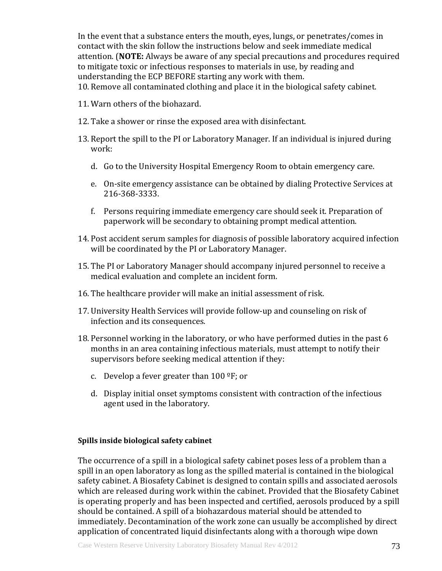In the event that a substance enters the mouth, eyes, lungs, or penetrates/comes in contact with the skin follow the instructions below and seek immediate medical attention. (**NOTE:** Always be aware of any special precautions and procedures required to mitigate toxic or infectious responses to materials in use, by reading and understanding the ECP BEFORE starting any work with them.

10. Remove all contaminated clothing and place it in the biological safety cabinet.

- 11. Warn others of the biohazard.
- 12. Take a shower or rinse the exposed area with disinfectant.
- 13. Report the spill to the PI or Laboratory Manager. If an individual is injured during work:
	- d. Go to the University Hospital Emergency Room to obtain emergency care.
	- e. On-site emergency assistance can be obtained by dialing Protective Services at 216-368-3333.
	- f. Persons requiring immediate emergency care should seek it. Preparation of paperwork will be secondary to obtaining prompt medical attention.
- 14. Post accident serum samples for diagnosis of possible laboratory acquired infection will be coordinated by the PI or Laboratory Manager.
- 15. The PI or Laboratory Manager should accompany injured personnel to receive a medical evaluation and complete an incident form.
- 16. The healthcare provider will make an initial assessment of risk.
- 17. University Health Services will provide follow-up and counseling on risk of infection and its consequences.
- 18. Personnel working in the laboratory, or who have performed duties in the past 6 months in an area containing infectious materials, must attempt to notify their supervisors before seeking medical attention if they:
	- c. Develop a fever greater than  $100^{\circ}$ F; or
	- d. Display initial onset symptoms consistent with contraction of the infectious agent used in the laboratory.

## **Spills inside biological safety cabinet**

The occurrence of a spill in a biological safety cabinet poses less of a problem than a spill in an open laboratory as long as the spilled material is contained in the biological safety cabinet. A Biosafety Cabinet is designed to contain spills and associated aerosols which are released during work within the cabinet. Provided that the Biosafety Cabinet is operating properly and has been inspected and certified, aerosols produced by a spill should be contained. A spill of a biohazardous material should be attended to immediately. Decontamination of the work zone can usually be accomplished by direct application of concentrated liquid disinfectants along with a thorough wipe down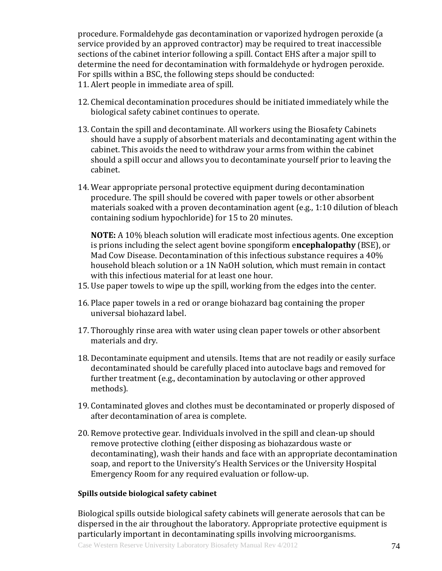procedure. Formaldehyde gas decontamination or vaporized hydrogen peroxide (a service provided by an approved contractor) may be required to treat inaccessible sections of the cabinet interior following a spill. Contact EHS after a major spill to determine the need for decontamination with formaldehyde or hydrogen peroxide. For spills within a BSC, the following steps should be conducted: 11. Alert people in immediate area of spill.

- 12. Chemical decontamination procedures should be initiated immediately while the biological safety cabinet continues to operate.
- 13. Contain the spill and decontaminate. All workers using the Biosafety Cabinets should have a supply of absorbent materials and decontaminating agent within the cabinet. This avoids the need to withdraw your arms from within the cabinet should a spill occur and allows you to decontaminate yourself prior to leaving the cabinet.
- 14. Wear appropriate personal protective equipment during decontamination procedure. The spill should be covered with paper towels or other absorbent materials soaked with a proven decontamination agent (e.g., 1:10 dilution of bleach containing sodium hypochloride) for 15 to 20 minutes.

**NOTE:** A 10% bleach solution will eradicate most infectious agents. One exception is prions including the select agent bovine spongiform e**ncephalopathy** (BSE), or Mad Cow Disease. Decontamination of this infectious substance requires a 40% household bleach solution or a 1N NaOH solution, which must remain in contact with this infectious material for at least one hour.

- 15. Use paper towels to wipe up the spill, working from the edges into the center.
- 16. Place paper towels in a red or orange biohazard bag containing the proper universal biohazard label.
- 17. Thoroughly rinse area with water using clean paper towels or other absorbent materials and dry.
- 18. Decontaminate equipment and utensils. Items that are not readily or easily surface decontaminated should be carefully placed into autoclave bags and removed for further treatment (e.g., decontamination by autoclaving or other approved methods).
- 19. Contaminated gloves and clothes must be decontaminated or properly disposed of after decontamination of area is complete.
- 20. Remove protective gear. Individuals involved in the spill and clean-up should remove protective clothing (either disposing as biohazardous waste or decontaminating), wash their hands and face with an appropriate decontamination soap, and report to the University's Health Services or the University Hospital Emergency Room for any required evaluation or follow-up.

#### **Spills outside biological safety cabinet**

Biological spills outside biological safety cabinets will generate aerosols that can be dispersed in the air throughout the laboratory. Appropriate protective equipment is particularly important in decontaminating spills involving microorganisms.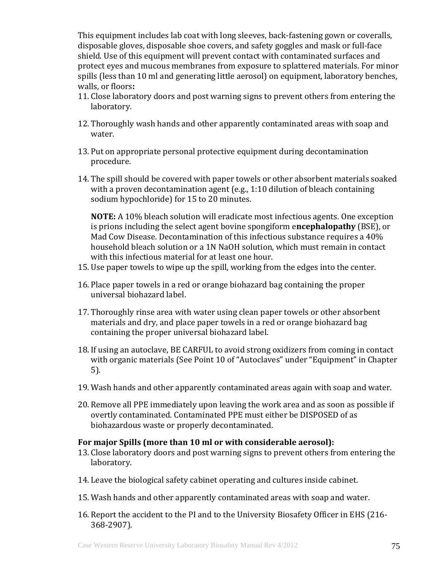This equipment includes lab coat with long sleeves, back-fastening gown or coveralls, disposable gloves, disposable shoe covers, and safety goggles and mask or full-face shield. Use of this equipment will prevent contact with contaminated surfaces and protect eyes and mucous membranes from exposure to splattered materials. For minor spills (less than 10 ml and generating little aerosol) on equipment, laboratory benches, walls, or floors**:**

- 11. Close laboratory doors and post warning signs to prevent others from entering the laboratory.
- 12. Thoroughly wash hands and other apparently contaminated areas with soap and water.
- 13. Put on appropriate personal protective equipment during decontamination procedure.
- 14. The spill should be covered with paper towels or other absorbent materials soaked with a proven decontamination agent (e.g., 1:10 dilution of bleach containing sodium hypochloride) for 15 to 20 minutes.

**NOTE:** A 10% bleach solution will eradicate most infectious agents. One exception is prions including the select agent bovine spongiform e**ncephalopathy** (BSE), or Mad Cow Disease. Decontamination of this infectious substance requires a 40% household bleach solution or a 1N NaOH solution, which must remain in contact with this infectious material for at least one hour.

- 15. Use paper towels to wipe up the spill, working from the edges into the center.
- 16. Place paper towels in a red or orange biohazard bag containing the proper universal biohazard label.
- 17. Thoroughly rinse area with water using clean paper towels or other absorbent materials and dry, and place paper towels in a red or orange biohazard bag containing the proper universal biohazard label.
- 18. If using an autoclave, BE CARFUL to avoid strong oxidizers from coming in contact with organic materials (See Point 10 of "Autoclaves" under "Equipment" in Chapter 5).
- 19. Wash hands and other apparently contaminated areas again with soap and water.
- 20. Remove all PPE immediately upon leaving the work area and as soon as possible if overtly contaminated. Contaminated PPE must either be DISPOSED of as biohazardous waste or properly decontaminated.

## **For major Spills (more than 10 ml or with considerable aerosol):**

- 13. Close laboratory doors and post warning signs to prevent others from entering the laboratory.
- 14. Leave the biological safety cabinet operating and cultures inside cabinet.
- 15. Wash hands and other apparently contaminated areas with soap and water.
- 16. Report the accident to the PI and to the University Biosafety Officer in EHS (216- 368-2907).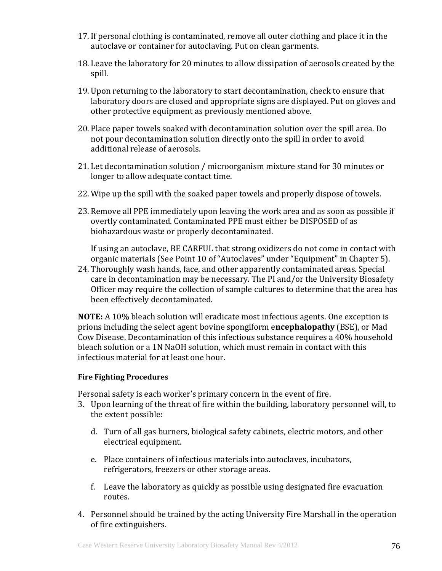- 17. If personal clothing is contaminated, remove all outer clothing and place it in the autoclave or container for autoclaving. Put on clean garments.
- 18. Leave the laboratory for 20 minutes to allow dissipation of aerosols created by the spill.
- 19. Upon returning to the laboratory to start decontamination, check to ensure that laboratory doors are closed and appropriate signs are displayed. Put on gloves and other protective equipment as previously mentioned above.
- 20. Place paper towels soaked with decontamination solution over the spill area. Do not pour decontamination solution directly onto the spill in order to avoid additional release of aerosols.
- 21. Let decontamination solution / microorganism mixture stand for 30 minutes or longer to allow adequate contact time.
- 22. Wipe up the spill with the soaked paper towels and properly dispose of towels.
- 23. Remove all PPE immediately upon leaving the work area and as soon as possible if overtly contaminated. Contaminated PPE must either be DISPOSED of as biohazardous waste or properly decontaminated.

If using an autoclave, BE CARFUL that strong oxidizers do not come in contact with organic materials (See Point 10 of "Autoclaves" under "Equipment" in Chapter 5).

24. Thoroughly wash hands, face, and other apparently contaminated areas. Special care in decontamination may be necessary. The PI and/or the University Biosafety Officer may require the collection of sample cultures to determine that the area has been effectively decontaminated.

**NOTE:** A 10% bleach solution will eradicate most infectious agents. One exception is prions including the select agent bovine spongiform e**ncephalopathy** (BSE), or Mad Cow Disease. Decontamination of this infectious substance requires a 40% household bleach solution or a 1N NaOH solution, which must remain in contact with this infectious material for at least one hour.

## **Fire Fighting Procedures**

Personal safety is each worker's primary concern in the event of fire.

- 3. Upon learning of the threat of fire within the building, laboratory personnel will, to the extent possible:
	- d. Turn of all gas burners, biological safety cabinets, electric motors, and other electrical equipment.
	- e. Place containers of infectious materials into autoclaves, incubators, refrigerators, freezers or other storage areas.
	- f. Leave the laboratory as quickly as possible using designated fire evacuation routes.
- 4. Personnel should be trained by the acting University Fire Marshall in the operation of fire extinguishers.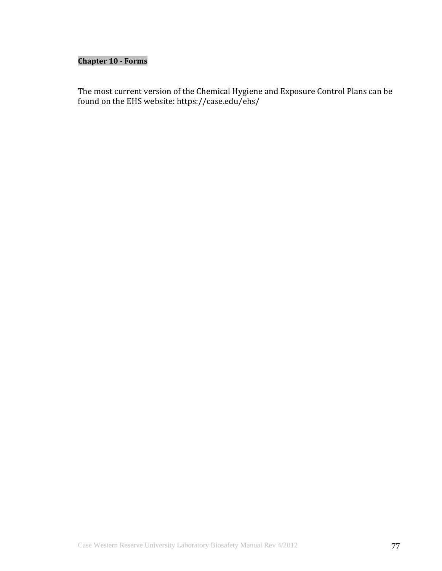# **Chapter 10 - Forms**

The most current version of the Chemical Hygiene and Exposure Control Plans can be found on the EHS website: https://case.edu/ehs/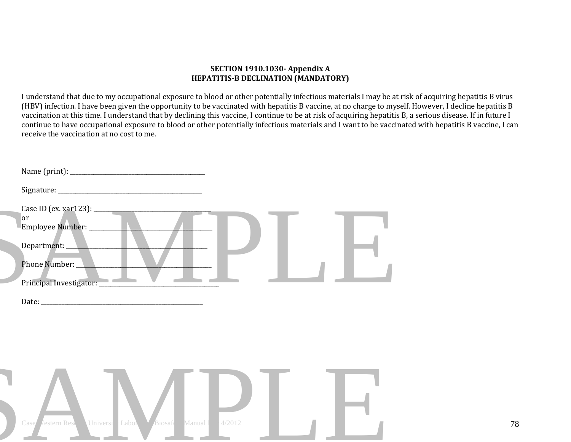#### **SECTION 1910.1030- Appendix A HEPATITIS-B DECLINATION (MANDATORY)**

I understand that due to my occupational exposure to blood or other potentially infectious materials I may be at risk of acquiring hepatitis B virus (HBV) infection. I have been given the opportunity to be vaccinated with hepatitis B vaccine, at no charge to myself. However, I decline hepatitis B vaccination at this time. I understand that by declining this vaccine, I continue to be at risk of acquiring hepatitis B, a serious disease. If in future I continue to have occupational exposure to blood or other potentially infectious materials and I want to be vaccinated with hepatitis B vaccine, I can receive the vaccination at no cost to me.

| Case ID (ex. xar123): ________<br>or<br>Employee Number:<br>Department: _<br>Phone Number:<br>Principal Investigator: |
|-----------------------------------------------------------------------------------------------------------------------|
| Date:                                                                                                                 |

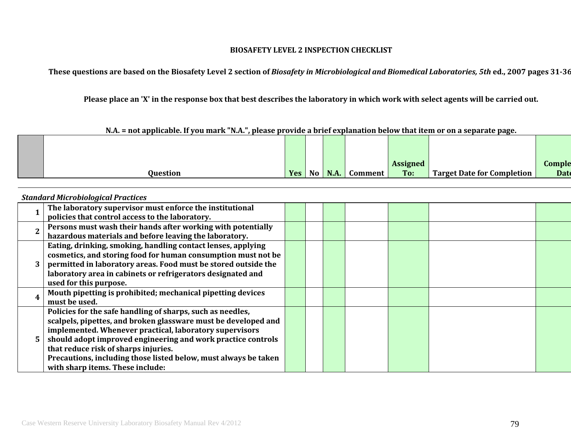### **BIOSAFETY LEVEL 2 INSPECTION CHECKLIST**

**These questions are based on the Biosafety Level 2 section of** *Biosafety in Microbiological and Biomedical Laboratories, 5th* **ed., 2007 pages 31-36**

**Please place an 'X' in the response box that best describes the laboratory in which work with select agents will be carried out.**

| IVA. – HUL applicable. If you mark IVA. , picase provide a brief explanation below that item of on a separate page. |     |            |         |                 |                                   |             |
|---------------------------------------------------------------------------------------------------------------------|-----|------------|---------|-----------------|-----------------------------------|-------------|
|                                                                                                                     |     |            |         |                 |                                   |             |
|                                                                                                                     |     |            |         | <b>Assigned</b> |                                   | Comple      |
| Ouestion                                                                                                            | Yes | $No$ $NA.$ | Comment | To:             | <b>Target Date for Completion</b> | <b>Date</b> |
|                                                                                                                     |     |            |         |                 |                                   |             |

|  |  | N.A. = not applicable. If you mark "N.A.", please provide a brief explanation below that item or on a separate page. |
|--|--|----------------------------------------------------------------------------------------------------------------------|
|  |  |                                                                                                                      |

|                | <b>Standard Microbiological Practices</b>                       |  |  |  |  |
|----------------|-----------------------------------------------------------------|--|--|--|--|
|                | The laboratory supervisor must enforce the institutional        |  |  |  |  |
|                | policies that control access to the laboratory.                 |  |  |  |  |
| $\overline{2}$ | Persons must wash their hands after working with potentially    |  |  |  |  |
|                | hazardous materials and before leaving the laboratory.          |  |  |  |  |
|                | Eating, drinking, smoking, handling contact lenses, applying    |  |  |  |  |
|                | cosmetics, and storing food for human consumption must not be   |  |  |  |  |
|                | permitted in laboratory areas. Food must be stored outside the  |  |  |  |  |
|                | laboratory area in cabinets or refrigerators designated and     |  |  |  |  |
|                | used for this purpose.                                          |  |  |  |  |
| 4              | Mouth pipetting is prohibited; mechanical pipetting devices     |  |  |  |  |
|                | must be used.                                                   |  |  |  |  |
|                | Policies for the safe handling of sharps, such as needles,      |  |  |  |  |
|                | scalpels, pipettes, and broken glassware must be developed and  |  |  |  |  |
|                | implemented. Whenever practical, laboratory supervisors         |  |  |  |  |
|                | should adopt improved engineering and work practice controls    |  |  |  |  |
|                | that reduce risk of sharps injuries.                            |  |  |  |  |
|                | Precautions, including those listed below, must always be taken |  |  |  |  |
|                | with sharp items. These include:                                |  |  |  |  |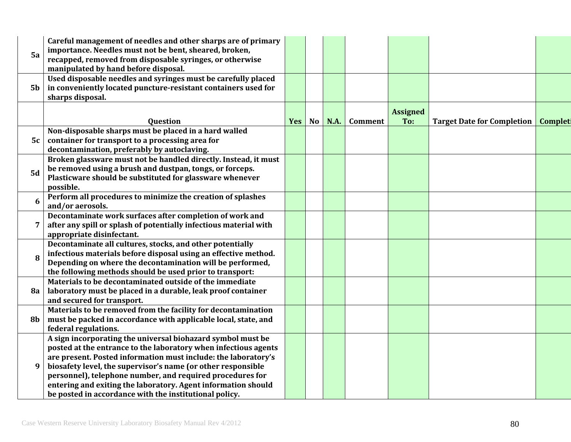|                | Careful management of needles and other sharps are of primary                                         |            |    |             |         |                 |                                   |          |
|----------------|-------------------------------------------------------------------------------------------------------|------------|----|-------------|---------|-----------------|-----------------------------------|----------|
| 5a             | importance. Needles must not be bent, sheared, broken,                                                |            |    |             |         |                 |                                   |          |
|                | recapped, removed from disposable syringes, or otherwise                                              |            |    |             |         |                 |                                   |          |
|                | manipulated by hand before disposal.<br>Used disposable needles and syringes must be carefully placed |            |    |             |         |                 |                                   |          |
| 5 <sub>b</sub> | in conveniently located puncture-resistant containers used for                                        |            |    |             |         |                 |                                   |          |
|                | sharps disposal.                                                                                      |            |    |             |         |                 |                                   |          |
|                |                                                                                                       |            |    |             |         |                 |                                   |          |
|                |                                                                                                       |            |    |             |         | <b>Assigned</b> |                                   |          |
|                | <b>Ouestion</b>                                                                                       | <b>Yes</b> | No | <b>N.A.</b> | Comment | To:             | <b>Target Date for Completion</b> | Completi |
|                | Non-disposable sharps must be placed in a hard walled                                                 |            |    |             |         |                 |                                   |          |
| 5c             | container for transport to a processing area for                                                      |            |    |             |         |                 |                                   |          |
|                | decontamination, preferably by autoclaving.                                                           |            |    |             |         |                 |                                   |          |
|                | Broken glassware must not be handled directly. Instead, it must                                       |            |    |             |         |                 |                                   |          |
| <b>5d</b>      | be removed using a brush and dustpan, tongs, or forceps.                                              |            |    |             |         |                 |                                   |          |
|                | Plasticware should be substituted for glassware whenever                                              |            |    |             |         |                 |                                   |          |
|                | possible.                                                                                             |            |    |             |         |                 |                                   |          |
| 6              | Perform all procedures to minimize the creation of splashes                                           |            |    |             |         |                 |                                   |          |
|                | and/or aerosols.                                                                                      |            |    |             |         |                 |                                   |          |
|                | Decontaminate work surfaces after completion of work and                                              |            |    |             |         |                 |                                   |          |
| $\overline{7}$ | after any spill or splash of potentially infectious material with                                     |            |    |             |         |                 |                                   |          |
|                | appropriate disinfectant.                                                                             |            |    |             |         |                 |                                   |          |
|                | Decontaminate all cultures, stocks, and other potentially                                             |            |    |             |         |                 |                                   |          |
| 8              | infectious materials before disposal using an effective method.                                       |            |    |             |         |                 |                                   |          |
|                | Depending on where the decontamination will be performed,                                             |            |    |             |         |                 |                                   |          |
|                | the following methods should be used prior to transport:                                              |            |    |             |         |                 |                                   |          |
|                | Materials to be decontaminated outside of the immediate                                               |            |    |             |         |                 |                                   |          |
| 8a             | laboratory must be placed in a durable, leak proof container                                          |            |    |             |         |                 |                                   |          |
|                | and secured for transport.                                                                            |            |    |             |         |                 |                                   |          |
|                | Materials to be removed from the facility for decontamination                                         |            |    |             |         |                 |                                   |          |
| 8b             | must be packed in accordance with applicable local, state, and                                        |            |    |             |         |                 |                                   |          |
|                | federal regulations.                                                                                  |            |    |             |         |                 |                                   |          |
|                | A sign incorporating the universal biohazard symbol must be                                           |            |    |             |         |                 |                                   |          |
|                | posted at the entrance to the laboratory when infectious agents                                       |            |    |             |         |                 |                                   |          |
|                | are present. Posted information must include: the laboratory's                                        |            |    |             |         |                 |                                   |          |
| 9              | biosafety level, the supervisor's name (or other responsible                                          |            |    |             |         |                 |                                   |          |
|                | personnel), telephone number, and required procedures for                                             |            |    |             |         |                 |                                   |          |
|                | entering and exiting the laboratory. Agent information should                                         |            |    |             |         |                 |                                   |          |
|                | be posted in accordance with the institutional policy.                                                |            |    |             |         |                 |                                   |          |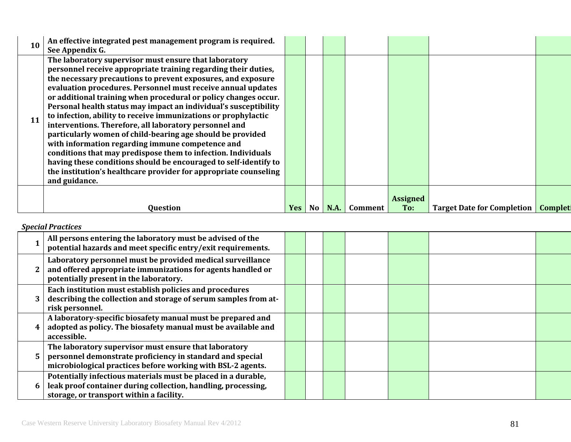| <b>10</b> | An effective integrated pest management program is required.<br>See Appendix G.                                                                                                                                                                                                                                                                                                                                                                                                                                                                                                                                                                                                                                                                                                                                                                                        |     |     |             |         |                 |                                   |          |
|-----------|------------------------------------------------------------------------------------------------------------------------------------------------------------------------------------------------------------------------------------------------------------------------------------------------------------------------------------------------------------------------------------------------------------------------------------------------------------------------------------------------------------------------------------------------------------------------------------------------------------------------------------------------------------------------------------------------------------------------------------------------------------------------------------------------------------------------------------------------------------------------|-----|-----|-------------|---------|-----------------|-----------------------------------|----------|
| 11        | The laboratory supervisor must ensure that laboratory<br>personnel receive appropriate training regarding their duties,<br>the necessary precautions to prevent exposures, and exposure<br>evaluation procedures. Personnel must receive annual updates<br>or additional training when procedural or policy changes occur.<br>Personal health status may impact an individual's susceptibility<br>to infection, ability to receive immunizations or prophylactic<br>interventions. Therefore, all laboratory personnel and<br>particularly women of child-bearing age should be provided<br>with information regarding immune competence and<br>conditions that may predispose them to infection. Individuals<br>having these conditions should be encouraged to self-identify to<br>the institution's healthcare provider for appropriate counseling<br>and guidance. |     |     |             |         |                 |                                   |          |
|           |                                                                                                                                                                                                                                                                                                                                                                                                                                                                                                                                                                                                                                                                                                                                                                                                                                                                        |     |     |             |         | <b>Assigned</b> |                                   |          |
|           | <b>Question</b>                                                                                                                                                                                                                                                                                                                                                                                                                                                                                                                                                                                                                                                                                                                                                                                                                                                        | Yes | No. | <b>N.A.</b> | Comment | To:             | <b>Target Date for Completion</b> | Completi |

### *Special Practices*

|   | All persons entering the laboratory must be advised of the<br>potential hazards and meet specific entry/exit requirements.                                                        |  |  |  |  |
|---|-----------------------------------------------------------------------------------------------------------------------------------------------------------------------------------|--|--|--|--|
|   | Laboratory personnel must be provided medical surveillance<br>and offered appropriate immunizations for agents handled or<br>potentially present in the laboratory.               |  |  |  |  |
|   | Each institution must establish policies and procedures<br>describing the collection and storage of serum samples from at-<br>risk personnel.                                     |  |  |  |  |
| 4 | A laboratory-specific biosafety manual must be prepared and<br>adopted as policy. The biosafety manual must be available and<br>accessible.                                       |  |  |  |  |
|   | The laboratory supervisor must ensure that laboratory<br>personnel demonstrate proficiency in standard and special<br>microbiological practices before working with BSL-2 agents. |  |  |  |  |
| 6 | Potentially infectious materials must be placed in a durable,<br>leak proof container during collection, handling, processing,<br>storage, or transport within a facility.        |  |  |  |  |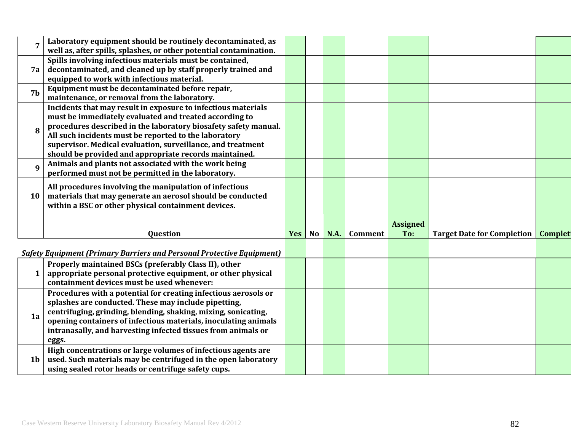| 7              | Laboratory equipment should be routinely decontaminated, as                  |            |    |      |         |                 |                                   |          |
|----------------|------------------------------------------------------------------------------|------------|----|------|---------|-----------------|-----------------------------------|----------|
|                | well as, after spills, splashes, or other potential contamination.           |            |    |      |         |                 |                                   |          |
|                | Spills involving infectious materials must be contained,                     |            |    |      |         |                 |                                   |          |
| 7a             | decontaminated, and cleaned up by staff properly trained and                 |            |    |      |         |                 |                                   |          |
|                | equipped to work with infectious material.                                   |            |    |      |         |                 |                                   |          |
| 7 <sub>b</sub> | Equipment must be decontaminated before repair,                              |            |    |      |         |                 |                                   |          |
|                | maintenance, or removal from the laboratory.                                 |            |    |      |         |                 |                                   |          |
|                | Incidents that may result in exposure to infectious materials                |            |    |      |         |                 |                                   |          |
|                | must be immediately evaluated and treated according to                       |            |    |      |         |                 |                                   |          |
| 8              | procedures described in the laboratory biosafety safety manual.              |            |    |      |         |                 |                                   |          |
|                | All such incidents must be reported to the laboratory                        |            |    |      |         |                 |                                   |          |
|                | supervisor. Medical evaluation, surveillance, and treatment                  |            |    |      |         |                 |                                   |          |
|                | should be provided and appropriate records maintained.                       |            |    |      |         |                 |                                   |          |
| $\mathbf q$    | Animals and plants not associated with the work being                        |            |    |      |         |                 |                                   |          |
|                | performed must not be permitted in the laboratory.                           |            |    |      |         |                 |                                   |          |
|                | All procedures involving the manipulation of infectious                      |            |    |      |         |                 |                                   |          |
| <b>10</b>      | materials that may generate an aerosol should be conducted                   |            |    |      |         |                 |                                   |          |
|                | within a BSC or other physical containment devices.                          |            |    |      |         |                 |                                   |          |
|                |                                                                              |            |    |      |         |                 |                                   |          |
|                |                                                                              |            |    |      |         | <b>Assigned</b> |                                   |          |
|                | Question                                                                     | <b>Yes</b> | No | N.A. | Comment | To:             | <b>Target Date for Completion</b> | Completi |
|                |                                                                              |            |    |      |         |                 |                                   |          |
|                | <b>Safety Equipment (Primary Barriers and Personal Protective Equipment)</b> |            |    |      |         |                 |                                   |          |
|                | Properly maintained BSCs (preferably Class II), other                        |            |    |      |         |                 |                                   |          |
| $\mathbf{1}$   | appropriate personal protective equipment, or other physical                 |            |    |      |         |                 |                                   |          |
|                | containment devices must be used whenever:                                   |            |    |      |         |                 |                                   |          |
|                | Procedures with a potential for creating infectious aerosols or              |            |    |      |         |                 |                                   |          |
|                | splashes are conducted. These may include pipetting,                         |            |    |      |         |                 |                                   |          |
|                | centrifuging, grinding, blending, shaking, mixing, sonicating,               |            |    |      |         |                 |                                   |          |
| 1a             | opening containers of infectious materials, inoculating animals              |            |    |      |         |                 |                                   |          |
|                | intranasally, and harvesting infected tissues from animals or                |            |    |      |         |                 |                                   |          |
|                | eggs.                                                                        |            |    |      |         |                 |                                   |          |
|                | High concentrations or large volumes of infectious agents are                |            |    |      |         |                 |                                   |          |
| 1 <sub>b</sub> | used. Such materials may be centrifuged in the open laboratory               |            |    |      |         |                 |                                   |          |

**1b used. Such materials may be centrifuged in the open laboratory using sealed rotor heads or centrifuge safety cups.**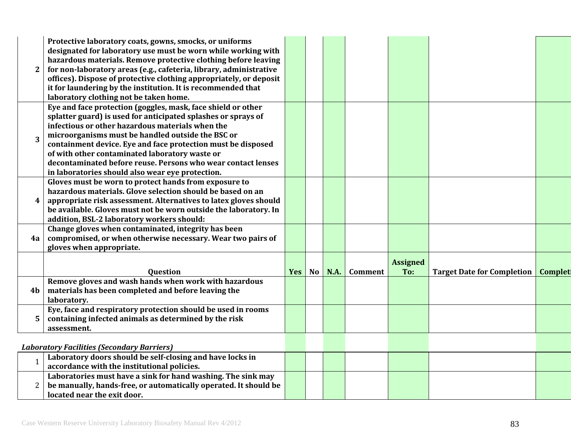| $\mathbf{2}$   | Protective laboratory coats, gowns, smocks, or uniforms<br>designated for laboratory use must be worn while working with<br>hazardous materials. Remove protective clothing before leaving<br>for non-laboratory areas (e.g., cafeteria, library, administrative<br>offices). Dispose of protective clothing appropriately, or deposit<br>it for laundering by the institution. It is recommended that<br>laboratory clothing not be taken home.                             |     |    |             |                |                        |                                   |          |
|----------------|------------------------------------------------------------------------------------------------------------------------------------------------------------------------------------------------------------------------------------------------------------------------------------------------------------------------------------------------------------------------------------------------------------------------------------------------------------------------------|-----|----|-------------|----------------|------------------------|-----------------------------------|----------|
| 3              | Eye and face protection (goggles, mask, face shield or other<br>splatter guard) is used for anticipated splashes or sprays of<br>infectious or other hazardous materials when the<br>microorganisms must be handled outside the BSC or<br>containment device. Eye and face protection must be disposed<br>of with other contaminated laboratory waste or<br>decontaminated before reuse. Persons who wear contact lenses<br>in laboratories should also wear eye protection. |     |    |             |                |                        |                                   |          |
| 4              | Gloves must be worn to protect hands from exposure to<br>hazardous materials. Glove selection should be based on an<br>appropriate risk assessment. Alternatives to latex gloves should<br>be available. Gloves must not be worn outside the laboratory. In<br>addition, BSL-2 laboratory workers should:                                                                                                                                                                    |     |    |             |                |                        |                                   |          |
| 4a             | Change gloves when contaminated, integrity has been<br>compromised, or when otherwise necessary. Wear two pairs of<br>gloves when appropriate.                                                                                                                                                                                                                                                                                                                               |     |    |             |                |                        |                                   |          |
|                | Question                                                                                                                                                                                                                                                                                                                                                                                                                                                                     | Yes | No | <b>N.A.</b> | <b>Comment</b> | <b>Assigned</b><br>To: | <b>Target Date for Completion</b> | Completi |
| 4 <sub>b</sub> | Remove gloves and wash hands when work with hazardous<br>materials has been completed and before leaving the<br>laboratory.                                                                                                                                                                                                                                                                                                                                                  |     |    |             |                |                        |                                   |          |
| 5              | Eye, face and respiratory protection should be used in rooms<br>containing infected animals as determined by the risk<br>assessment.                                                                                                                                                                                                                                                                                                                                         |     |    |             |                |                        |                                   |          |
|                | <b>Laboratory Facilities (Secondary Barriers)</b>                                                                                                                                                                                                                                                                                                                                                                                                                            |     |    |             |                |                        |                                   |          |
| $\mathbf{1}$   | Laboratory doors should be self-closing and have locks in<br>accordance with the institutional policies.                                                                                                                                                                                                                                                                                                                                                                     |     |    |             |                |                        |                                   |          |
| 2              | Laboratories must have a sink for hand washing. The sink may<br>be manually, hands-free, or automatically operated. It should be<br>located near the exit door.                                                                                                                                                                                                                                                                                                              |     |    |             |                |                        |                                   |          |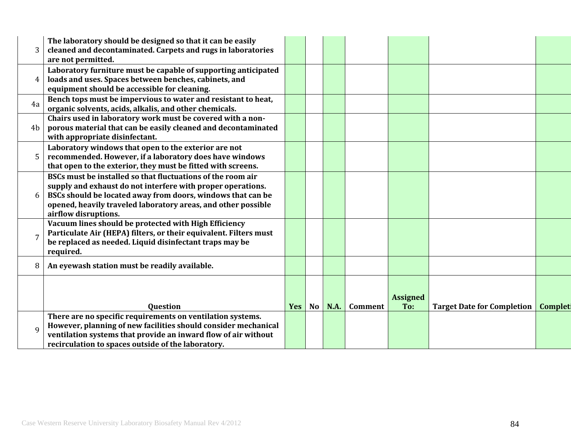| 3              | The laboratory should be designed so that it can be easily<br>cleaned and decontaminated. Carpets and rugs in laboratories |            |    |             |         |                 |                                   |          |
|----------------|----------------------------------------------------------------------------------------------------------------------------|------------|----|-------------|---------|-----------------|-----------------------------------|----------|
|                | are not permitted.                                                                                                         |            |    |             |         |                 |                                   |          |
|                | Laboratory furniture must be capable of supporting anticipated                                                             |            |    |             |         |                 |                                   |          |
| $\overline{4}$ | loads and uses. Spaces between benches, cabinets, and                                                                      |            |    |             |         |                 |                                   |          |
|                | equipment should be accessible for cleaning.                                                                               |            |    |             |         |                 |                                   |          |
| 4a             | Bench tops must be impervious to water and resistant to heat,                                                              |            |    |             |         |                 |                                   |          |
|                | organic solvents, acids, alkalis, and other chemicals.                                                                     |            |    |             |         |                 |                                   |          |
|                | Chairs used in laboratory work must be covered with a non-                                                                 |            |    |             |         |                 |                                   |          |
| 4 <sub>b</sub> | porous material that can be easily cleaned and decontaminated                                                              |            |    |             |         |                 |                                   |          |
|                | with appropriate disinfectant.                                                                                             |            |    |             |         |                 |                                   |          |
|                | Laboratory windows that open to the exterior are not                                                                       |            |    |             |         |                 |                                   |          |
| 5              | recommended. However, if a laboratory does have windows                                                                    |            |    |             |         |                 |                                   |          |
|                | that open to the exterior, they must be fitted with screens.                                                               |            |    |             |         |                 |                                   |          |
|                | BSCs must be installed so that fluctuations of the room air                                                                |            |    |             |         |                 |                                   |          |
|                | supply and exhaust do not interfere with proper operations.                                                                |            |    |             |         |                 |                                   |          |
|                | BSCs should be located away from doors, windows that can be                                                                |            |    |             |         |                 |                                   |          |
|                | opened, heavily traveled laboratory areas, and other possible                                                              |            |    |             |         |                 |                                   |          |
|                | airflow disruptions.                                                                                                       |            |    |             |         |                 |                                   |          |
|                | Vacuum lines should be protected with High Efficiency                                                                      |            |    |             |         |                 |                                   |          |
|                | Particulate Air (HEPA) filters, or their equivalent. Filters must                                                          |            |    |             |         |                 |                                   |          |
|                | be replaced as needed. Liquid disinfectant traps may be                                                                    |            |    |             |         |                 |                                   |          |
|                | required.                                                                                                                  |            |    |             |         |                 |                                   |          |
| 8              | An eyewash station must be readily available.                                                                              |            |    |             |         |                 |                                   |          |
|                |                                                                                                                            |            |    |             |         |                 |                                   |          |
|                |                                                                                                                            |            |    |             |         |                 |                                   |          |
|                |                                                                                                                            |            |    |             |         | <b>Assigned</b> |                                   |          |
|                | <b>Ouestion</b>                                                                                                            | <b>Yes</b> | No | <b>N.A.</b> | Comment | To:             | <b>Target Date for Completion</b> | Completi |
|                | There are no specific requirements on ventilation systems.                                                                 |            |    |             |         |                 |                                   |          |
| $\mathbf{q}$   | However, planning of new facilities should consider mechanical                                                             |            |    |             |         |                 |                                   |          |
|                | ventilation systems that provide an inward flow of air without                                                             |            |    |             |         |                 |                                   |          |
|                | recirculation to spaces outside of the laboratory.                                                                         |            |    |             |         |                 |                                   |          |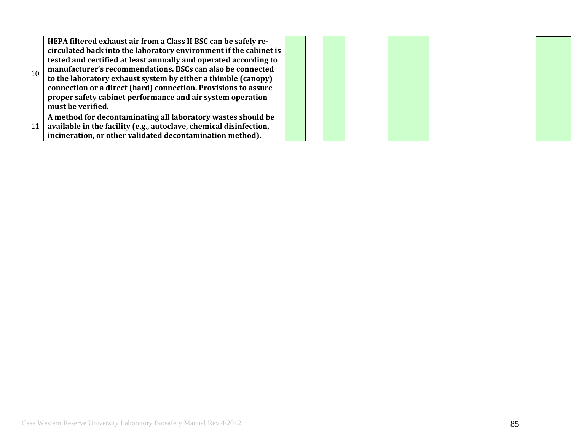| 10 | HEPA filtered exhaust air from a Class II BSC can be safely re-<br>circulated back into the laboratory environment if the cabinet is<br>tested and certified at least annually and operated according to<br>manufacturer's recommendations. BSCs can also be connected<br>to the laboratory exhaust system by either a thimble (canopy)<br>connection or a direct (hard) connection. Provisions to assure<br>proper safety cabinet performance and air system operation<br>must be verified. |  |  |  |  |
|----|----------------------------------------------------------------------------------------------------------------------------------------------------------------------------------------------------------------------------------------------------------------------------------------------------------------------------------------------------------------------------------------------------------------------------------------------------------------------------------------------|--|--|--|--|
|    | A method for decontaminating all laboratory wastes should be<br>available in the facility (e.g., autoclave, chemical disinfection,<br>incineration, or other validated decontamination method).                                                                                                                                                                                                                                                                                              |  |  |  |  |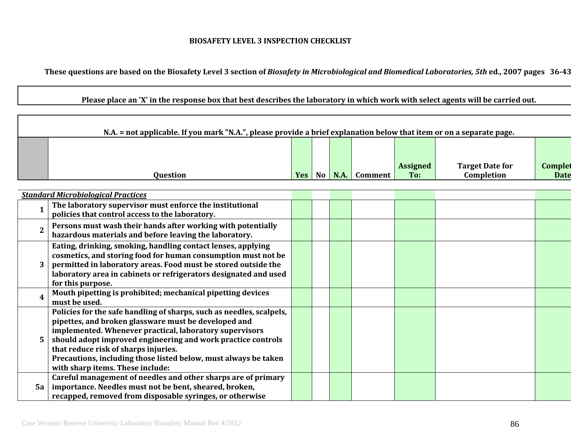#### **BIOSAFETY LEVEL 3 INSPECTION CHECKLIST**

**These questions are based on the Biosafety Level 3 section of** *Biosafety in Microbiological and Biomedical Laboratories, 5th* **ed., 2007 pages 36-43**

**Please place an 'X' in the response box that best describes the laboratory in which work with select agents will be carried out.**

| N.A. = not applicable. If you mark "N.A.", please provide a brief explanation below that item or on a separate page. |          |             |         |                        |                                      |                               |
|----------------------------------------------------------------------------------------------------------------------|----------|-------------|---------|------------------------|--------------------------------------|-------------------------------|
|                                                                                                                      |          |             |         |                        |                                      |                               |
| Ouestion                                                                                                             | Yes   No | <b>N.A.</b> | Comment | <b>Assigned</b><br>To: | <b>Target Date for</b><br>Completion | <b>Complet</b><br><b>Date</b> |

|                | <b>Standard Microbiological Practices</b>                                                                                                                                                                                                                                                                                                                                                              |  |  |  |  |
|----------------|--------------------------------------------------------------------------------------------------------------------------------------------------------------------------------------------------------------------------------------------------------------------------------------------------------------------------------------------------------------------------------------------------------|--|--|--|--|
|                | The laboratory supervisor must enforce the institutional<br>policies that control access to the laboratory.                                                                                                                                                                                                                                                                                            |  |  |  |  |
| $\overline{2}$ | Persons must wash their hands after working with potentially<br>hazardous materials and before leaving the laboratory.                                                                                                                                                                                                                                                                                 |  |  |  |  |
|                | Eating, drinking, smoking, handling contact lenses, applying<br>cosmetics, and storing food for human consumption must not be<br>permitted in laboratory areas. Food must be stored outside the<br>laboratory area in cabinets or refrigerators designated and used<br>for this purpose.                                                                                                               |  |  |  |  |
|                | Mouth pipetting is prohibited; mechanical pipetting devices<br>must be used.                                                                                                                                                                                                                                                                                                                           |  |  |  |  |
|                | Policies for the safe handling of sharps, such as needles, scalpels,<br>pipettes, and broken glassware must be developed and<br>implemented. Whenever practical, laboratory supervisors<br>should adopt improved engineering and work practice controls<br>that reduce risk of sharps injuries.<br>Precautions, including those listed below, must always be taken<br>with sharp items. These include: |  |  |  |  |
| 5а             | Careful management of needles and other sharps are of primary<br>importance. Needles must not be bent, sheared, broken,<br>recapped, removed from disposable syringes, or otherwise                                                                                                                                                                                                                    |  |  |  |  |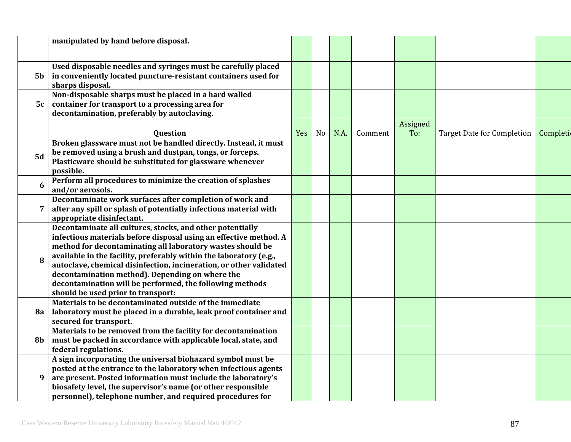|                | manipulated by hand before disposal.                                                                                                                                                                                                                                                                                                                                                                                                                                                          |     |    |      |         |          |                                   |           |
|----------------|-----------------------------------------------------------------------------------------------------------------------------------------------------------------------------------------------------------------------------------------------------------------------------------------------------------------------------------------------------------------------------------------------------------------------------------------------------------------------------------------------|-----|----|------|---------|----------|-----------------------------------|-----------|
| 5 <sub>b</sub> | Used disposable needles and syringes must be carefully placed<br>in conveniently located puncture-resistant containers used for<br>sharps disposal.                                                                                                                                                                                                                                                                                                                                           |     |    |      |         |          |                                   |           |
| 5c             | Non-disposable sharps must be placed in a hard walled<br>container for transport to a processing area for<br>decontamination, preferably by autoclaving.                                                                                                                                                                                                                                                                                                                                      |     |    |      |         |          |                                   |           |
|                |                                                                                                                                                                                                                                                                                                                                                                                                                                                                                               |     |    |      |         | Assigned |                                   |           |
|                | Question                                                                                                                                                                                                                                                                                                                                                                                                                                                                                      | Yes | No | N.A. | Comment | To:      | <b>Target Date for Completion</b> | Completio |
| <b>5d</b>      | Broken glassware must not be handled directly. Instead, it must<br>be removed using a brush and dustpan, tongs, or forceps.<br>Plasticware should be substituted for glassware whenever<br>possible.                                                                                                                                                                                                                                                                                          |     |    |      |         |          |                                   |           |
| 6              | Perform all procedures to minimize the creation of splashes<br>and/or aerosols.                                                                                                                                                                                                                                                                                                                                                                                                               |     |    |      |         |          |                                   |           |
| 7              | Decontaminate work surfaces after completion of work and<br>after any spill or splash of potentially infectious material with<br>appropriate disinfectant.                                                                                                                                                                                                                                                                                                                                    |     |    |      |         |          |                                   |           |
| 8              | Decontaminate all cultures, stocks, and other potentially<br>infectious materials before disposal using an effective method. A<br>method for decontaminating all laboratory wastes should be<br>available in the facility, preferably within the laboratory (e.g.,<br>autoclave, chemical disinfection, incineration, or other validated<br>decontamination method). Depending on where the<br>decontamination will be performed, the following methods<br>should be used prior to transport: |     |    |      |         |          |                                   |           |
| <b>8a</b>      | Materials to be decontaminated outside of the immediate<br>laboratory must be placed in a durable, leak proof container and<br>secured for transport.                                                                                                                                                                                                                                                                                                                                         |     |    |      |         |          |                                   |           |
| 8b             | Materials to be removed from the facility for decontamination<br>must be packed in accordance with applicable local, state, and<br>federal regulations.                                                                                                                                                                                                                                                                                                                                       |     |    |      |         |          |                                   |           |
| 9              | A sign incorporating the universal biohazard symbol must be<br>posted at the entrance to the laboratory when infectious agents<br>are present. Posted information must include the laboratory's<br>biosafety level, the supervisor's name (or other responsible<br>personnel), telephone number, and required procedures for                                                                                                                                                                  |     |    |      |         |          |                                   |           |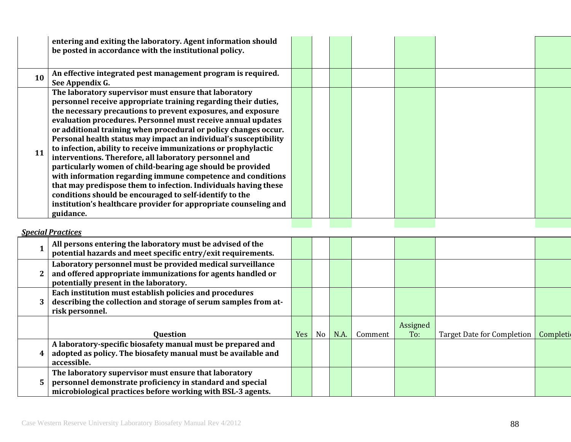|                | entering and exiting the laboratory. Agent information should<br>be posted in accordance with the institutional policy.                                                                                                                                                                                                                                                                                                                                                                                                                                                                                                                                                                                                                                                                                                                                                |  |  |          |  |
|----------------|------------------------------------------------------------------------------------------------------------------------------------------------------------------------------------------------------------------------------------------------------------------------------------------------------------------------------------------------------------------------------------------------------------------------------------------------------------------------------------------------------------------------------------------------------------------------------------------------------------------------------------------------------------------------------------------------------------------------------------------------------------------------------------------------------------------------------------------------------------------------|--|--|----------|--|
| 10             | An effective integrated pest management program is required.<br>See Appendix G.                                                                                                                                                                                                                                                                                                                                                                                                                                                                                                                                                                                                                                                                                                                                                                                        |  |  |          |  |
| 11             | The laboratory supervisor must ensure that laboratory<br>personnel receive appropriate training regarding their duties,<br>the necessary precautions to prevent exposures, and exposure<br>evaluation procedures. Personnel must receive annual updates<br>or additional training when procedural or policy changes occur.<br>Personal health status may impact an individual's susceptibility<br>to infection, ability to receive immunizations or prophylactic<br>interventions. Therefore, all laboratory personnel and<br>particularly women of child-bearing age should be provided<br>with information regarding immune competence and conditions<br>that may predispose them to infection. Individuals having these<br>conditions should be encouraged to self-identify to the<br>institution's healthcare provider for appropriate counseling and<br>guidance. |  |  |          |  |
|                | <b>Special Practices</b>                                                                                                                                                                                                                                                                                                                                                                                                                                                                                                                                                                                                                                                                                                                                                                                                                                               |  |  |          |  |
| $\mathbf{1}$   | All persons entering the laboratory must be advised of the<br>potential hazards and meet specific entry/exit requirements.                                                                                                                                                                                                                                                                                                                                                                                                                                                                                                                                                                                                                                                                                                                                             |  |  |          |  |
| $\overline{2}$ | Laboratory personnel must be provided medical surveillance<br>and offered appropriate immunizations for agents handled or<br>potentially present in the laboratory.                                                                                                                                                                                                                                                                                                                                                                                                                                                                                                                                                                                                                                                                                                    |  |  |          |  |
| 3              | Each institution must establish policies and procedures<br>describing the collection and storage of serum samples from at-<br>risk personnel.                                                                                                                                                                                                                                                                                                                                                                                                                                                                                                                                                                                                                                                                                                                          |  |  |          |  |
|                |                                                                                                                                                                                                                                                                                                                                                                                                                                                                                                                                                                                                                                                                                                                                                                                                                                                                        |  |  | Assigned |  |

| Ouestion                                                                                                                     | <b>Yes</b> | No | N.A. | Comment | Assigned<br>To: | Target Date for Completion | Completio |
|------------------------------------------------------------------------------------------------------------------------------|------------|----|------|---------|-----------------|----------------------------|-----------|
| A laboratory-specific biosafety manual must be prepared and<br>adopted as policy. The biosafety manual must be available and |            |    |      |         |                 |                            |           |
| accessible.                                                                                                                  |            |    |      |         |                 |                            |           |
| The laboratory supervisor must ensure that laboratory                                                                        |            |    |      |         |                 |                            |           |
| personnel demonstrate proficiency in standard and special                                                                    |            |    |      |         |                 |                            |           |
| microbiological practices before working with BSL-3 agents.                                                                  |            |    |      |         |                 |                            |           |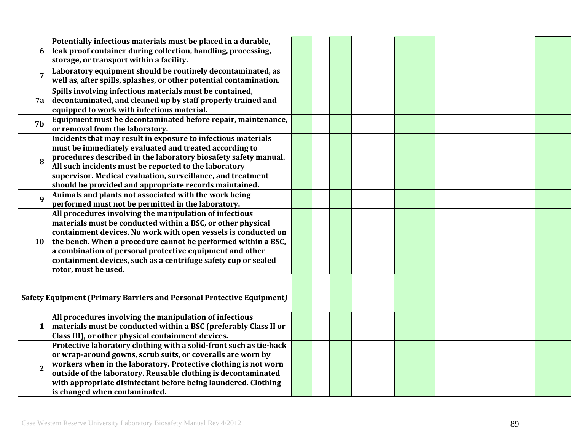| 6              | Potentially infectious materials must be placed in a durable,<br>leak proof container during collection, handling, processing,<br>storage, or transport within a facility.                                                                                                                                                                                                                                      |  |  |  |  |
|----------------|-----------------------------------------------------------------------------------------------------------------------------------------------------------------------------------------------------------------------------------------------------------------------------------------------------------------------------------------------------------------------------------------------------------------|--|--|--|--|
| 7              | Laboratory equipment should be routinely decontaminated, as<br>well as, after spills, splashes, or other potential contamination.                                                                                                                                                                                                                                                                               |  |  |  |  |
| 7a             | Spills involving infectious materials must be contained,<br>decontaminated, and cleaned up by staff properly trained and<br>equipped to work with infectious material.                                                                                                                                                                                                                                          |  |  |  |  |
| 7 <sub>b</sub> | Equipment must be decontaminated before repair, maintenance,<br>or removal from the laboratory.                                                                                                                                                                                                                                                                                                                 |  |  |  |  |
| 8              | Incidents that may result in exposure to infectious materials<br>must be immediately evaluated and treated according to<br>procedures described in the laboratory biosafety safety manual.<br>All such incidents must be reported to the laboratory<br>supervisor. Medical evaluation, surveillance, and treatment<br>should be provided and appropriate records maintained.                                    |  |  |  |  |
| $\mathbf{q}$   | Animals and plants not associated with the work being<br>performed must not be permitted in the laboratory.                                                                                                                                                                                                                                                                                                     |  |  |  |  |
| <b>10</b>      | All procedures involving the manipulation of infectious<br>materials must be conducted within a BSC, or other physical<br>containment devices. No work with open vessels is conducted on<br>the bench. When a procedure cannot be performed within a BSC,<br>a combination of personal protective equipment and other<br>containment devices, such as a centrifuge safety cup or sealed<br>rotor, must be used. |  |  |  |  |
|                | Safety Equipment (Primary Barriers and Personal Protective Equipment)                                                                                                                                                                                                                                                                                                                                           |  |  |  |  |
| $\mathbf{1}$   | All procedures involving the manipulation of infectious<br>materials must be conducted within a BSC (preferably Class II or<br>Class III), or other physical containment devices.                                                                                                                                                                                                                               |  |  |  |  |
| $\overline{2}$ | Protective laboratory clothing with a solid-front such as tie-back<br>or wrap-around gowns, scrub suits, or coveralls are worn by<br>workers when in the laboratory. Protective clothing is not worn<br>outside of the laboratory. Reusable clothing is decontaminated<br>with appropriate disinfectant before being laundered. Clothing<br>is changed when contaminated.                                       |  |  |  |  |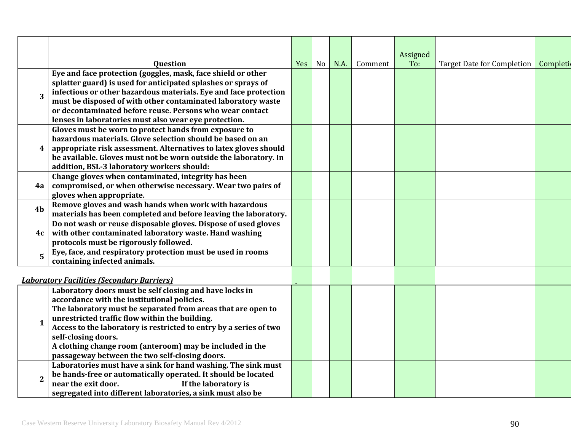|                |                                                                                                                                                                                                                                                                                                                                                                                                                                     |            |    |      |         | Assigned |                                   |           |
|----------------|-------------------------------------------------------------------------------------------------------------------------------------------------------------------------------------------------------------------------------------------------------------------------------------------------------------------------------------------------------------------------------------------------------------------------------------|------------|----|------|---------|----------|-----------------------------------|-----------|
|                | <b>Question</b>                                                                                                                                                                                                                                                                                                                                                                                                                     | <b>Yes</b> | No | N.A. | Comment | To:      | <b>Target Date for Completion</b> | Completio |
| 3              | Eye and face protection (goggles, mask, face shield or other<br>splatter guard) is used for anticipated splashes or sprays of<br>infectious or other hazardous materials. Eye and face protection                                                                                                                                                                                                                                   |            |    |      |         |          |                                   |           |
|                | must be disposed of with other contaminated laboratory waste<br>or decontaminated before reuse. Persons who wear contact<br>lenses in laboratories must also wear eye protection.                                                                                                                                                                                                                                                   |            |    |      |         |          |                                   |           |
| 4              | Gloves must be worn to protect hands from exposure to<br>hazardous materials. Glove selection should be based on an<br>appropriate risk assessment. Alternatives to latex gloves should<br>be available. Gloves must not be worn outside the laboratory. In<br>addition, BSL-3 laboratory workers should:                                                                                                                           |            |    |      |         |          |                                   |           |
| 4a             | Change gloves when contaminated, integrity has been<br>compromised, or when otherwise necessary. Wear two pairs of<br>gloves when appropriate.                                                                                                                                                                                                                                                                                      |            |    |      |         |          |                                   |           |
| 4 <sub>b</sub> | Remove gloves and wash hands when work with hazardous<br>materials has been completed and before leaving the laboratory.                                                                                                                                                                                                                                                                                                            |            |    |      |         |          |                                   |           |
| 4c             | Do not wash or reuse disposable gloves. Dispose of used gloves<br>with other contaminated laboratory waste. Hand washing<br>protocols must be rigorously followed.                                                                                                                                                                                                                                                                  |            |    |      |         |          |                                   |           |
| 5              | Eye, face, and respiratory protection must be used in rooms<br>containing infected animals.                                                                                                                                                                                                                                                                                                                                         |            |    |      |         |          |                                   |           |
|                | <b>Laboratory Facilities (Secondary Barriers)</b>                                                                                                                                                                                                                                                                                                                                                                                   |            |    |      |         |          |                                   |           |
| 1              | Laboratory doors must be self closing and have locks in<br>accordance with the institutional policies.<br>The laboratory must be separated from areas that are open to<br>unrestricted traffic flow within the building.<br>Access to the laboratory is restricted to entry by a series of two<br>self-closing doors.<br>A clothing change room (anteroom) may be included in the<br>passageway between the two self-closing doors. |            |    |      |         |          |                                   |           |
| $\overline{2}$ | Laboratories must have a sink for hand washing. The sink must<br>be hands-free or automatically operated. It should be located<br>near the exit door.<br>If the laboratory is                                                                                                                                                                                                                                                       |            |    |      |         |          |                                   |           |

**segregated into different laboratories, a sink must also be**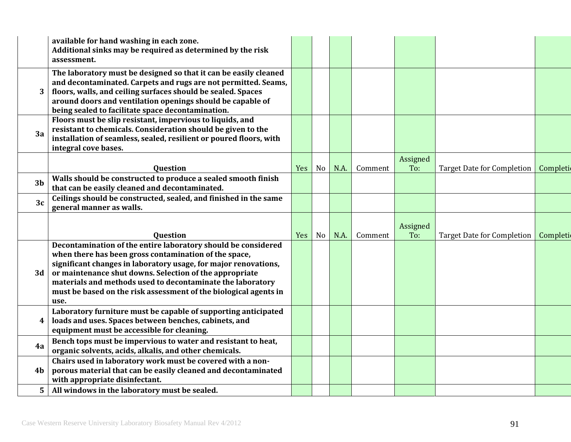|                | available for hand washing in each zone.<br>Additional sinks may be required as determined by the risk<br>assessment.                                                                                                                                                                                                                                                                          |            |    |      |         |                 |                                   |          |
|----------------|------------------------------------------------------------------------------------------------------------------------------------------------------------------------------------------------------------------------------------------------------------------------------------------------------------------------------------------------------------------------------------------------|------------|----|------|---------|-----------------|-----------------------------------|----------|
| 3              | The laboratory must be designed so that it can be easily cleaned<br>and decontaminated. Carpets and rugs are not permitted. Seams,<br>floors, walls, and ceiling surfaces should be sealed. Spaces<br>around doors and ventilation openings should be capable of<br>being sealed to facilitate space decontamination.                                                                          |            |    |      |         |                 |                                   |          |
| 3a             | Floors must be slip resistant, impervious to liquids, and<br>resistant to chemicals. Consideration should be given to the<br>installation of seamless, sealed, resilient or poured floors, with<br>integral cove bases.                                                                                                                                                                        |            |    |      |         |                 |                                   |          |
|                | <b>Question</b>                                                                                                                                                                                                                                                                                                                                                                                | <b>Yes</b> | No | N.A. | Comment | Assigned<br>To: | <b>Target Date for Completion</b> | Completi |
| 3 <sub>b</sub> | Walls should be constructed to produce a sealed smooth finish<br>that can be easily cleaned and decontaminated.                                                                                                                                                                                                                                                                                |            |    |      |         |                 |                                   |          |
| 3c             | Ceilings should be constructed, sealed, and finished in the same<br>general manner as walls.                                                                                                                                                                                                                                                                                                   |            |    |      |         |                 |                                   |          |
|                | Question                                                                                                                                                                                                                                                                                                                                                                                       | Yes        | No | N.A. | Comment | Assigned<br>To: | <b>Target Date for Completion</b> | Completi |
| 3d             | Decontamination of the entire laboratory should be considered<br>when there has been gross contamination of the space,<br>significant changes in laboratory usage, for major renovations,<br>or maintenance shut downs. Selection of the appropriate<br>materials and methods used to decontaminate the laboratory<br>must be based on the risk assessment of the biological agents in<br>use. |            |    |      |         |                 |                                   |          |
| 4              | Laboratory furniture must be capable of supporting anticipated<br>loads and uses. Spaces between benches, cabinets, and<br>equipment must be accessible for cleaning.                                                                                                                                                                                                                          |            |    |      |         |                 |                                   |          |
| 4a             | Bench tops must be impervious to water and resistant to heat,<br>organic solvents, acids, alkalis, and other chemicals.                                                                                                                                                                                                                                                                        |            |    |      |         |                 |                                   |          |
| 4 <sub>b</sub> | Chairs used in laboratory work must be covered with a non-<br>porous material that can be easily cleaned and decontaminated<br>with appropriate disinfectant.                                                                                                                                                                                                                                  |            |    |      |         |                 |                                   |          |
| 5              | All windows in the laboratory must be sealed.                                                                                                                                                                                                                                                                                                                                                  |            |    |      |         |                 |                                   |          |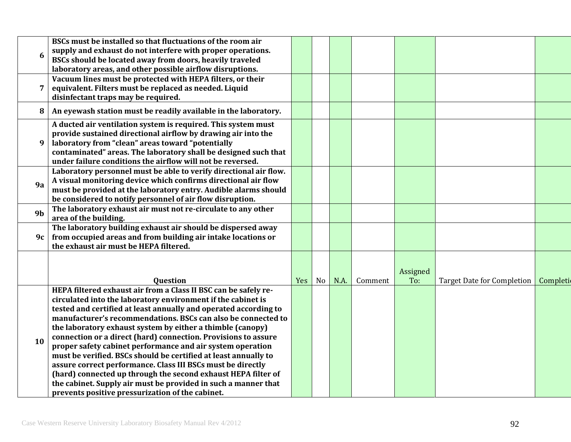|           | BSCs must be installed so that fluctuations of the room air       |     |    |      |         |          |                                   |          |
|-----------|-------------------------------------------------------------------|-----|----|------|---------|----------|-----------------------------------|----------|
| 6         | supply and exhaust do not interfere with proper operations.       |     |    |      |         |          |                                   |          |
|           | BSCs should be located away from doors, heavily traveled          |     |    |      |         |          |                                   |          |
|           | laboratory areas, and other possible airflow disruptions.         |     |    |      |         |          |                                   |          |
|           | Vacuum lines must be protected with HEPA filters, or their        |     |    |      |         |          |                                   |          |
| 7         | equivalent. Filters must be replaced as needed. Liquid            |     |    |      |         |          |                                   |          |
|           | disinfectant traps may be required.                               |     |    |      |         |          |                                   |          |
| 8         | An eyewash station must be readily available in the laboratory.   |     |    |      |         |          |                                   |          |
|           | A ducted air ventilation system is required. This system must     |     |    |      |         |          |                                   |          |
|           | provide sustained directional airflow by drawing air into the     |     |    |      |         |          |                                   |          |
| 9         | laboratory from "clean" areas toward "potentially                 |     |    |      |         |          |                                   |          |
|           | contaminated" areas. The laboratory shall be designed such that   |     |    |      |         |          |                                   |          |
|           | under failure conditions the airflow will not be reversed.        |     |    |      |         |          |                                   |          |
|           | Laboratory personnel must be able to verify directional air flow. |     |    |      |         |          |                                   |          |
| 9a        | A visual monitoring device which confirms directional air flow    |     |    |      |         |          |                                   |          |
|           | must be provided at the laboratory entry. Audible alarms should   |     |    |      |         |          |                                   |          |
|           | be considered to notify personnel of air flow disruption.         |     |    |      |         |          |                                   |          |
| <b>9b</b> | The laboratory exhaust air must not re-circulate to any other     |     |    |      |         |          |                                   |          |
|           | area of the building.                                             |     |    |      |         |          |                                   |          |
|           | The laboratory building exhaust air should be dispersed away      |     |    |      |         |          |                                   |          |
| 9c        | from occupied areas and from building air intake locations or     |     |    |      |         |          |                                   |          |
|           | the exhaust air must be HEPA filtered.                            |     |    |      |         |          |                                   |          |
|           |                                                                   |     |    |      |         |          |                                   |          |
|           |                                                                   |     |    |      |         | Assigned |                                   |          |
|           | Question                                                          | Yes | No | N.A. | Comment | To:      | <b>Target Date for Completion</b> | Completi |
|           | HEPA filtered exhaust air from a Class II BSC can be safely re-   |     |    |      |         |          |                                   |          |
|           | circulated into the laboratory environment if the cabinet is      |     |    |      |         |          |                                   |          |
|           | tested and certified at least annually and operated according to  |     |    |      |         |          |                                   |          |
|           | manufacturer's recommendations. BSCs can also be connected to     |     |    |      |         |          |                                   |          |
|           | the laboratory exhaust system by either a thimble (canopy)        |     |    |      |         |          |                                   |          |
|           | connection or a direct (hard) connection. Provisions to assure    |     |    |      |         |          |                                   |          |
| 10        | proper safety cabinet performance and air system operation        |     |    |      |         |          |                                   |          |
|           | must be verified. BSCs should be certified at least annually to   |     |    |      |         |          |                                   |          |
|           | assure correct performance. Class III BSCs must be directly       |     |    |      |         |          |                                   |          |
|           | (hard) connected up through the second exhaust HEPA filter of     |     |    |      |         |          |                                   |          |
|           | the cabinet. Supply air must be provided in such a manner that    |     |    |      |         |          |                                   |          |
|           | prevents positive pressurization of the cabinet.                  |     |    |      |         |          |                                   |          |